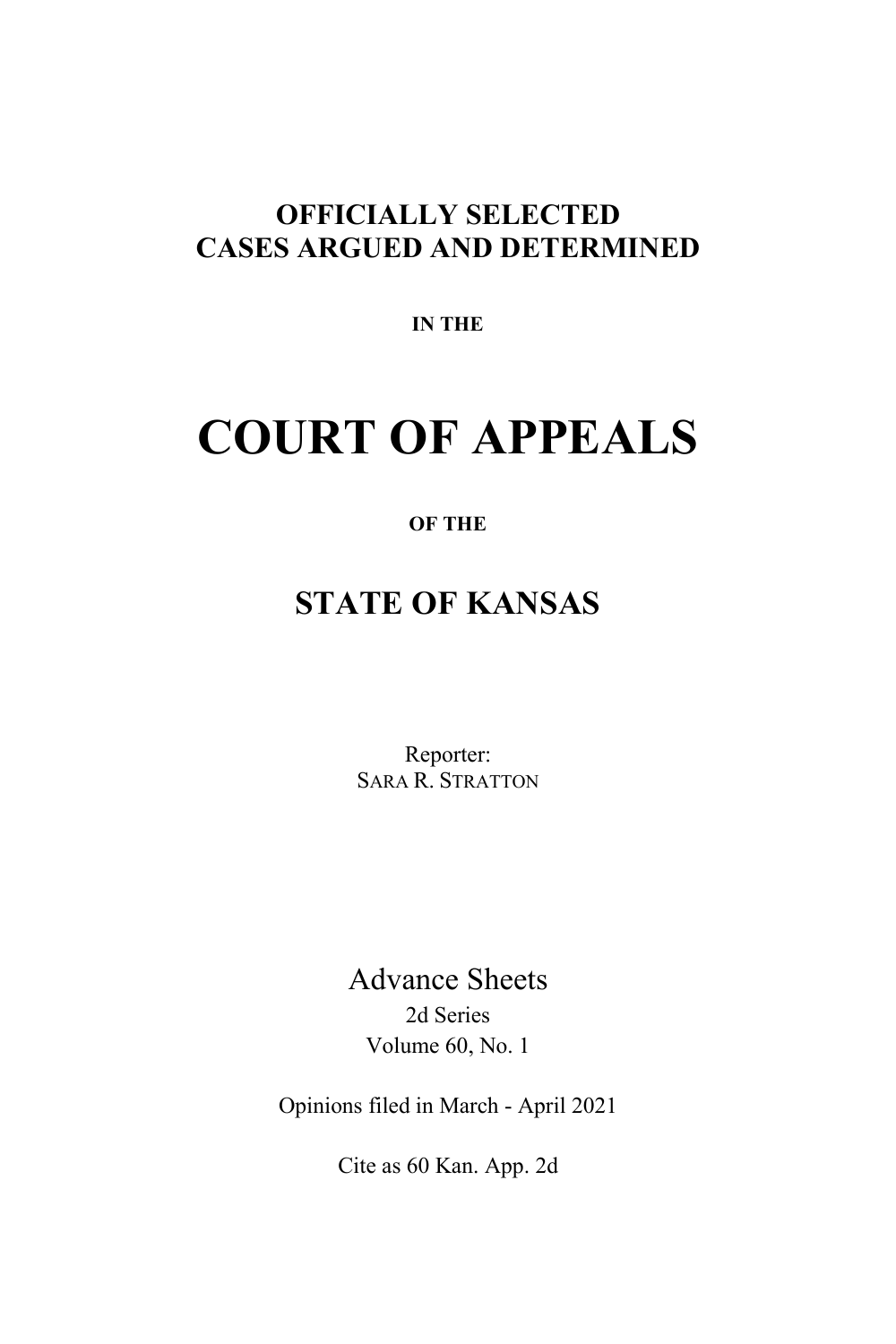# **OFFICIALLY SELECTED CASES ARGUED AND DETERMINED**

**IN THE**

# **COURT OF APPEALS**

# **OF THE**

# **STATE OF KANSAS**

Reporter: SARA R. STRATTON

Advance Sheets 2d Series Volume 60, No. 1

Opinions filed in March - April 2021

Cite as 60 Kan. App. 2d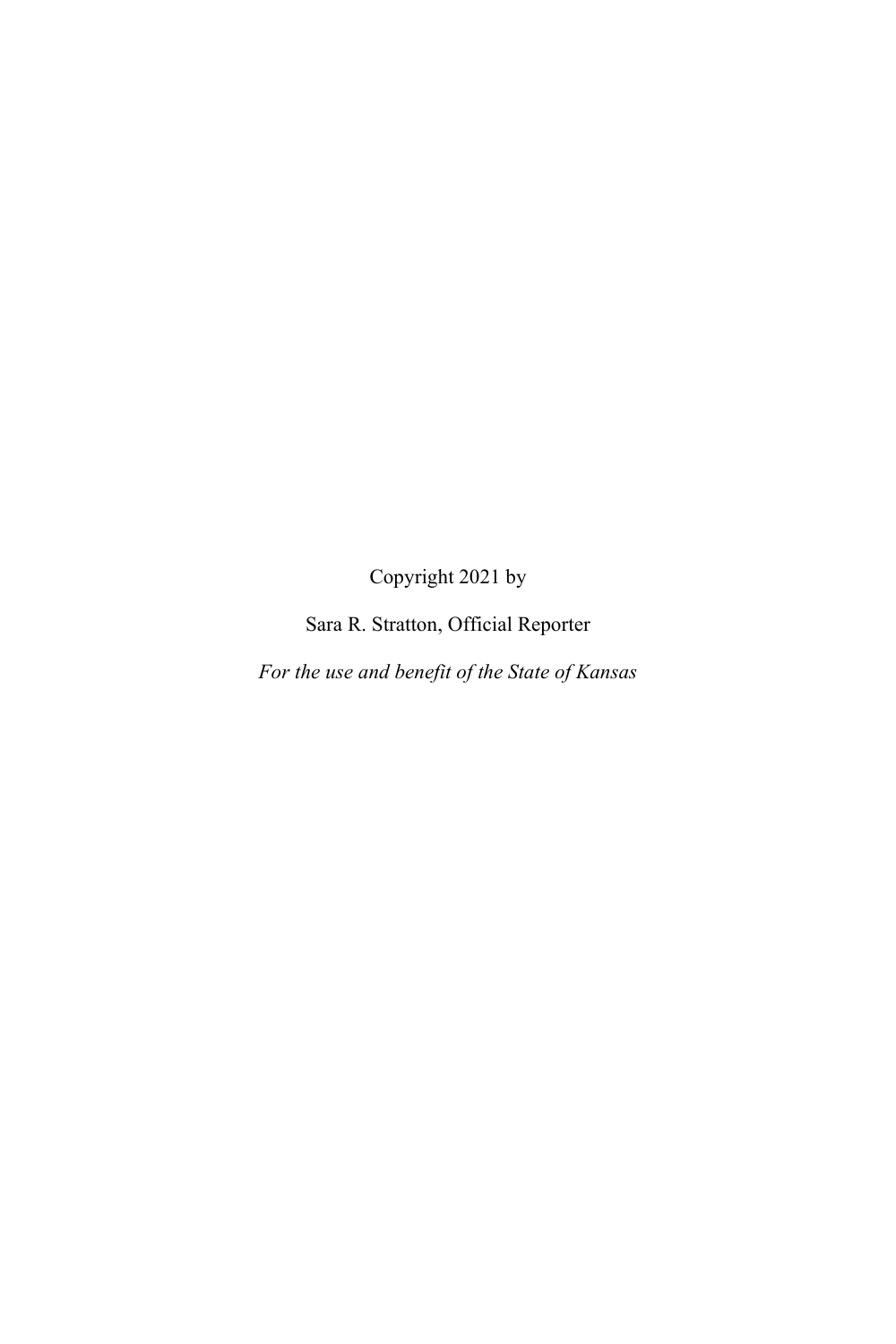Copyright 2021 by

Sara R. Stratton, Official Reporter

*For the use and benefit of the State of Kansas*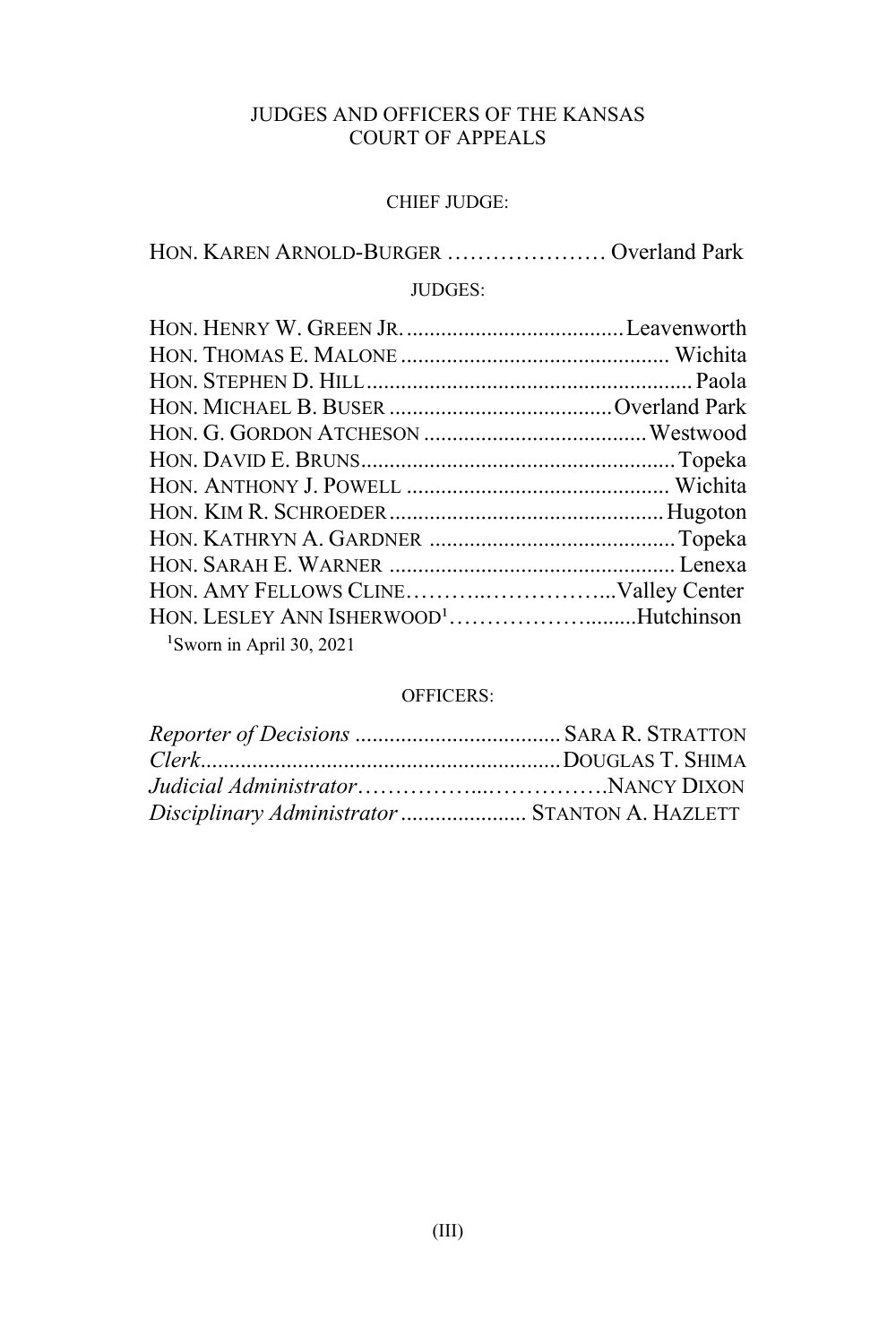# JUDGES AND OFFICERS OF THE KANSAS COURT OF APPEALS

#### CHIEF JUDGE:

HON. KAREN ARNOLD-BURGER ………………… Overland Park

# JUDGES:

| HON. LESLEY ANN ISHERWOOD <sup>1</sup> Hutchinson |  |
|---------------------------------------------------|--|
| <sup>1</sup> Sworn in April 30, 2021              |  |

#### OFFICERS:

| Disciplinary Administrator  STANTON A. HAZLETT |  |
|------------------------------------------------|--|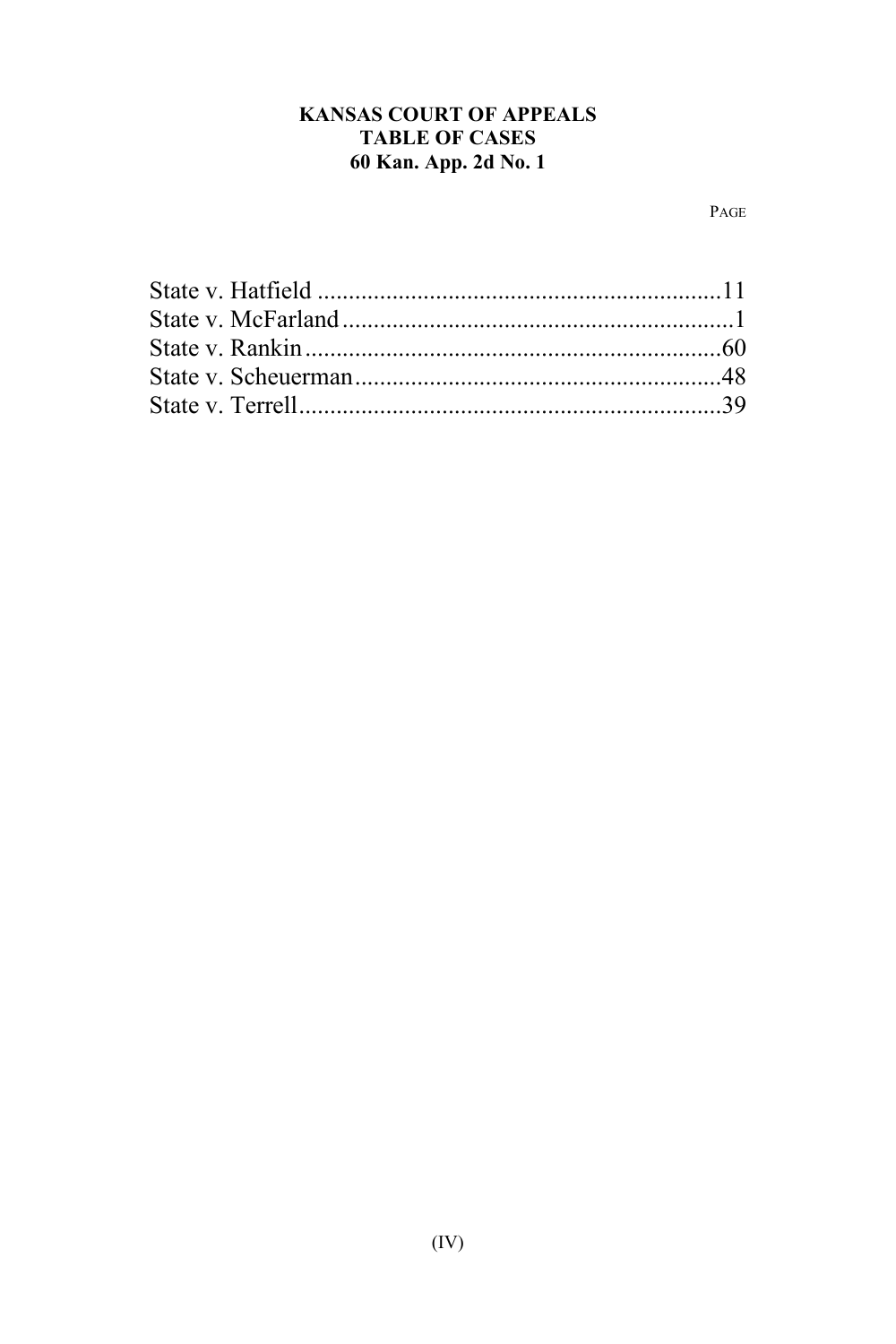# **KANSAS COURT OF APPEALS TABLE OF CASES** 60 Kan. App. 2d No. 1

PAGE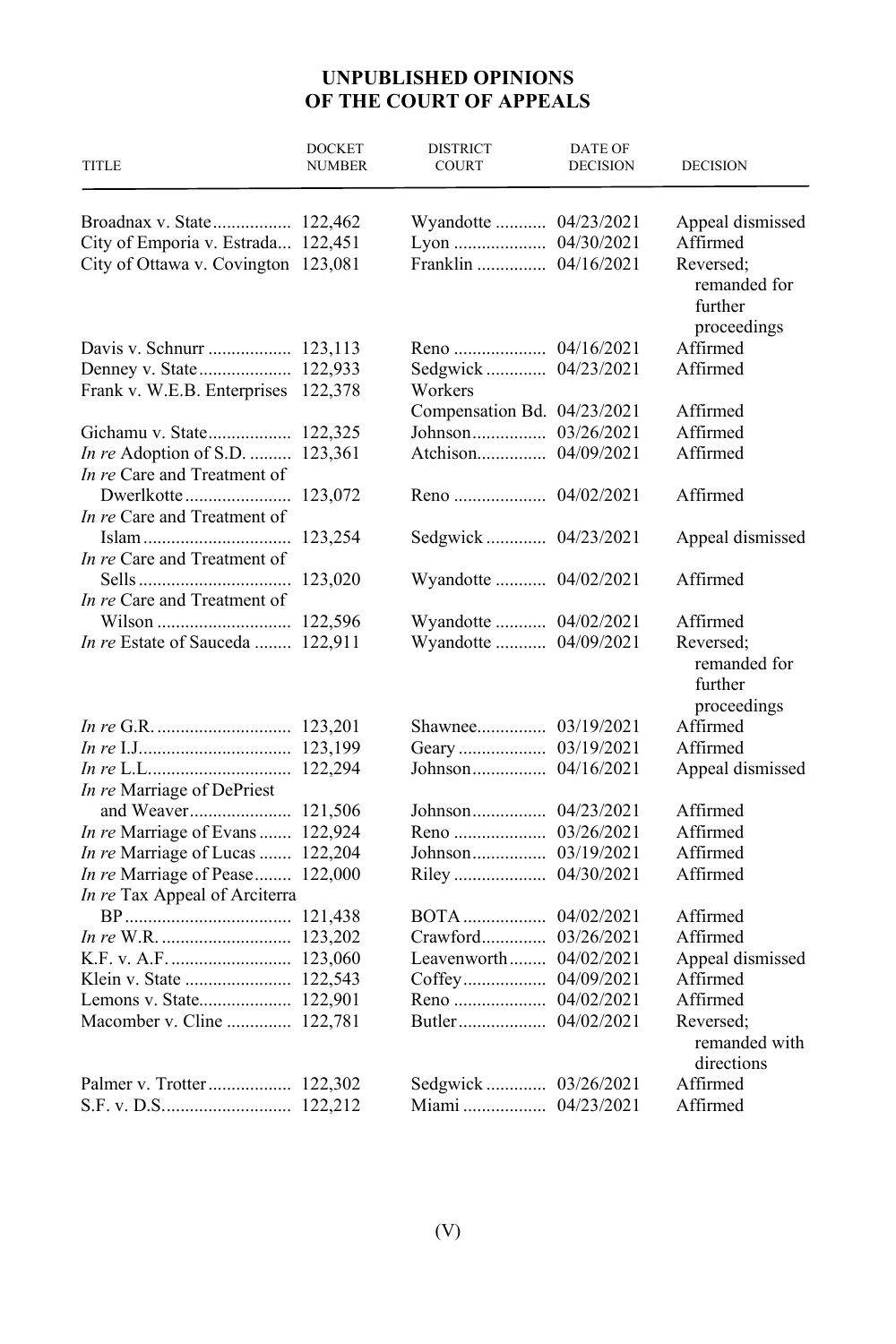# **UNPUBLISHED OPINIONS OF THE COURT OF APPEALS**

| <b>TITLE</b>                        | <b>DOCKET</b><br><b>NUMBER</b> | <b>DISTRICT</b><br><b>COURT</b> | <b>DATE OF</b><br><b>DECISION</b> | <b>DECISION</b>                        |
|-------------------------------------|--------------------------------|---------------------------------|-----------------------------------|----------------------------------------|
|                                     |                                | Wyandotte  04/23/2021           |                                   | Appeal dismissed                       |
| City of Emporia v. Estrada 122,451  |                                |                                 |                                   | Affirmed                               |
| City of Ottawa v. Covington 123,081 |                                | Franklin  04/16/2021            |                                   | Reversed:                              |
|                                     |                                |                                 |                                   | remanded for<br>further<br>proceedings |
| Davis v. Schnurr  123,113           |                                |                                 |                                   | Affirmed                               |
|                                     |                                | Sedgwick  04/23/2021            |                                   | Affirmed                               |
| Frank v. W.E.B. Enterprises 122,378 |                                | Workers                         |                                   |                                        |
|                                     |                                | Compensation Bd. 04/23/2021     |                                   | Affirmed                               |
| Gichamu v. State 122,325            |                                |                                 |                                   | Affirmed                               |
| In re Adoption of S.D.  123,361     |                                |                                 |                                   | Affirmed                               |
| In re Care and Treatment of         |                                |                                 |                                   |                                        |
|                                     |                                |                                 |                                   | Affirmed                               |
| In re Care and Treatment of         |                                |                                 |                                   |                                        |
|                                     |                                | Sedgwick 04/23/2021             |                                   | Appeal dismissed                       |
| In re Care and Treatment of         |                                |                                 |                                   |                                        |
|                                     |                                | Wyandotte  04/02/2021           |                                   | Affirmed                               |
| In re Care and Treatment of         |                                |                                 |                                   |                                        |
|                                     |                                | Wyandotte  04/02/2021           |                                   | Affirmed                               |
| In re Estate of Sauceda  122,911    |                                | Wyandotte  04/09/2021           |                                   | Reversed;                              |
|                                     |                                |                                 |                                   | remanded for<br>further<br>proceedings |
|                                     |                                |                                 |                                   | Affirmed                               |
|                                     |                                |                                 |                                   | Affirmed                               |
|                                     |                                |                                 |                                   | Appeal dismissed                       |
| In re Marriage of DePriest          |                                |                                 |                                   |                                        |
| and Weaver 121,506                  |                                |                                 |                                   | Affirmed                               |
| In re Marriage of Evans  122,924    |                                |                                 |                                   | Affirmed                               |
| In re Marriage of Lucas  122,204    |                                |                                 |                                   | Affirmed                               |
| In re Marriage of Pease 122,000     |                                |                                 |                                   | Affirmed                               |
| In re Tax Appeal of Arciterra       |                                |                                 |                                   |                                        |
|                                     |                                |                                 |                                   | Affirmed                               |
|                                     |                                |                                 |                                   | Affirmed                               |
|                                     |                                | Leavenworth 04/02/2021          |                                   | Appeal dismissed                       |
|                                     |                                |                                 |                                   | Affirmed                               |
| Lemons v. State 122,901             |                                |                                 |                                   | Affirmed                               |
| Macomber v. Cline  122,781          |                                |                                 |                                   | Reversed;                              |
|                                     |                                |                                 |                                   | remanded with                          |
|                                     |                                |                                 |                                   | directions                             |
| Palmer v. Trotter 122,302           |                                |                                 |                                   | Affirmed                               |
|                                     |                                |                                 |                                   | Affirmed                               |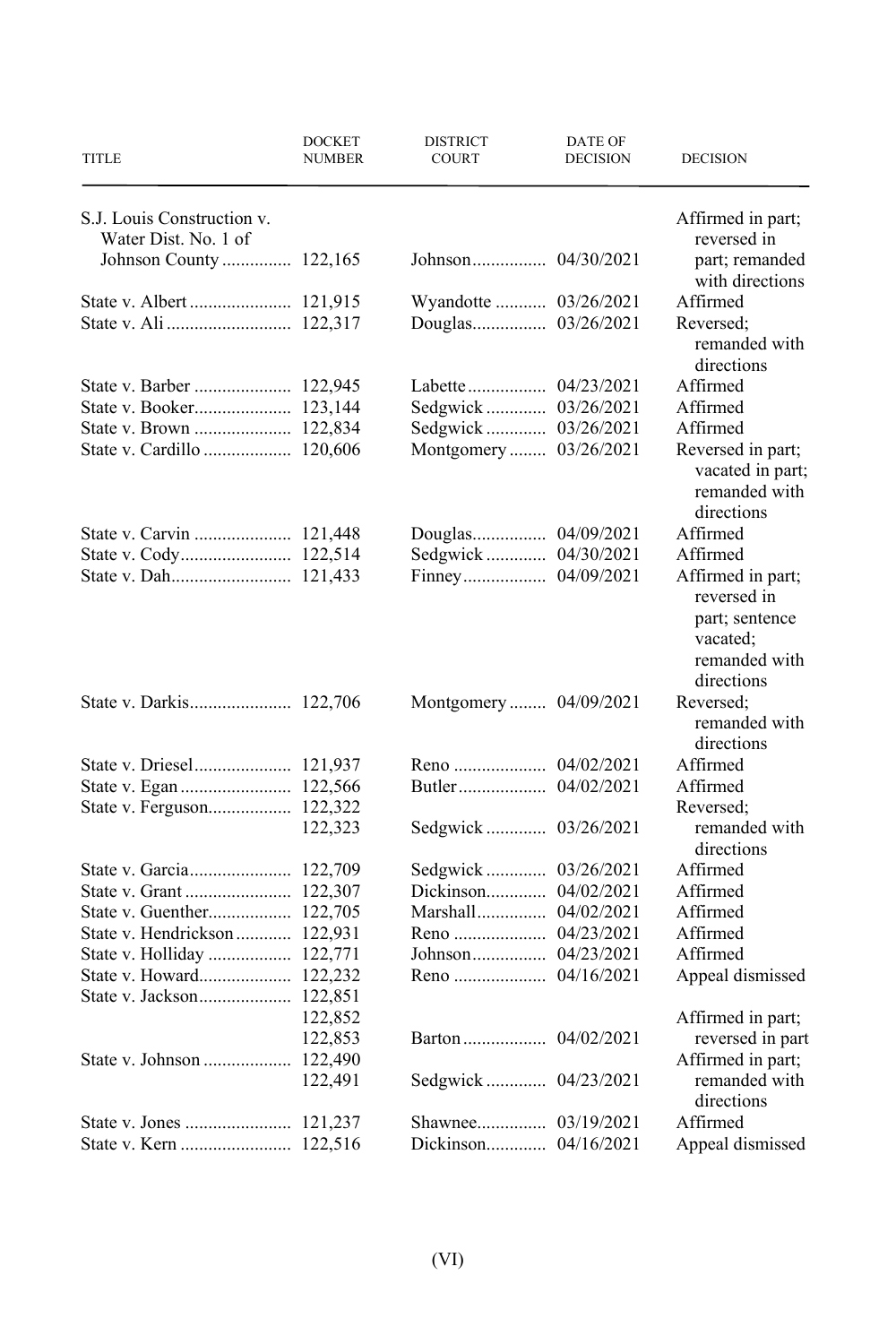| TITLE                        | <b>DOCKET</b><br><b>NUMBER</b> | <b>DISTRICT</b><br><b>COURT</b> | DATE OF<br><b>DECISION</b> | <b>DECISION</b>                                                |
|------------------------------|--------------------------------|---------------------------------|----------------------------|----------------------------------------------------------------|
| S.J. Louis Construction v.   |                                |                                 |                            | Affirmed in part;                                              |
| Water Dist. No. 1 of         |                                |                                 |                            | reversed in                                                    |
| Johnson County  122,165      |                                |                                 |                            | part; remanded<br>with directions                              |
|                              |                                | Wyandotte  03/26/2021           |                            | Affirmed                                                       |
|                              |                                |                                 |                            | Reversed:                                                      |
|                              |                                |                                 |                            | remanded with<br>directions                                    |
|                              |                                |                                 |                            | Affirmed                                                       |
| State v. Booker 123,144      |                                | Sedgwick  03/26/2021            |                            | Affirmed                                                       |
|                              |                                | Sedgwick  03/26/2021            |                            | Affirmed                                                       |
| State v. Cardillo  120,606   |                                | Montgomery  03/26/2021          |                            | Reversed in part;                                              |
|                              |                                |                                 |                            | vacated in part;<br>remanded with                              |
|                              |                                |                                 |                            | directions                                                     |
|                              |                                |                                 |                            | Affirmed                                                       |
|                              |                                | Sedgwick  04/30/2021            |                            | Affirmed                                                       |
|                              |                                |                                 |                            | Affirmed in part;<br>reversed in<br>part; sentence<br>vacated; |
|                              |                                |                                 |                            | remanded with                                                  |
|                              |                                |                                 |                            | directions                                                     |
|                              |                                | Montgomery 04/09/2021           |                            | Reversed;<br>remanded with                                     |
|                              |                                |                                 |                            | directions                                                     |
|                              |                                |                                 |                            | Affirmed                                                       |
|                              |                                |                                 |                            | Affirmed                                                       |
|                              |                                |                                 |                            | Reversed:                                                      |
|                              | 122,323                        |                                 |                            | remanded with                                                  |
|                              |                                |                                 |                            | directions                                                     |
|                              |                                | Sedgwick  03/26/2021            |                            | Affirmed                                                       |
|                              |                                | Dickinson 04/02/2021            |                            | Affirmed                                                       |
|                              |                                |                                 |                            | Affirmed                                                       |
| State v. Hendrickson 122,931 |                                |                                 |                            | Affirmed                                                       |
| State v. Holliday  122,771   |                                |                                 |                            | Affirmed                                                       |
| State v. Howard 122,232      |                                |                                 |                            | Appeal dismissed                                               |
|                              |                                |                                 |                            |                                                                |
|                              | 122,852                        |                                 |                            | Affirmed in part;                                              |
|                              | 122,853                        |                                 |                            | reversed in part                                               |
|                              |                                |                                 |                            | Affirmed in part;                                              |
|                              | 122,491                        |                                 |                            | remanded with<br>directions                                    |
|                              |                                |                                 |                            | Affirmed                                                       |
|                              |                                | Dickinson 04/16/2021            |                            | Appeal dismissed                                               |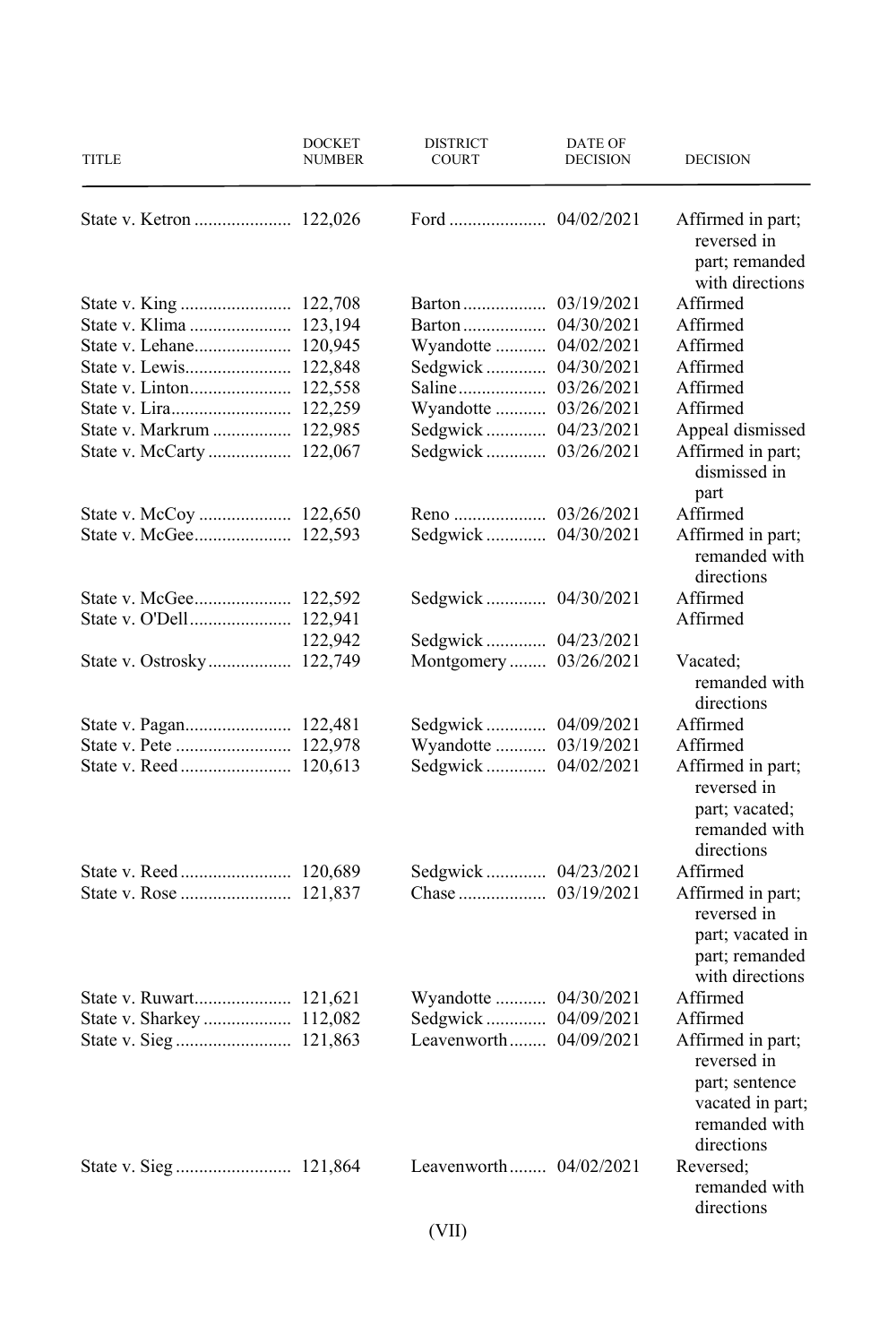| <b>TITLE</b>              | <b>DOCKET</b><br><b>NUMBER</b> | <b>DISTRICT</b><br><b>COURT</b> | DATE OF<br><b>DECISION</b> | <b>DECISION</b>                                                                                       |
|---------------------------|--------------------------------|---------------------------------|----------------------------|-------------------------------------------------------------------------------------------------------|
|                           |                                |                                 |                            | Affirmed in part;<br>reversed in<br>part; remanded<br>with directions                                 |
|                           |                                |                                 |                            | Affirmed                                                                                              |
| State v. Klima  123,194   |                                |                                 |                            | Affirmed                                                                                              |
| State v. Lehane 120,945   |                                | Wyandotte  04/02/2021           |                            | Affirmed                                                                                              |
|                           |                                | Sedgwick 04/30/2021             |                            | Affirmed                                                                                              |
|                           |                                |                                 |                            | Affirmed                                                                                              |
| State v. Lira 122,259     |                                | Wyandotte  03/26/2021           |                            | Affirmed                                                                                              |
| State v. Markrum  122,985 |                                | Sedgwick  04/23/2021            |                            | Appeal dismissed                                                                                      |
| State v. McCarty  122,067 |                                | Sedgwick  03/26/2021            |                            | Affirmed in part;<br>dismissed in<br>part                                                             |
|                           |                                |                                 |                            | Affirmed                                                                                              |
|                           |                                | Sedgwick 04/30/2021             |                            | Affirmed in part;<br>remanded with<br>directions                                                      |
|                           |                                | Sedgwick 04/30/2021             |                            | Affirmed                                                                                              |
|                           |                                |                                 |                            | Affirmed                                                                                              |
|                           | 122,942                        |                                 |                            |                                                                                                       |
|                           |                                | Montgomery 03/26/2021           |                            | Vacated;<br>remanded with<br>directions                                                               |
|                           |                                | Sedgwick  04/09/2021            |                            | Affirmed                                                                                              |
|                           |                                | Wyandotte  03/19/2021           |                            | Affirmed                                                                                              |
|                           |                                |                                 |                            | Affirmed in part;<br>reversed in<br>part; vacated;<br>remanded with<br>directions                     |
|                           |                                | Sedgwick  04/23/2021            |                            | Affirmed                                                                                              |
|                           |                                |                                 |                            | Affirmed in part;<br>reversed in<br>part; vacated in<br>part; remanded<br>with directions             |
|                           |                                | Wyandotte  04/30/2021           |                            | Affirmed                                                                                              |
|                           |                                |                                 |                            | Affirmed                                                                                              |
|                           |                                | Leavenworth 04/09/2021          |                            | Affirmed in part;<br>reversed in<br>part; sentence<br>vacated in part;<br>remanded with<br>directions |
|                           |                                | Leavenworth 04/02/2021          |                            | Reversed:<br>remanded with<br>directions                                                              |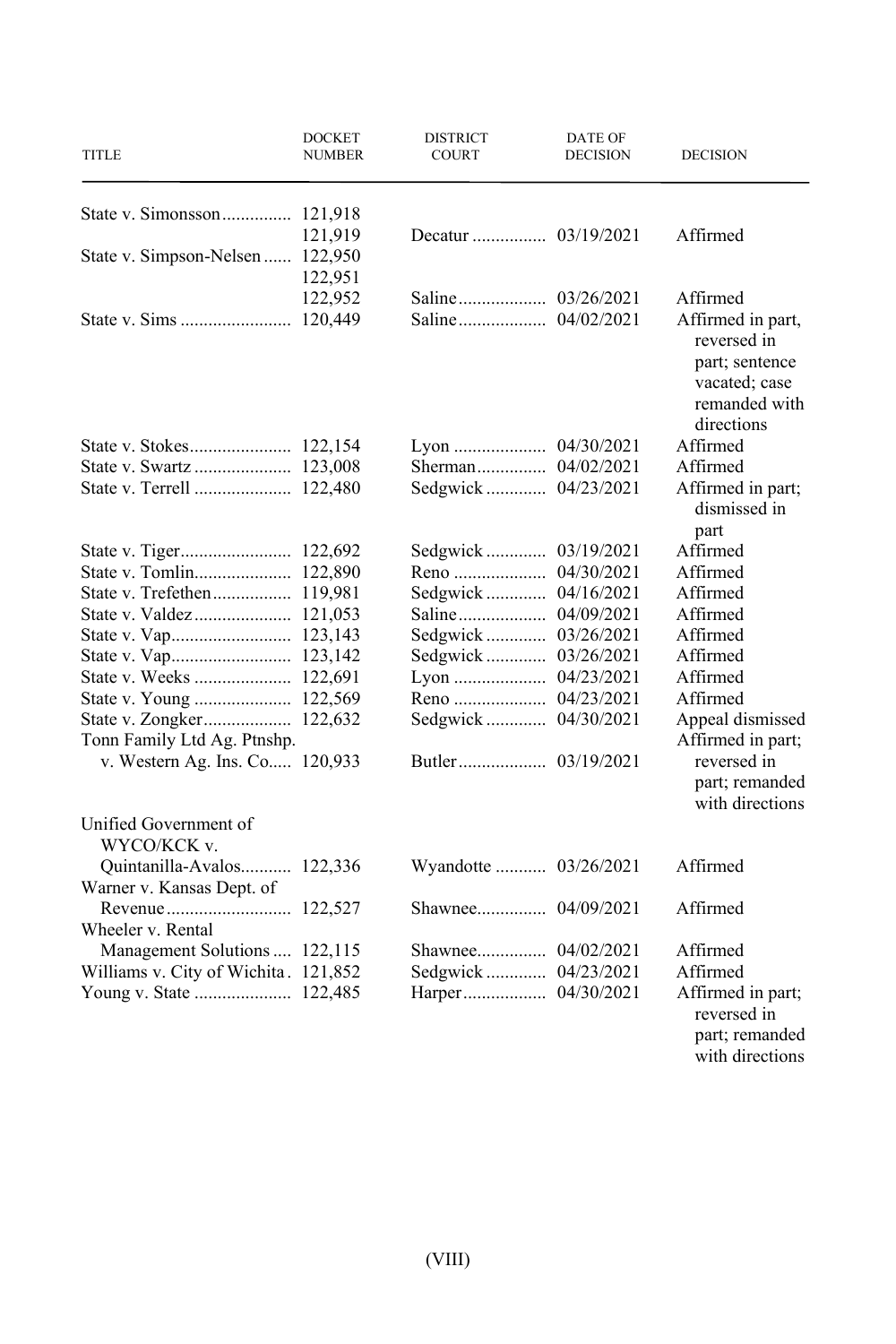| TITLE                                | <b>DOCKET</b><br>NUMBER | <b>DISTRICT</b><br>COURT | DATE OF<br><b>DECISION</b> | <b>DECISION</b>                                                       |
|--------------------------------------|-------------------------|--------------------------|----------------------------|-----------------------------------------------------------------------|
|                                      |                         |                          |                            |                                                                       |
|                                      | 121,919                 |                          |                            | Affirmed                                                              |
| State v. Simpson-Nelsen  122,950     |                         |                          |                            |                                                                       |
|                                      | 122,951                 |                          |                            |                                                                       |
|                                      | 122,952                 |                          |                            | Affirmed                                                              |
|                                      | 120,449                 |                          |                            | Affirmed in part,<br>reversed in                                      |
|                                      |                         |                          |                            | part; sentence<br>vacated; case<br>remanded with<br>directions        |
|                                      |                         |                          |                            | Affirmed                                                              |
|                                      |                         |                          |                            | Affirmed                                                              |
| State v. Terrell  122,480            |                         |                          |                            | Affirmed in part;<br>dismissed in<br>part                             |
|                                      |                         | Sedgwick 03/19/2021      |                            | Affirmed                                                              |
|                                      |                         |                          |                            | Affirmed                                                              |
| State v. Trefethen 119,981           |                         | Sedgwick 04/16/2021      |                            | Affirmed                                                              |
|                                      |                         |                          |                            | Affirmed                                                              |
|                                      |                         | Sedgwick  03/26/2021     |                            | Affirmed                                                              |
|                                      |                         | Sedgwick 03/26/2021      |                            | Affirmed                                                              |
|                                      |                         | Lyon  04/23/2021         |                            | Affirmed                                                              |
| State v. Young  122,569              |                         |                          |                            | Affirmed                                                              |
|                                      |                         | Sedgwick  04/30/2021     |                            | Appeal dismissed                                                      |
| Tonn Family Ltd Ag. Ptnshp.          |                         |                          |                            | Affirmed in part;                                                     |
| v. Western Ag. Ins. Co 120,933       |                         |                          |                            | reversed in                                                           |
|                                      |                         |                          |                            | part; remanded<br>with directions                                     |
| Unified Government of<br>WYCO/KCK v. |                         |                          |                            |                                                                       |
| Quintanilla-Avalos 122,336           |                         | Wyandotte  03/26/2021    |                            | Affirmed                                                              |
| Warner v. Kansas Dept. of            |                         |                          |                            |                                                                       |
|                                      |                         |                          |                            | Affirmed                                                              |
| Wheeler v. Rental                    |                         |                          |                            | Affirmed                                                              |
| Management Solutions  122,115        |                         |                          |                            |                                                                       |
| Williams v. City of Wichita. 121,852 |                         | Sedgwick  04/23/2021     |                            | Affirmed                                                              |
|                                      |                         |                          |                            | Affirmed in part;<br>reversed in<br>part; remanded<br>with directions |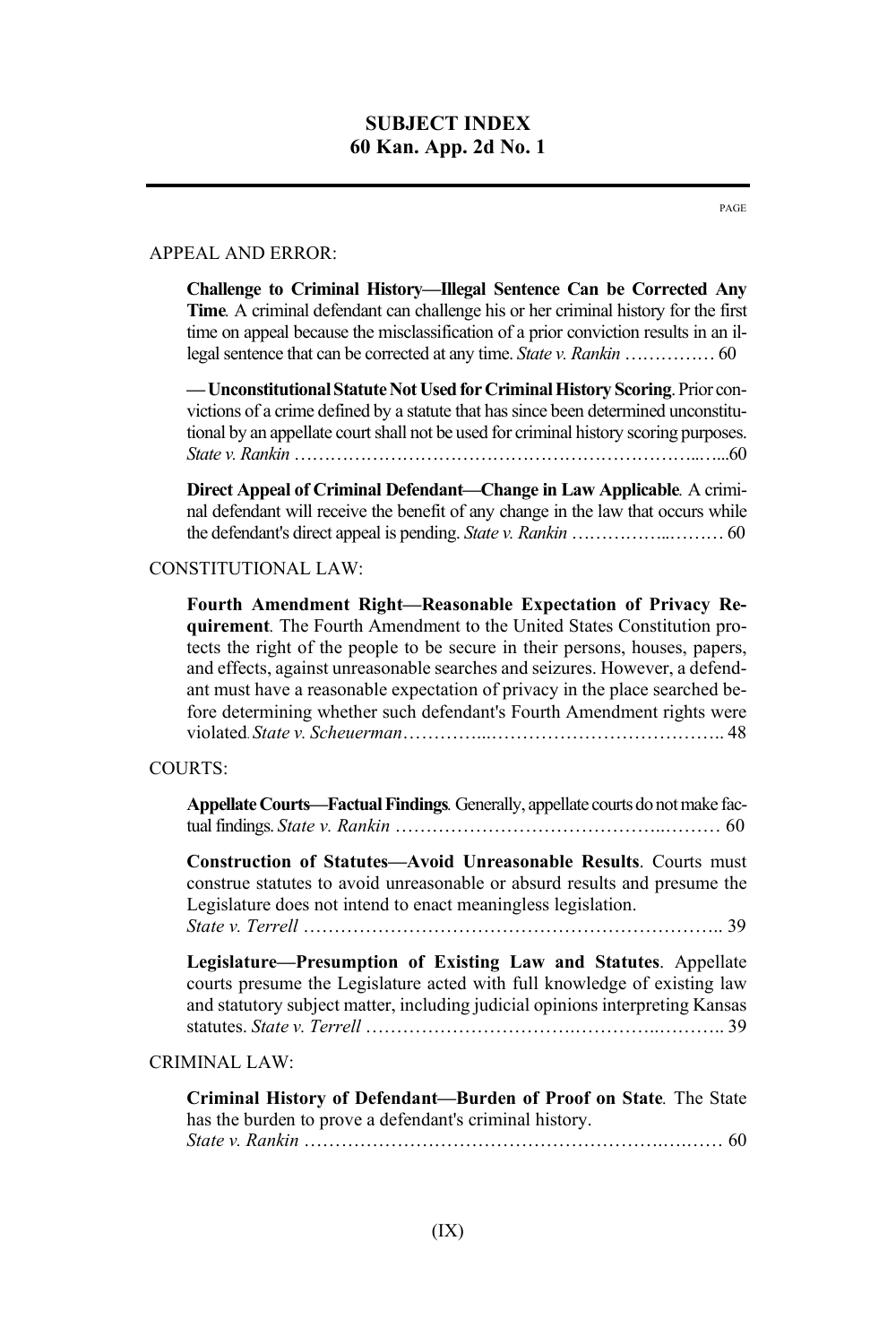#### APPEAL AND ERROR:

**Challenge to Criminal History—Illegal Sentence Can be Corrected Any Time***.* A criminal defendant can challenge his or her criminal history for the first time on appeal because the misclassification of a prior conviction results in an illegal sentence that can be corrected at any time. *State v. Rankin* …………… 60

**—Unconstitutional Statute Not Used for Criminal History Scoring**. Prior convictions of a crime defined by a statute that has since been determined unconstitutional by an appellate court shall not be used for criminal history scoring purposes. *State v. Rankin* …………………………………………………………..…...60

**Direct Appeal of Criminal Defendant—Change in Law Applicable***.* A criminal defendant will receive the benefit of any change in the law that occurs while the defendant's direct appeal is pending. *State v. Rankin* ……………..……… 60

#### CONSTITUTIONAL LAW:

**Fourth Amendment Right—Reasonable Expectation of Privacy Requirement***.* The Fourth Amendment to the United States Constitution protects the right of the people to be secure in their persons, houses, papers, and effects, against unreasonable searches and seizures. However, a defendant must have a reasonable expectation of privacy in the place searched before determining whether such defendant's Fourth Amendment rights were violated. *State v. Scheuerman*…………...……………………………….. 48

### COURTS:

**Appellate Courts—Factual Findings***.* Generally, appellate courts do not make factual findings. *State v. Rankin* ……………………………………..……… 60

**Construction of Statutes—Avoid Unreasonable Results**. Courts must construe statutes to avoid unreasonable or absurd results and presume the Legislature does not intend to enact meaningless legislation. *State v. Terrell* ………………………………………………………….. 39

**Legislature—Presumption of Existing Law and Statutes**. Appellate courts presume the Legislature acted with full knowledge of existing law and statutory subject matter, including judicial opinions interpreting Kansas statutes. *State v. Terrell* …………………………….…………..……….. 39

#### CRIMINAL LAW:

**Criminal History of Defendant—Burden of Proof on State***.* The State has the burden to prove a defendant's criminal history. *State v. Rankin* ………………………………………………….….…… 60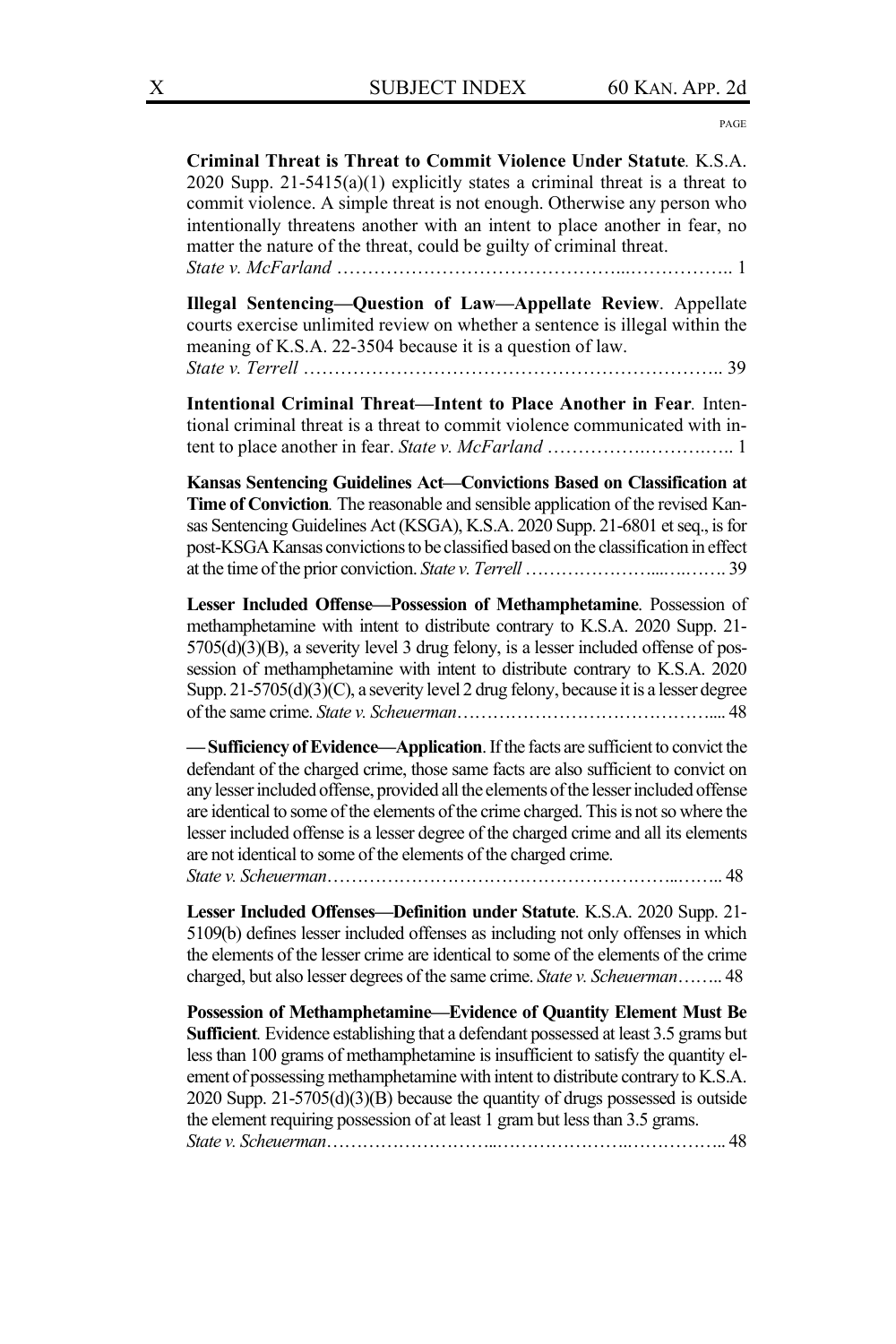PAGE

**Criminal Threat is Threat to Commit Violence Under Statute***.* K.S.A. 2020 Supp. 21-5415(a)(1) explicitly states a criminal threat is a threat to commit violence. A simple threat is not enough. Otherwise any person who intentionally threatens another with an intent to place another in fear, no matter the nature of the threat, could be guilty of criminal threat. *State v. McFarland* ………………………………………...…………….. 1

**Illegal Sentencing—Question of Law—Appellate Review**. Appellate courts exercise unlimited review on whether a sentence is illegal within the meaning of K.S.A. 22-3504 because it is a question of law. *State v. Terrell* ………………………………………………………….. 39

**Intentional Criminal Threat—Intent to Place Another in Fear***.* Intentional criminal threat is a threat to commit violence communicated with intent to place another in fear. *State v. McFarland* …………….……….….. 1

**Kansas Sentencing Guidelines Act—Convictions Based on Classification at Time of Conviction***.* The reasonable and sensible application of the revised Kansas Sentencing Guidelines Act (KSGA), K.S.A. 2020 Supp. 21-6801 et seq., is for post-KSGA Kansas convictions to be classified based on the classification in effect at the time of the prior conviction. *State v. Terrell*…………………...….……. 39

**Lesser Included Offense—Possession of Methamphetamine**. Possession of methamphetamine with intent to distribute contrary to K.S.A. 2020 Supp. 21- 5705(d)(3)(B), a severity level 3 drug felony, is a lesser included offense of possession of methamphetamine with intent to distribute contrary to K.S.A. 2020 Supp. 21-5705(d)(3)(C), a severity level 2 drug felony, because it is a lesser degree of the same crime. *State v. Scheuerman*…………………………………….... 48

**—Sufficiency of Evidence—Application**. If the facts are sufficient to convict the defendant of the charged crime, those same facts are also sufficient to convict on any lesser included offense, provided all the elements of the lesser included offense are identical to some of the elements of the crime charged. This is not so where the lesser included offense is a lesser degree of the charged crime and all its elements are not identical to some of the elements of the charged crime.

*State v. Scheuerman*…………………………………………………..…….. 48

**Lesser Included Offenses—Definition under Statute**. K.S.A. 2020 Supp. 21- 5109(b) defines lesser included offenses as including not only offenses in which the elements of the lesser crime are identical to some of the elements of the crime charged, but also lesser degrees of the same crime. *State v. Scheuerman*…….. 48

**Possession of Methamphetamine—Evidence of Quantity Element Must Be Sufficient***.* Evidence establishing that a defendant possessed at least 3.5 grams but less than 100 grams of methamphetamine is insufficient to satisfy the quantity element of possessing methamphetamine with intent to distribute contrary to K.S.A. 2020 Supp. 21-5705(d)(3)(B) because the quantity of drugs possessed is outside the element requiring possession of at least 1 gram but less than 3.5 grams. *State v. Scheuerman*………………………..………………….…………….. 48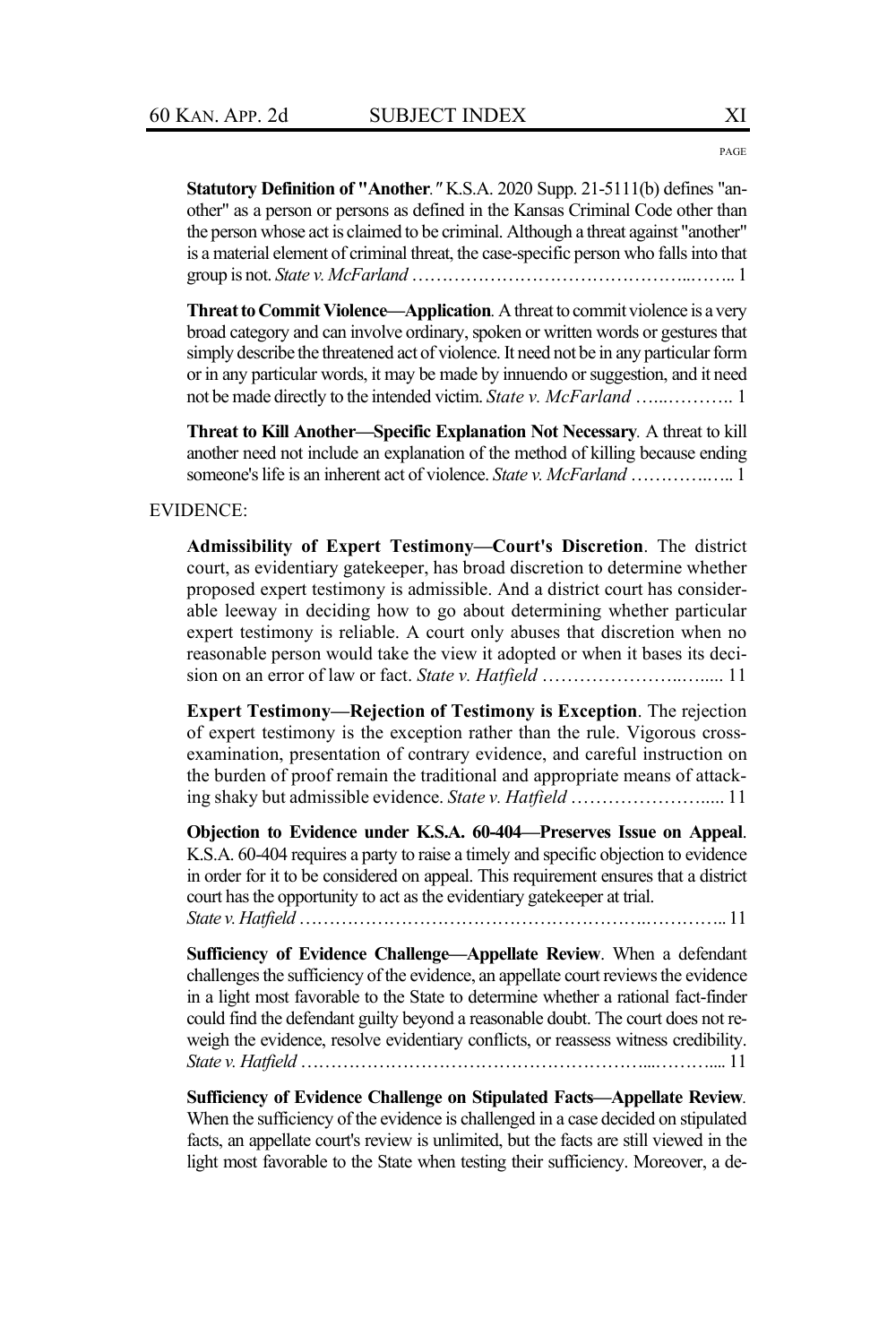**Statutory Definition of "Another***."* K.S.A. 2020 Supp. 21-5111(b) defines "another" as a person or persons as defined in the Kansas Criminal Code other than the person whose act is claimed to be criminal. Although a threat against "another" is a material element of criminal threat, the case-specific person who falls into that group is not. *State v. McFarland* ………………………………………..…….. 1

**Threat to Commit Violence—Application***.*A threat to commit violence is a very broad category and can involve ordinary, spoken or written words or gestures that simply describe the threatened act of violence. It need not be in any particular form or in any particular words, it may be made by innuendo or suggestion, and it need not be made directly to the intended victim. *State v. McFarland* …...……….. 1

**Threat to Kill Another—Specific Explanation Not Necessary***.* A threat to kill another need not include an explanation of the method of killing because ending someone's life is an inherent act of violence. *State v. McFarland* ………….….. 1

#### EVIDENCE:

**Admissibility of Expert Testimony—Court's Discretion**. The district court, as evidentiary gatekeeper, has broad discretion to determine whether proposed expert testimony is admissible. And a district court has considerable leeway in deciding how to go about determining whether particular expert testimony is reliable. A court only abuses that discretion when no reasonable person would take the view it adopted or when it bases its decision on an error of law or fact. *State v. Hatfield* …………………..…..... 11

**Expert Testimony—Rejection of Testimony is Exception**. The rejection of expert testimony is the exception rather than the rule. Vigorous crossexamination, presentation of contrary evidence, and careful instruction on the burden of proof remain the traditional and appropriate means of attacking shaky but admissible evidence. *State v. Hatfield* …………………..... 11

**Objection to Evidence under K.S.A. 60-404—Preserves Issue on Appeal**. K.S.A. 60-404 requires a party to raise a timely and specific objection to evidence in order for it to be considered on appeal. This requirement ensures that a district court has the opportunity to act as the evidentiary gatekeeper at trial. *State v. Hatfield*………………………………………………….………….. 11

**Sufficiency of Evidence Challenge—Appellate Review**. When a defendant challenges the sufficiency of the evidence, an appellate court reviews the evidence in a light most favorable to the State to determine whether a rational fact-finder could find the defendant guilty beyond a reasonable doubt. The court does not reweigh the evidence, resolve evidentiary conflicts, or reassess witness credibility. *State v. Hatfield* …………………………………………………...……….... 11

**Sufficiency of Evidence Challenge on Stipulated Facts—Appellate Review***.* When the sufficiency of the evidence is challenged in a case decided on stipulated facts, an appellate court's review is unlimited, but the facts are still viewed in the light most favorable to the State when testing their sufficiency. Moreover, a de-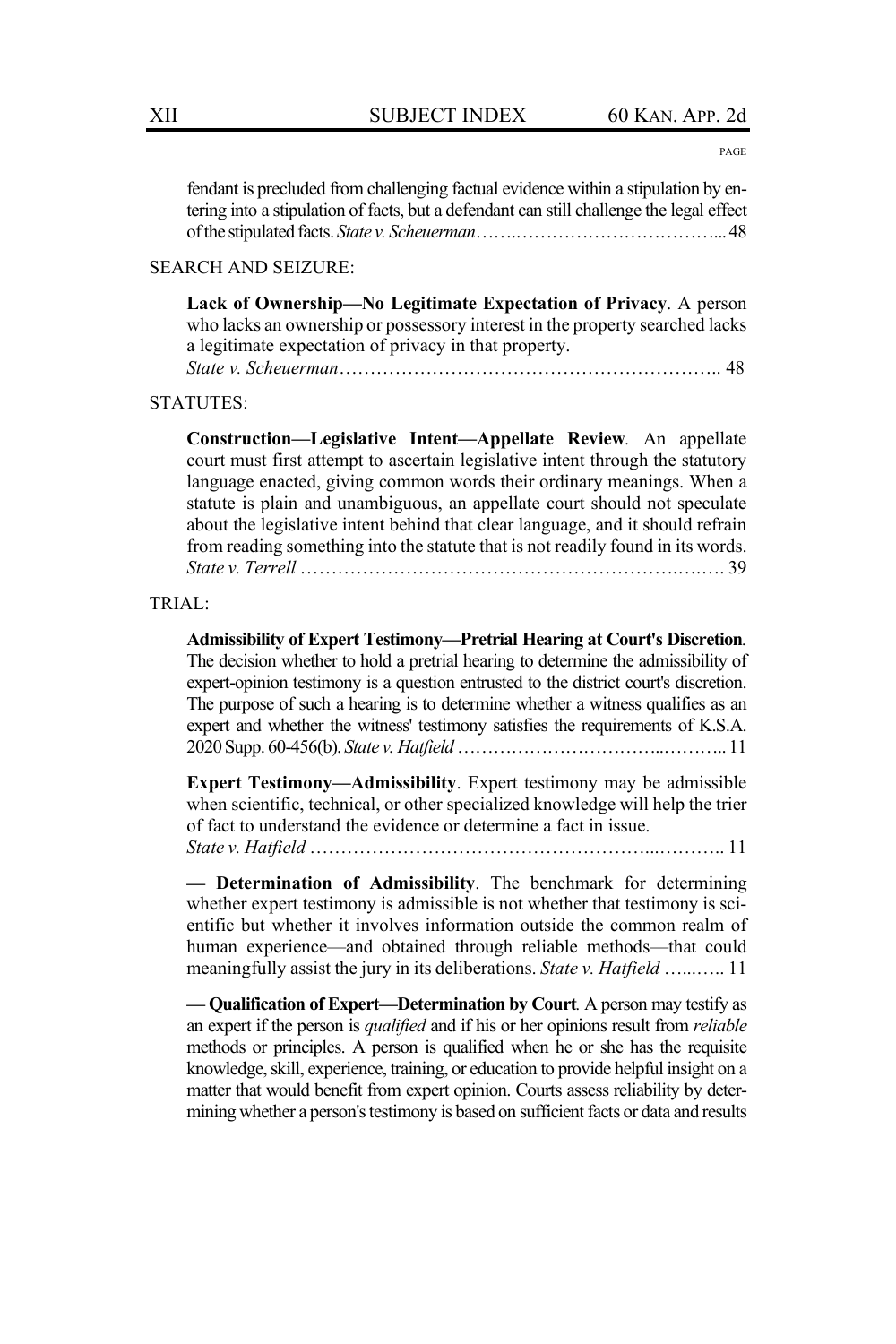PAGE

fendant is precluded from challenging factual evidence within a stipulation by entering into a stipulation of facts, but a defendant can still challenge the legal effect of the stipulated facts. *State v. Scheuerman*…….……………………………... 48

#### SEARCH AND SEIZURE:

**Lack of Ownership—No Legitimate Expectation of Privacy**. A person who lacks an ownership or possessory interest in the property searched lacks a legitimate expectation of privacy in that property. *State v. Scheuerman*…………………………………………………….. 48

#### STATUTES:

**Construction—Legislative Intent—Appellate Review***.* An appellate court must first attempt to ascertain legislative intent through the statutory language enacted, giving common words their ordinary meanings. When a statute is plain and unambiguous, an appellate court should not speculate about the legislative intent behind that clear language, and it should refrain from reading something into the statute that is not readily found in its words. *State v. Terrell* …………………………………………………….….…. 39

#### TRIAL:

**Admissibility of Expert Testimony—Pretrial Hearing at Court's Discretion***.* The decision whether to hold a pretrial hearing to determine the admissibility of expert-opinion testimony is a question entrusted to the district court's discretion. The purpose of such a hearing is to determine whether a witness qualifies as an expert and whether the witness' testimony satisfies the requirements of K.S.A. 2020 Supp. 60-456(b). *State v. Hatfield*……………………………..……….. 11

**Expert Testimony—Admissibility**. Expert testimony may be admissible when scientific, technical, or other specialized knowledge will help the trier of fact to understand the evidence or determine a fact in issue. *State v. Hatfield* ………………………………………………...……….. 11

**— Determination of Admissibility**. The benchmark for determining whether expert testimony is admissible is not whether that testimony is scientific but whether it involves information outside the common realm of human experience—and obtained through reliable methods—that could meaningfully assist the jury in its deliberations. *State v. Hatfield* …...….. 11

**— Qualification of Expert—Determination by Court***.* A person may testify as an expert if the person is *qualified* and if his or her opinions result from *reliable* methods or principles. A person is qualified when he or she has the requisite knowledge, skill, experience, training, or education to provide helpful insight on a matter that would benefit from expert opinion. Courts assess reliability by determining whether a person's testimony is based on sufficient facts or data and results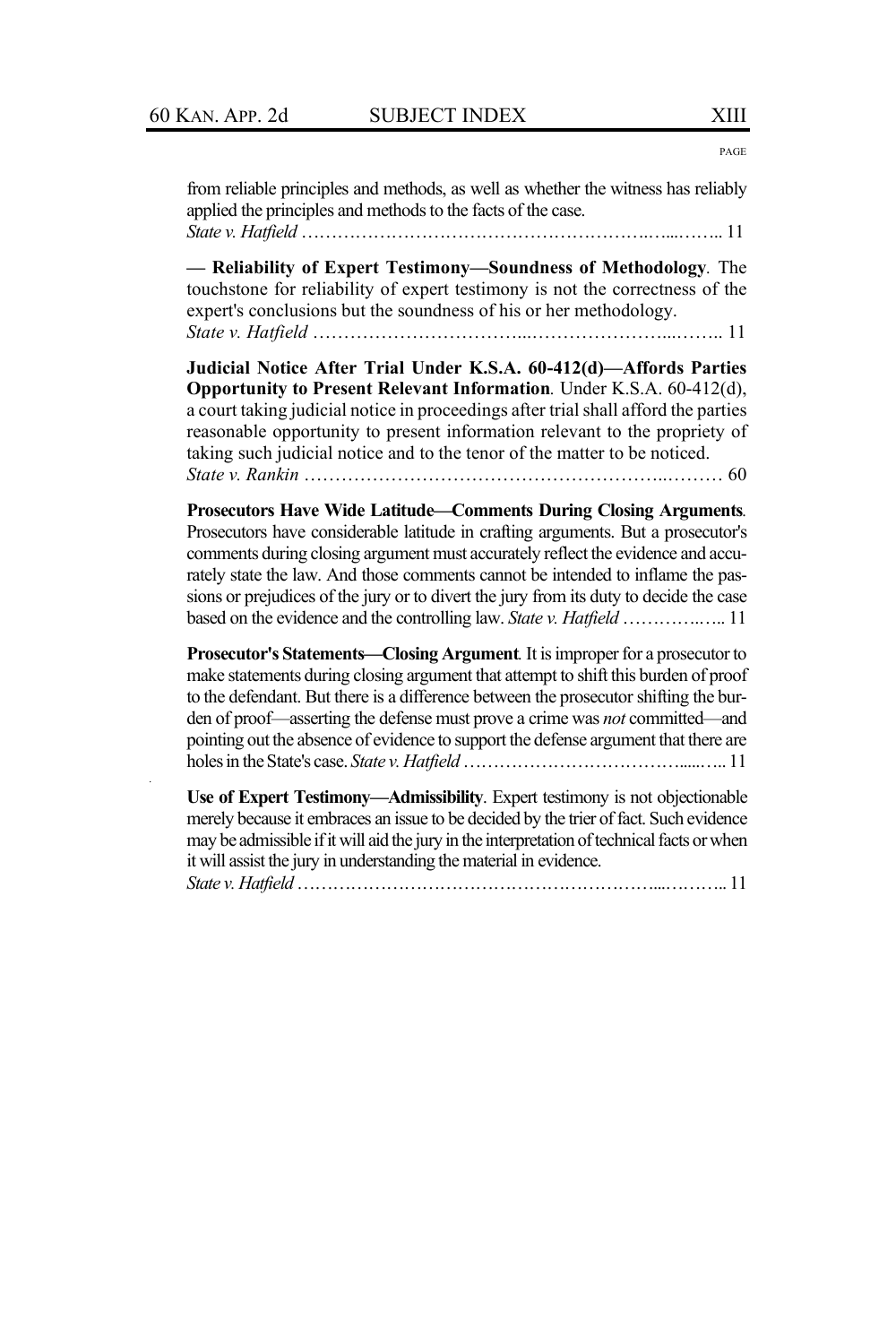*.*

PAGE

| from reliable principles and methods, as well as whether the witness has reliably<br>applied the principles and methods to the facts of the case.                                                                                                                                                                                                                                                                                |
|----------------------------------------------------------------------------------------------------------------------------------------------------------------------------------------------------------------------------------------------------------------------------------------------------------------------------------------------------------------------------------------------------------------------------------|
| - Reliability of Expert Testimony-Soundness of Methodology. The<br>touchstone for reliability of expert testimony is not the correctness of the<br>expert's conclusions but the soundness of his or her methodology.                                                                                                                                                                                                             |
| Judicial Notice After Trial Under K.S.A. 60-412(d)—Affords Parties<br>Opportunity to Present Relevant Information. Under K.S.A. 60-412(d),<br>a court taking judicial notice in proceedings after trial shall afford the parties<br>reasonable opportunity to present information relevant to the propriety of<br>taking such judicial notice and to the tenor of the matter to be noticed.                                      |
| <b>Prosecutors Have Wide Latitude—Comments During Closing Arguments.</b><br>Prosecutors have considerable latitude in crafting arguments. But a prosecutor's<br>comments during closing argument must accurately reflect the evidence and accu-<br>rately state the law. And those comments cannot be intended to inflame the pas-<br>sions or prejudices of the jury or to divert the jury from its duty to decide the case     |
| Prosecutor's Statements—Closing Argument. It is improper for a prosecutor to<br>make statements during closing argument that attempt to shift this burden of proof<br>to the defendant. But there is a difference between the prosecutor shifting the bur-<br>den of proof-asserting the defense must prove a crime was not committed-and<br>pointing out the absence of evidence to support the defense argument that there are |
| Use of Expert Testimony—Admissibility. Expert testimony is not objectionable<br>merely because it embraces an issue to be decided by the trier of fact. Such evidence<br>may be admissible if it will aid the jury in the interpretation of technical facts or when                                                                                                                                                              |

it will assist the jury in understanding the material in evidence.

*State v. Hatfield*……………………………………………………...……….. 11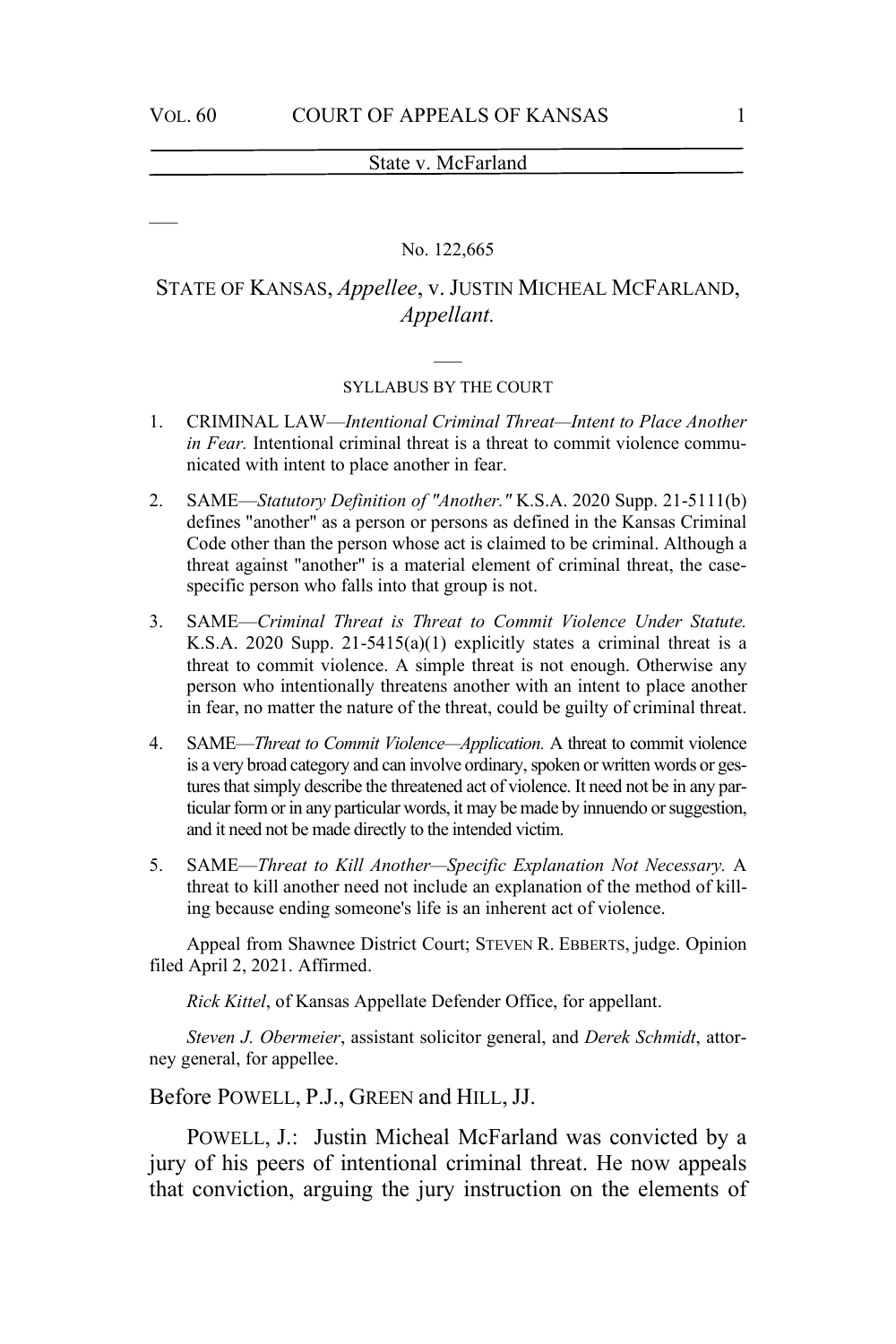#### No. 122,665

# STATE OF KANSAS, *Appellee*, v. JUSTIN MICHEAL MCFARLAND, *Appellant.*

# $\overline{\phantom{a}}$ SYLLABUS BY THE COURT

- 1. CRIMINAL LAW—*Intentional Criminal Threat—Intent to Place Another in Fear.* Intentional criminal threat is a threat to commit violence communicated with intent to place another in fear.
- 2. SAME—*Statutory Definition of "Another."* K.S.A. 2020 Supp. 21-5111(b) defines "another" as a person or persons as defined in the Kansas Criminal Code other than the person whose act is claimed to be criminal. Although a threat against "another" is a material element of criminal threat, the casespecific person who falls into that group is not.
- 3. SAME—*Criminal Threat is Threat to Commit Violence Under Statute.* K.S.A. 2020 Supp. 21-5415(a)(1) explicitly states a criminal threat is a threat to commit violence. A simple threat is not enough. Otherwise any person who intentionally threatens another with an intent to place another in fear, no matter the nature of the threat, could be guilty of criminal threat.
- 4. SAME—*Threat to Commit Violence—Application.* A threat to commit violence is a very broad category and can involve ordinary, spoken or written words or gestures that simply describe the threatened act of violence. It need not be in any particular form or in any particular words, it may be made by innuendo or suggestion, and it need not be made directly to the intended victim.
- 5. SAME—*Threat to Kill Another—Specific Explanation Not Necessary.* A threat to kill another need not include an explanation of the method of killing because ending someone's life is an inherent act of violence.

Appeal from Shawnee District Court; STEVEN R. EBBERTS, judge. Opinion filed April 2, 2021. Affirmed.

*Rick Kittel*, of Kansas Appellate Defender Office, for appellant.

*Steven J. Obermeier*, assistant solicitor general, and *Derek Schmidt*, attorney general, for appellee.

Before POWELL, P.J., GREEN and HILL, JJ.

POWELL, J.: Justin Micheal McFarland was convicted by a jury of his peers of intentional criminal threat. He now appeals that conviction, arguing the jury instruction on the elements of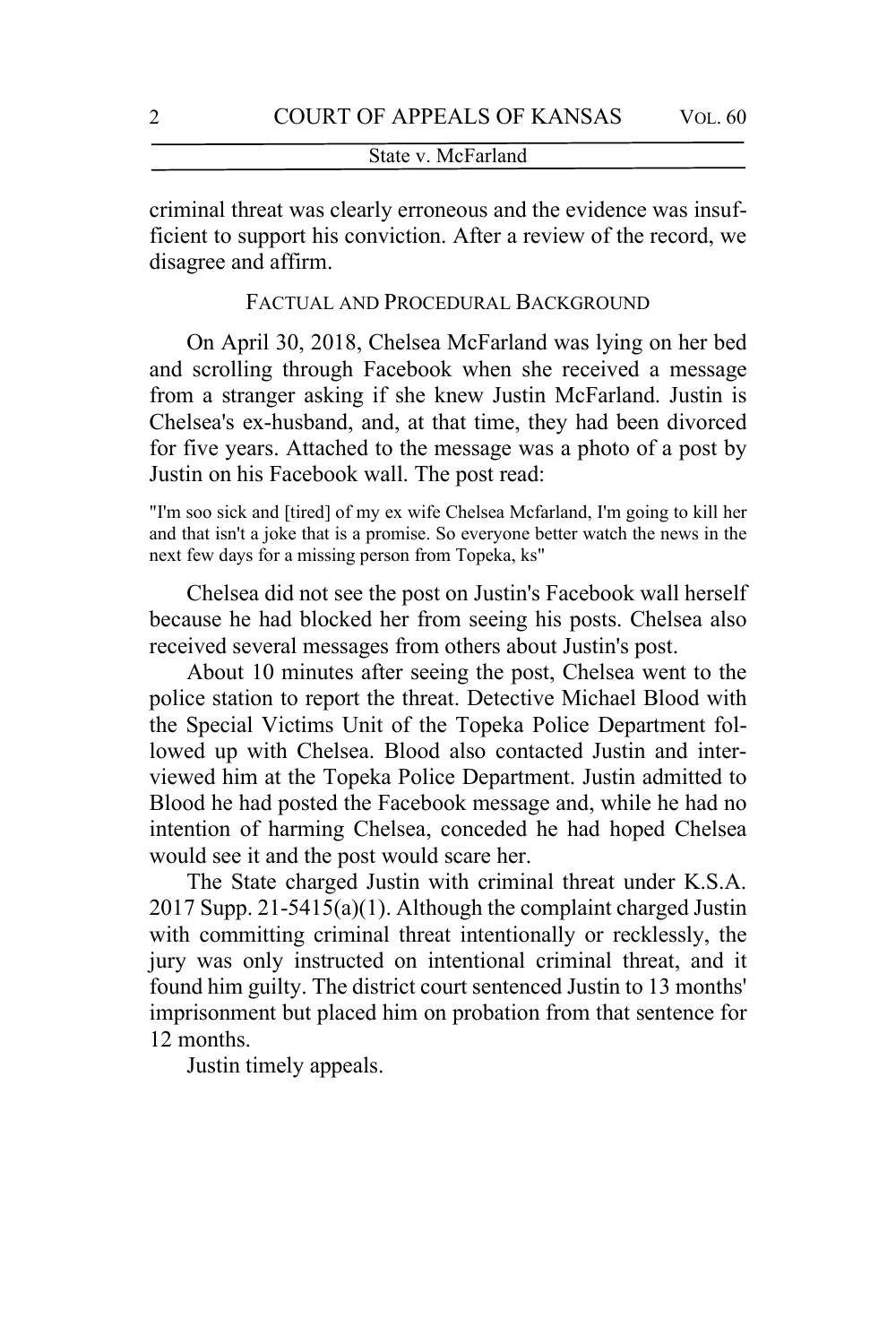criminal threat was clearly erroneous and the evidence was insufficient to support his conviction. After a review of the record, we disagree and affirm.

# FACTUAL AND PROCEDURAL BACKGROUND

On April 30, 2018, Chelsea McFarland was lying on her bed and scrolling through Facebook when she received a message from a stranger asking if she knew Justin McFarland. Justin is Chelsea's ex-husband, and, at that time, they had been divorced for five years. Attached to the message was a photo of a post by Justin on his Facebook wall. The post read:

"I'm soo sick and [tired] of my ex wife Chelsea Mcfarland, I'm going to kill her and that isn't a joke that is a promise. So everyone better watch the news in the next few days for a missing person from Topeka, ks"

Chelsea did not see the post on Justin's Facebook wall herself because he had blocked her from seeing his posts. Chelsea also received several messages from others about Justin's post.

About 10 minutes after seeing the post, Chelsea went to the police station to report the threat. Detective Michael Blood with the Special Victims Unit of the Topeka Police Department followed up with Chelsea. Blood also contacted Justin and interviewed him at the Topeka Police Department. Justin admitted to Blood he had posted the Facebook message and, while he had no intention of harming Chelsea, conceded he had hoped Chelsea would see it and the post would scare her.

The State charged Justin with criminal threat under K.S.A. 2017 Supp. 21-5415(a)(1). Although the complaint charged Justin with committing criminal threat intentionally or recklessly, the jury was only instructed on intentional criminal threat, and it found him guilty. The district court sentenced Justin to 13 months' imprisonment but placed him on probation from that sentence for 12 months.

Justin timely appeals.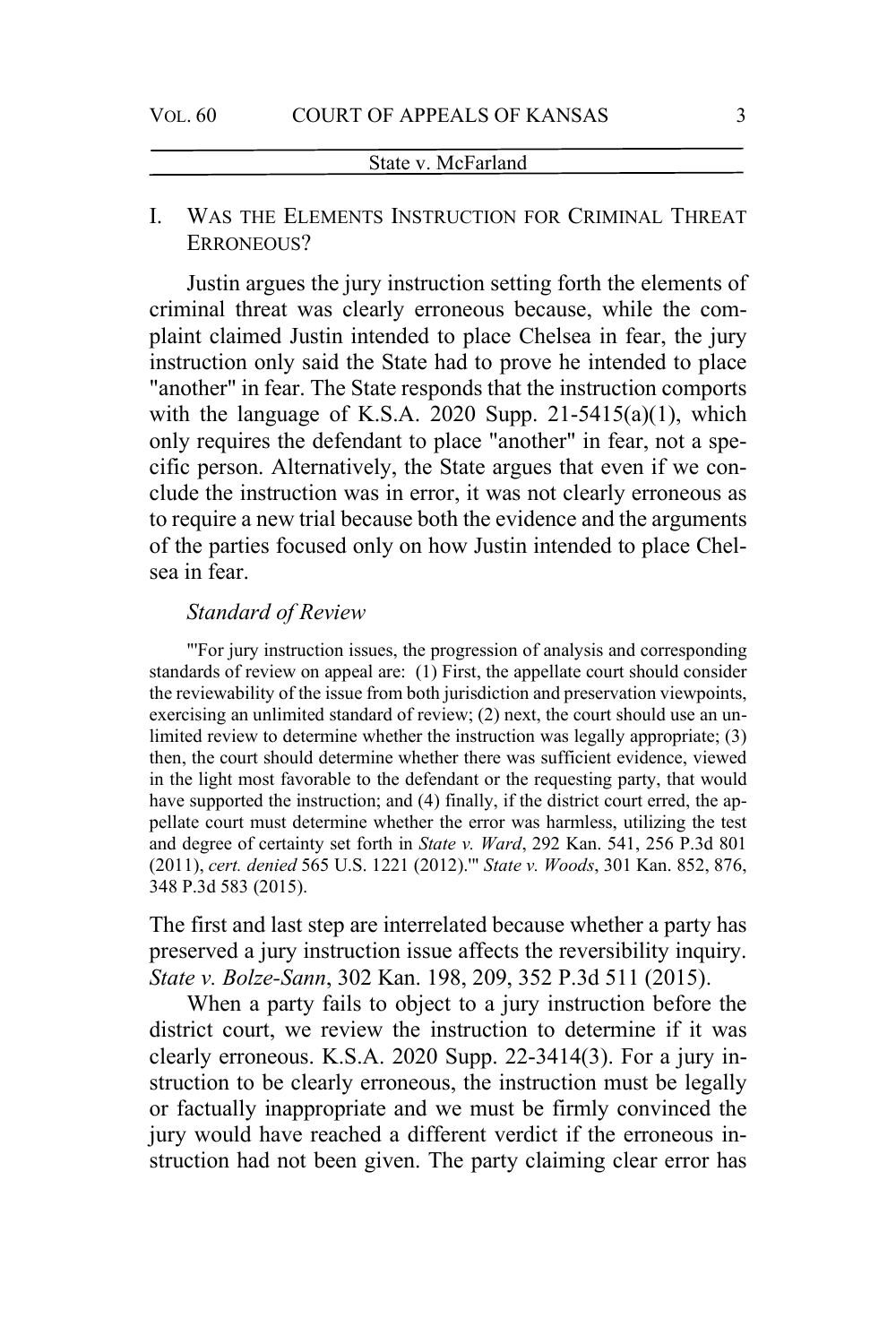# I. WAS THE ELEMENTS INSTRUCTION FOR CRIMINAL THREAT ERRONEOUS?

Justin argues the jury instruction setting forth the elements of criminal threat was clearly erroneous because, while the complaint claimed Justin intended to place Chelsea in fear, the jury instruction only said the State had to prove he intended to place "another" in fear. The State responds that the instruction comports with the language of K.S.A. 2020 Supp.  $21-5415(a)(1)$ , which only requires the defendant to place "another" in fear, not a specific person. Alternatively, the State argues that even if we conclude the instruction was in error, it was not clearly erroneous as to require a new trial because both the evidence and the arguments of the parties focused only on how Justin intended to place Chelsea in fear.

# *Standard of Review*

"'For jury instruction issues, the progression of analysis and corresponding standards of review on appeal are: (1) First, the appellate court should consider the reviewability of the issue from both jurisdiction and preservation viewpoints, exercising an unlimited standard of review; (2) next, the court should use an unlimited review to determine whether the instruction was legally appropriate; (3) then, the court should determine whether there was sufficient evidence, viewed in the light most favorable to the defendant or the requesting party, that would have supported the instruction; and (4) finally, if the district court erred, the appellate court must determine whether the error was harmless, utilizing the test and degree of certainty set forth in *State v. Ward*, 292 Kan. 541, 256 P.3d 801 (2011), *cert. denied* 565 U.S. 1221 (2012).'" *State v. Woods*, 301 Kan. 852, 876, 348 P.3d 583 (2015).

The first and last step are interrelated because whether a party has preserved a jury instruction issue affects the reversibility inquiry. *State v. Bolze-Sann*, 302 Kan. 198, 209, 352 P.3d 511 (2015).

When a party fails to object to a jury instruction before the district court, we review the instruction to determine if it was clearly erroneous. K.S.A. 2020 Supp. 22-3414(3). For a jury instruction to be clearly erroneous, the instruction must be legally or factually inappropriate and we must be firmly convinced the jury would have reached a different verdict if the erroneous instruction had not been given. The party claiming clear error has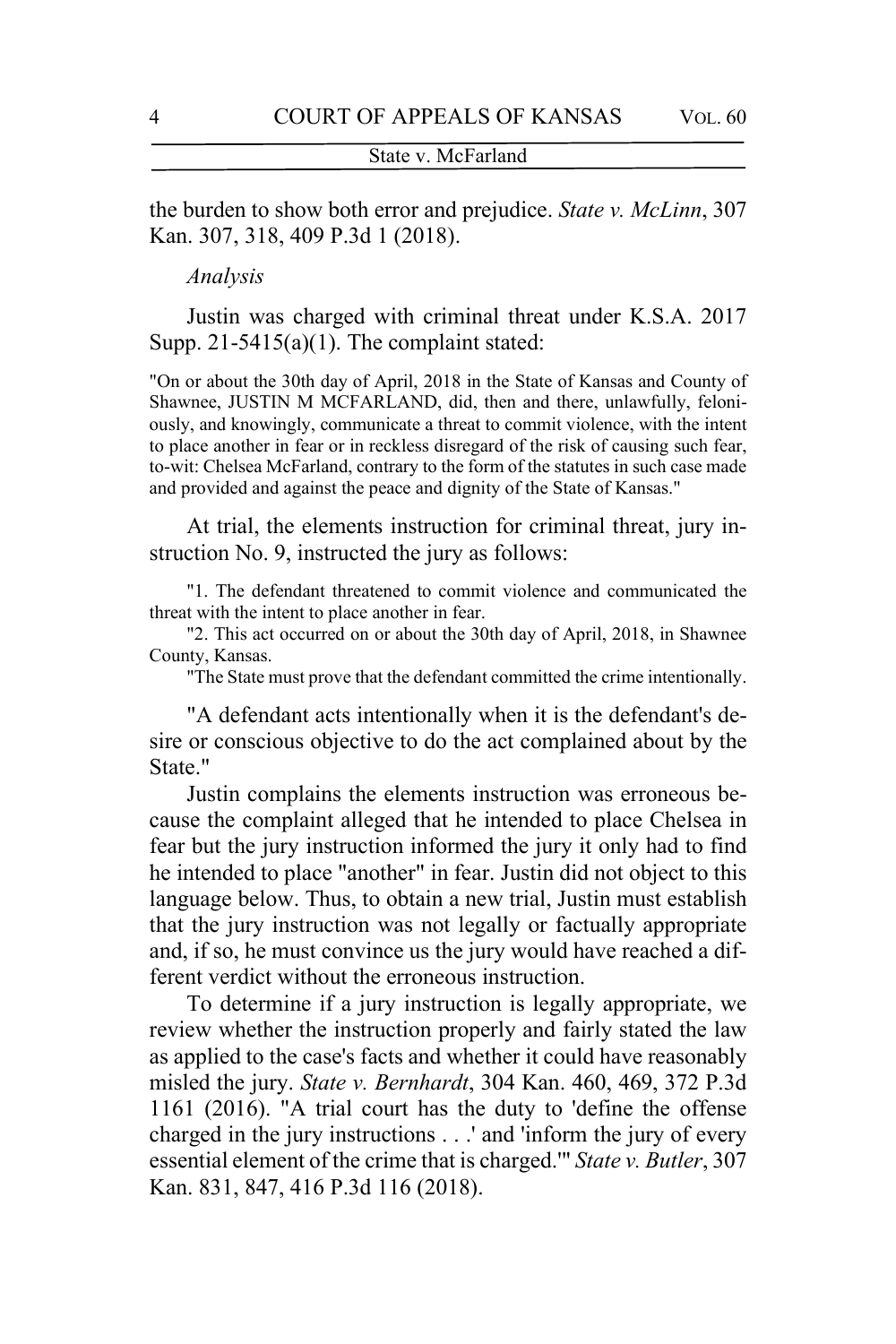the burden to show both error and prejudice. *State v. McLinn*, 307 Kan. 307, 318, 409 P.3d 1 (2018).

*Analysis*

Justin was charged with criminal threat under K.S.A. 2017 Supp.  $21-5415(a)(1)$ . The complaint stated:

"On or about the 30th day of April, 2018 in the State of Kansas and County of Shawnee, JUSTIN M MCFARLAND, did, then and there, unlawfully, feloniously, and knowingly, communicate a threat to commit violence, with the intent to place another in fear or in reckless disregard of the risk of causing such fear, to-wit: Chelsea McFarland, contrary to the form of the statutes in such case made and provided and against the peace and dignity of the State of Kansas."

At trial, the elements instruction for criminal threat, jury instruction No. 9, instructed the jury as follows:

"1. The defendant threatened to commit violence and communicated the threat with the intent to place another in fear.

"2. This act occurred on or about the 30th day of April, 2018, in Shawnee County, Kansas.

"The State must prove that the defendant committed the crime intentionally.

"A defendant acts intentionally when it is the defendant's desire or conscious objective to do the act complained about by the State."

Justin complains the elements instruction was erroneous because the complaint alleged that he intended to place Chelsea in fear but the jury instruction informed the jury it only had to find he intended to place "another" in fear. Justin did not object to this language below. Thus, to obtain a new trial, Justin must establish that the jury instruction was not legally or factually appropriate and, if so, he must convince us the jury would have reached a different verdict without the erroneous instruction.

To determine if a jury instruction is legally appropriate, we review whether the instruction properly and fairly stated the law as applied to the case's facts and whether it could have reasonably misled the jury. *State v. Bernhardt*, 304 Kan. 460, 469, 372 P.3d 1161 (2016). "A trial court has the duty to 'define the offense charged in the jury instructions . . .' and 'inform the jury of every essential element of the crime that is charged.'" *State v. Butler*, 307 Kan. 831, 847, 416 P.3d 116 (2018).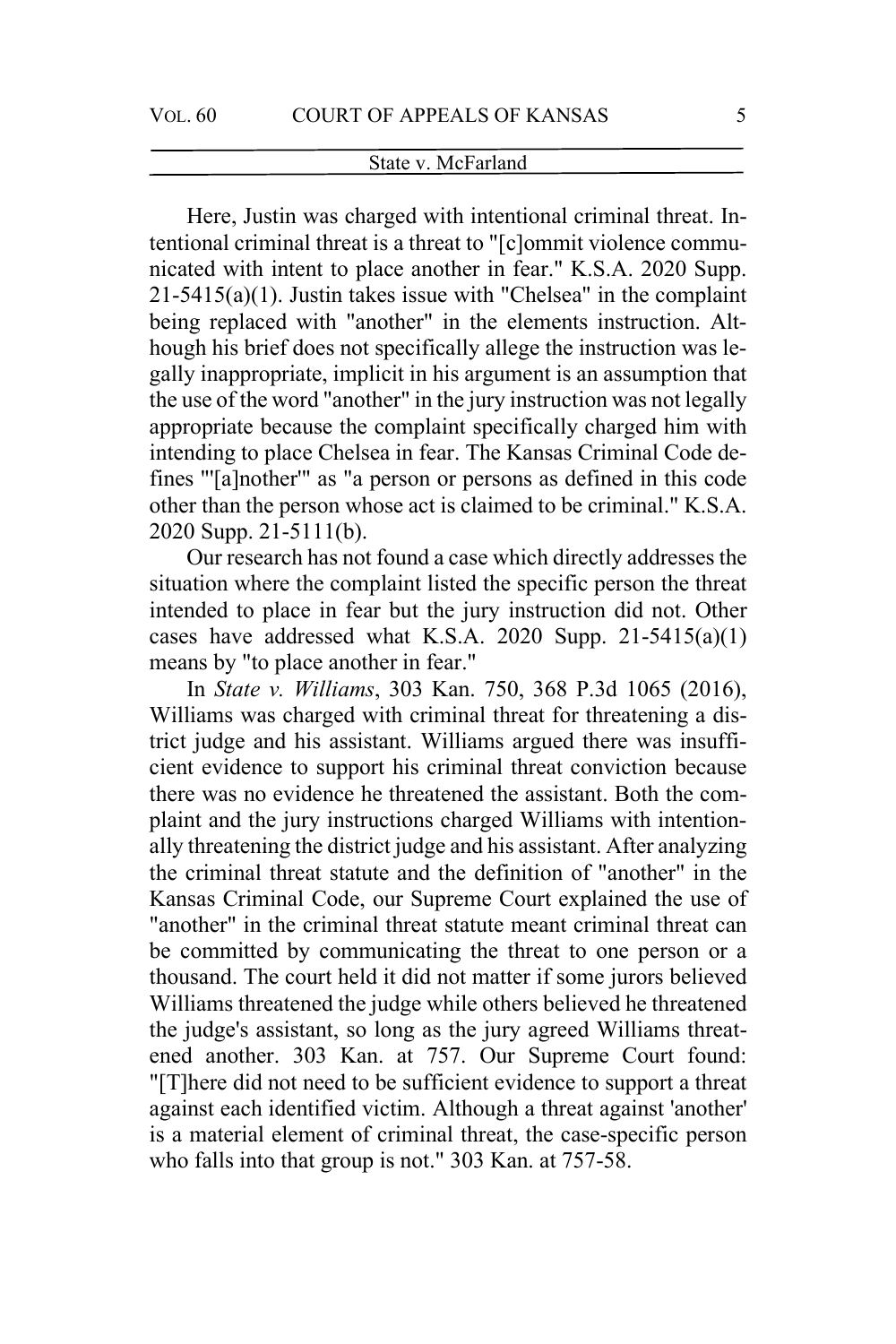Here, Justin was charged with intentional criminal threat. Intentional criminal threat is a threat to "[c]ommit violence communicated with intent to place another in fear." K.S.A. 2020 Supp. 21-5415(a)(1). Justin takes issue with "Chelsea" in the complaint being replaced with "another" in the elements instruction. Although his brief does not specifically allege the instruction was legally inappropriate, implicit in his argument is an assumption that the use of the word "another" in the jury instruction was not legally appropriate because the complaint specifically charged him with intending to place Chelsea in fear. The Kansas Criminal Code defines "'[a]nother'" as "a person or persons as defined in this code other than the person whose act is claimed to be criminal." K.S.A. 2020 Supp. 21-5111(b).

Our research has not found a case which directly addresses the situation where the complaint listed the specific person the threat intended to place in fear but the jury instruction did not. Other cases have addressed what K.S.A. 2020 Supp.  $21-5415(a)(1)$ means by "to place another in fear."

In *State v. Williams*, 303 Kan. 750, 368 P.3d 1065 (2016), Williams was charged with criminal threat for threatening a district judge and his assistant. Williams argued there was insufficient evidence to support his criminal threat conviction because there was no evidence he threatened the assistant. Both the complaint and the jury instructions charged Williams with intentionally threatening the district judge and his assistant. After analyzing the criminal threat statute and the definition of "another" in the Kansas Criminal Code, our Supreme Court explained the use of "another" in the criminal threat statute meant criminal threat can be committed by communicating the threat to one person or a thousand. The court held it did not matter if some jurors believed Williams threatened the judge while others believed he threatened the judge's assistant, so long as the jury agreed Williams threatened another. 303 Kan. at 757. Our Supreme Court found: "[T]here did not need to be sufficient evidence to support a threat against each identified victim. Although a threat against 'another' is a material element of criminal threat, the case-specific person who falls into that group is not." 303 Kan. at 757-58.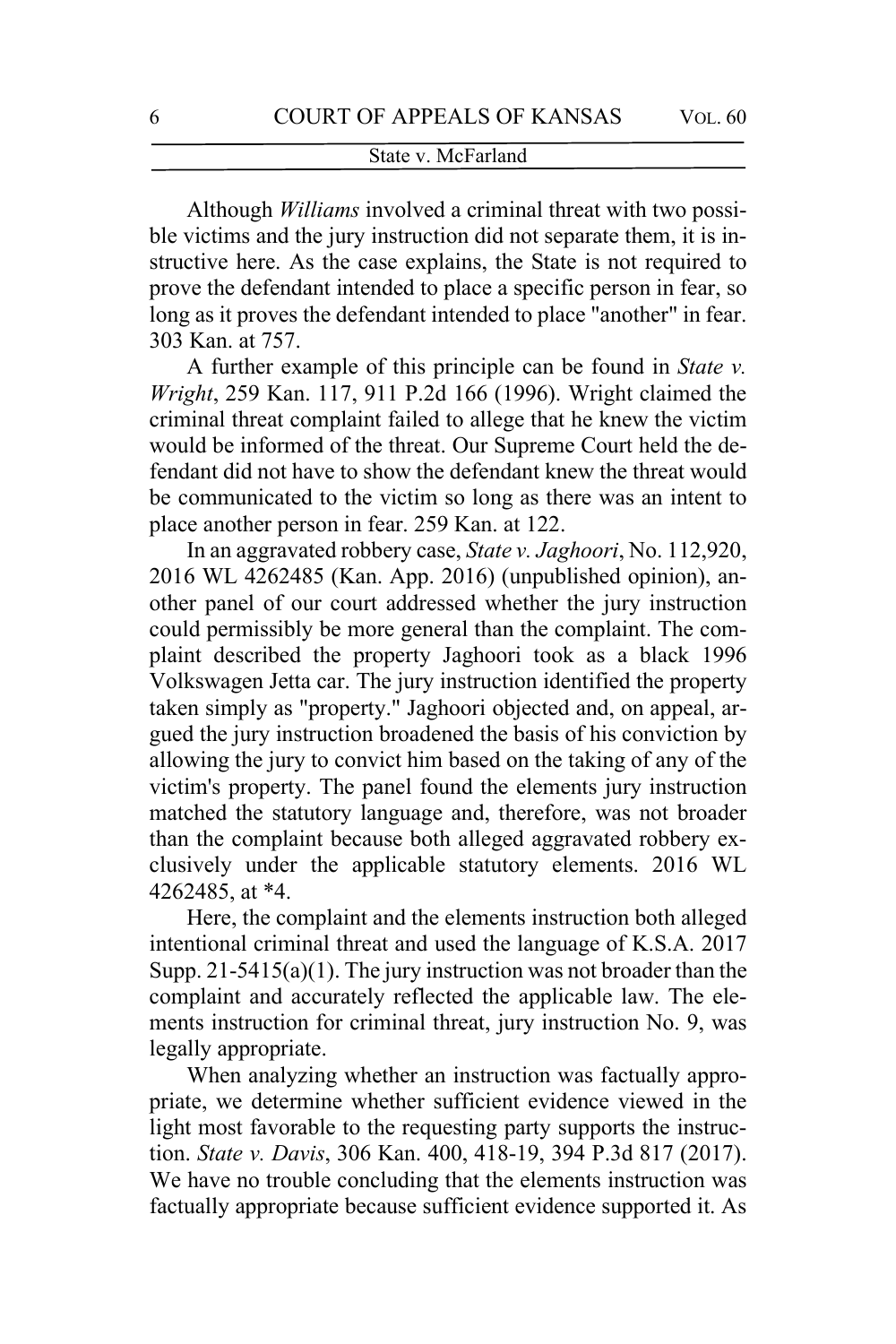Although *Williams* involved a criminal threat with two possible victims and the jury instruction did not separate them, it is instructive here. As the case explains, the State is not required to prove the defendant intended to place a specific person in fear, so long as it proves the defendant intended to place "another" in fear. 303 Kan. at 757.

A further example of this principle can be found in *State v. Wright*, 259 Kan. 117, 911 P.2d 166 (1996). Wright claimed the criminal threat complaint failed to allege that he knew the victim would be informed of the threat. Our Supreme Court held the defendant did not have to show the defendant knew the threat would be communicated to the victim so long as there was an intent to place another person in fear. 259 Kan. at 122.

In an aggravated robbery case, *State v. Jaghoori*, No. 112,920, 2016 WL 4262485 (Kan. App. 2016) (unpublished opinion), another panel of our court addressed whether the jury instruction could permissibly be more general than the complaint. The complaint described the property Jaghoori took as a black 1996 Volkswagen Jetta car. The jury instruction identified the property taken simply as "property." Jaghoori objected and, on appeal, argued the jury instruction broadened the basis of his conviction by allowing the jury to convict him based on the taking of any of the victim's property. The panel found the elements jury instruction matched the statutory language and, therefore, was not broader than the complaint because both alleged aggravated robbery exclusively under the applicable statutory elements. 2016 WL 4262485, at \*4.

Here, the complaint and the elements instruction both alleged intentional criminal threat and used the language of K.S.A. 2017 Supp. 21-5415(a)(1). The jury instruction was not broader than the complaint and accurately reflected the applicable law. The elements instruction for criminal threat, jury instruction No. 9, was legally appropriate.

When analyzing whether an instruction was factually appropriate, we determine whether sufficient evidence viewed in the light most favorable to the requesting party supports the instruction. *State v. Davis*, 306 Kan. 400, 418-19, 394 P.3d 817 (2017). We have no trouble concluding that the elements instruction was factually appropriate because sufficient evidence supported it. As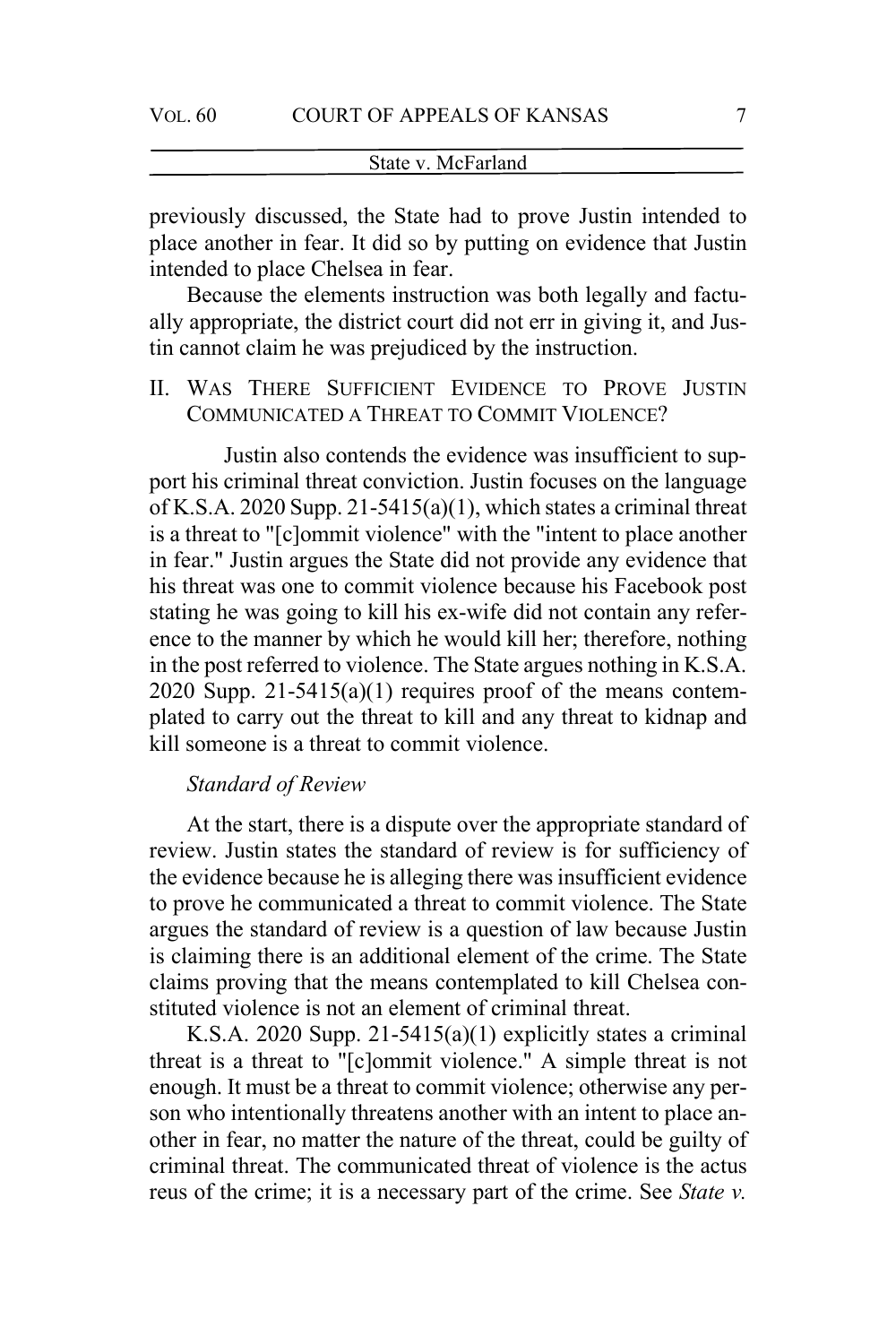previously discussed, the State had to prove Justin intended to place another in fear. It did so by putting on evidence that Justin intended to place Chelsea in fear.

Because the elements instruction was both legally and factually appropriate, the district court did not err in giving it, and Justin cannot claim he was prejudiced by the instruction.

II. WAS THERE SUFFICIENT EVIDENCE TO PROVE JUSTIN COMMUNICATED A THREAT TO COMMIT VIOLENCE?

Justin also contends the evidence was insufficient to support his criminal threat conviction. Justin focuses on the language of K.S.A. 2020 Supp. 21-5415(a)(1), which states a criminal threat is a threat to "[c]ommit violence" with the "intent to place another in fear." Justin argues the State did not provide any evidence that his threat was one to commit violence because his Facebook post stating he was going to kill his ex-wife did not contain any reference to the manner by which he would kill her; therefore, nothing in the post referred to violence. The State argues nothing in K.S.A. 2020 Supp.  $21-5415(a)(1)$  requires proof of the means contemplated to carry out the threat to kill and any threat to kidnap and kill someone is a threat to commit violence.

# *Standard of Review*

At the start, there is a dispute over the appropriate standard of review. Justin states the standard of review is for sufficiency of the evidence because he is alleging there was insufficient evidence to prove he communicated a threat to commit violence. The State argues the standard of review is a question of law because Justin is claiming there is an additional element of the crime. The State claims proving that the means contemplated to kill Chelsea constituted violence is not an element of criminal threat.

K.S.A. 2020 Supp. 21-5415(a)(1) explicitly states a criminal threat is a threat to "[c]ommit violence." A simple threat is not enough. It must be a threat to commit violence; otherwise any person who intentionally threatens another with an intent to place another in fear, no matter the nature of the threat, could be guilty of criminal threat. The communicated threat of violence is the actus reus of the crime; it is a necessary part of the crime. See *State v.*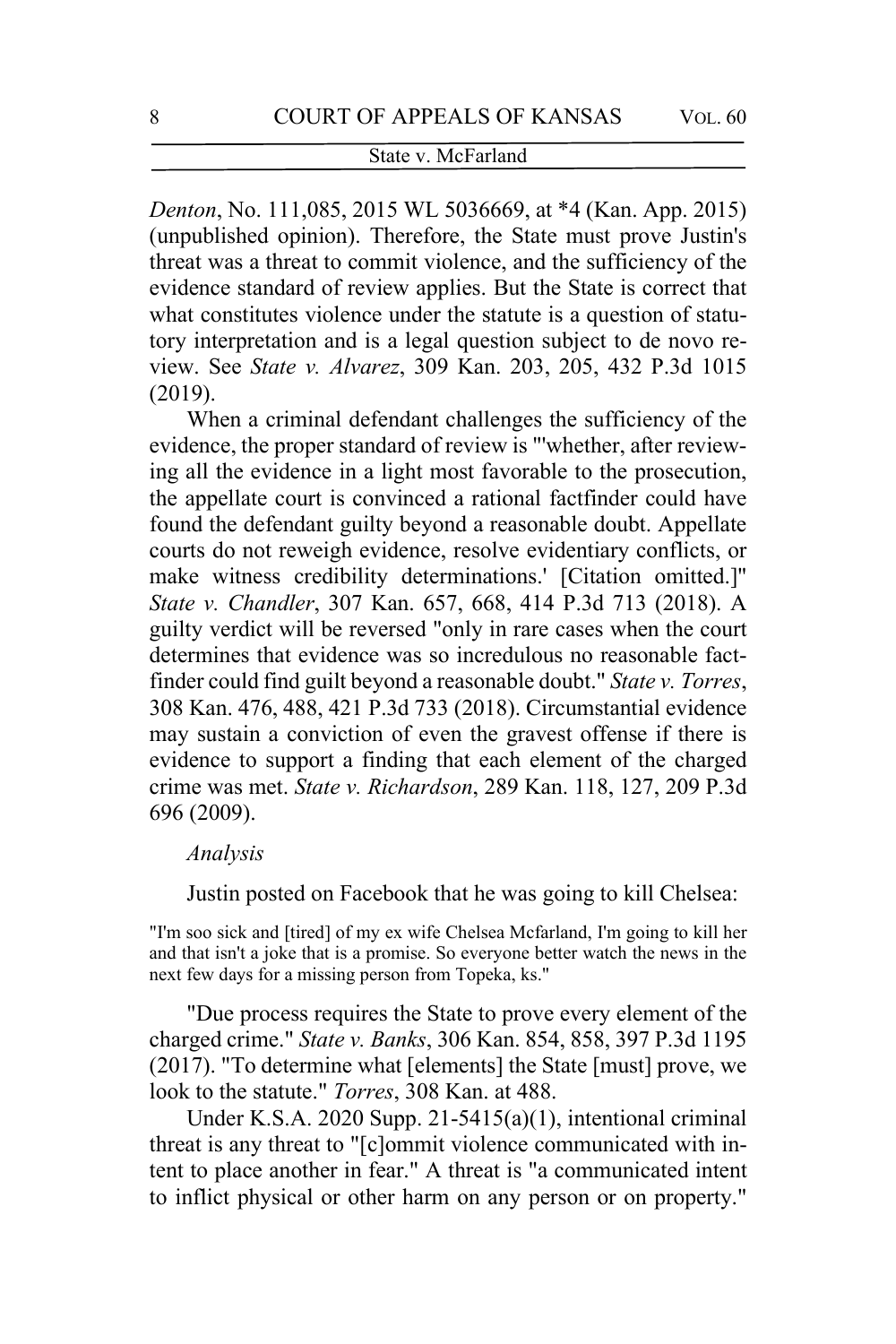*Denton*, No. 111,085, 2015 WL 5036669, at \*4 (Kan. App. 2015) (unpublished opinion). Therefore, the State must prove Justin's threat was a threat to commit violence, and the sufficiency of the evidence standard of review applies. But the State is correct that what constitutes violence under the statute is a question of statutory interpretation and is a legal question subject to de novo review. See *State v. Alvarez*, 309 Kan. 203, 205, 432 P.3d 1015 (2019).

When a criminal defendant challenges the sufficiency of the evidence, the proper standard of review is "'whether, after reviewing all the evidence in a light most favorable to the prosecution, the appellate court is convinced a rational factfinder could have found the defendant guilty beyond a reasonable doubt. Appellate courts do not reweigh evidence, resolve evidentiary conflicts, or make witness credibility determinations.' [Citation omitted.]" *State v. Chandler*, 307 Kan. 657, 668, 414 P.3d 713 (2018). A guilty verdict will be reversed "only in rare cases when the court determines that evidence was so incredulous no reasonable factfinder could find guilt beyond a reasonable doubt." *State v. Torres*, 308 Kan. 476, 488, 421 P.3d 733 (2018). Circumstantial evidence may sustain a conviction of even the gravest offense if there is evidence to support a finding that each element of the charged crime was met. *State v. Richardson*, 289 Kan. 118, 127, 209 P.3d 696 (2009).

#### *Analysis*

Justin posted on Facebook that he was going to kill Chelsea:

"I'm soo sick and [tired] of my ex wife Chelsea Mcfarland, I'm going to kill her and that isn't a joke that is a promise. So everyone better watch the news in the next few days for a missing person from Topeka, ks."

"Due process requires the State to prove every element of the charged crime." *State v. Banks*, 306 Kan. 854, 858, 397 P.3d 1195 (2017). "To determine what [elements] the State [must] prove, we look to the statute." *Torres*, 308 Kan. at 488.

Under K.S.A. 2020 Supp. 21-5415(a)(1), intentional criminal threat is any threat to "[c]ommit violence communicated with intent to place another in fear." A threat is "a communicated intent to inflict physical or other harm on any person or on property."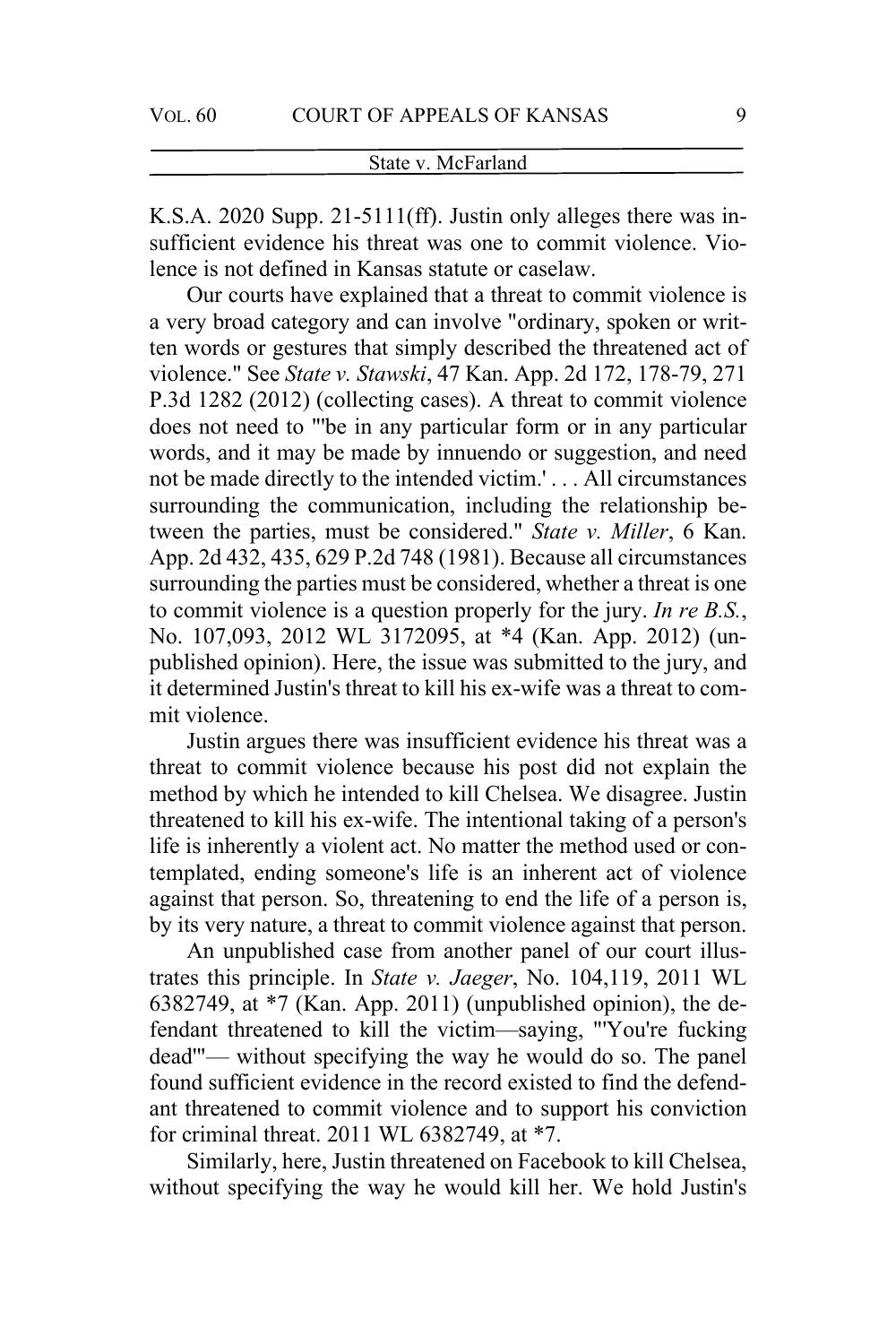K.S.A. 2020 Supp. 21-5111(ff). Justin only alleges there was insufficient evidence his threat was one to commit violence. Violence is not defined in Kansas statute or caselaw.

Our courts have explained that a threat to commit violence is a very broad category and can involve "ordinary, spoken or written words or gestures that simply described the threatened act of violence." See *State v. Stawski*, 47 Kan. App. 2d 172, 178-79, 271 P.3d 1282 (2012) (collecting cases). A threat to commit violence does not need to "'be in any particular form or in any particular words, and it may be made by innuendo or suggestion, and need not be made directly to the intended victim.' . . . All circumstances surrounding the communication, including the relationship between the parties, must be considered." *State v. Miller*, 6 Kan. App. 2d 432, 435, 629 P.2d 748 (1981). Because all circumstances surrounding the parties must be considered, whether a threat is one to commit violence is a question properly for the jury. *In re B.S.*, No. 107,093, 2012 WL 3172095, at \*4 (Kan. App. 2012) (unpublished opinion). Here, the issue was submitted to the jury, and it determined Justin's threat to kill his ex-wife was a threat to commit violence.

Justin argues there was insufficient evidence his threat was a threat to commit violence because his post did not explain the method by which he intended to kill Chelsea. We disagree. Justin threatened to kill his ex-wife. The intentional taking of a person's life is inherently a violent act. No matter the method used or contemplated, ending someone's life is an inherent act of violence against that person. So, threatening to end the life of a person is, by its very nature, a threat to commit violence against that person.

An unpublished case from another panel of our court illustrates this principle. In *State v. Jaeger*, No. 104,119, 2011 WL 6382749, at \*7 (Kan. App. 2011) (unpublished opinion), the defendant threatened to kill the victim—saying, "'You're fucking dead'"— without specifying the way he would do so. The panel found sufficient evidence in the record existed to find the defendant threatened to commit violence and to support his conviction for criminal threat. 2011 WL 6382749, at \*7.

Similarly, here, Justin threatened on Facebook to kill Chelsea, without specifying the way he would kill her. We hold Justin's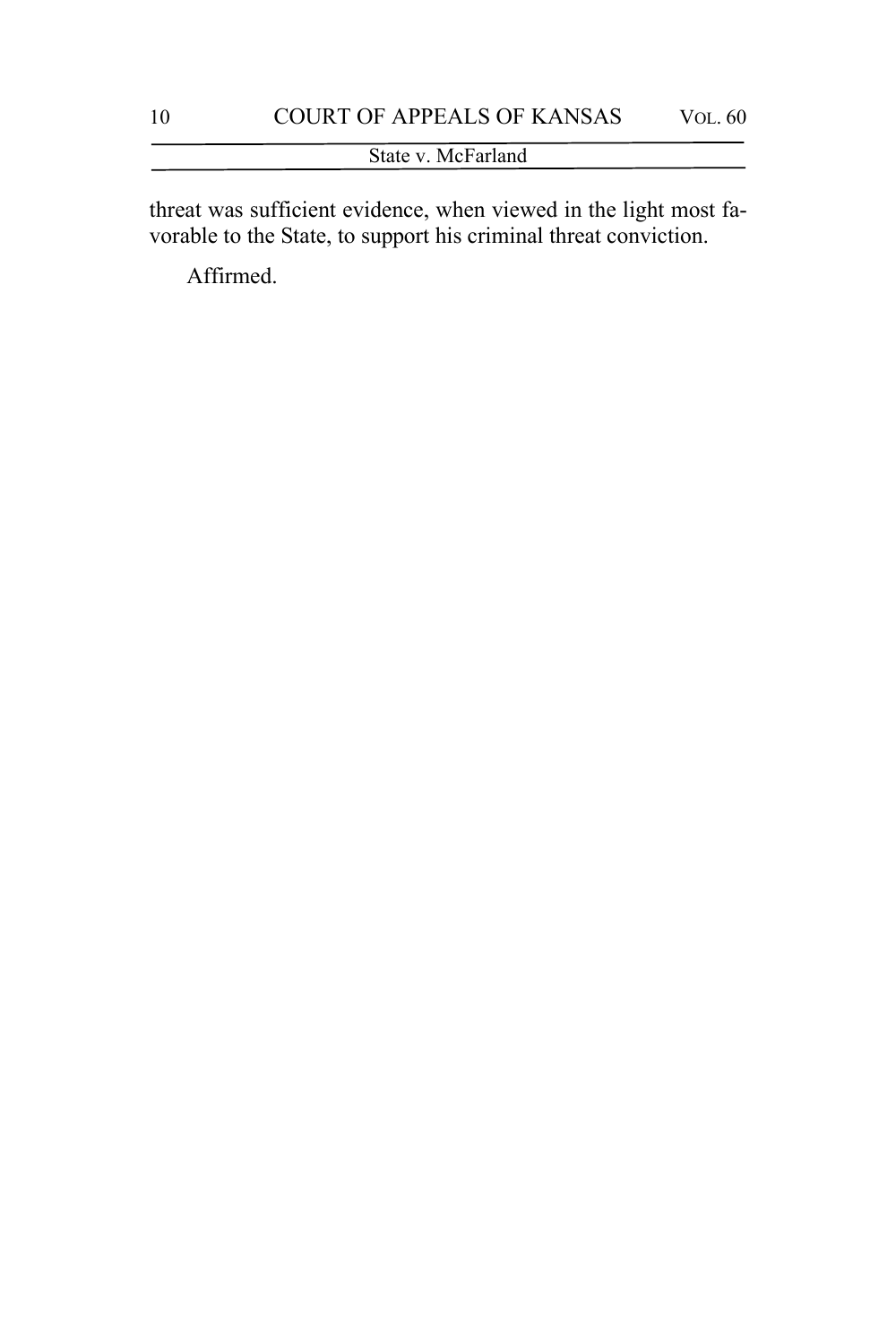threat was sufficient evidence, when viewed in the light most favorable to the State, to support his criminal threat conviction.

Affirmed.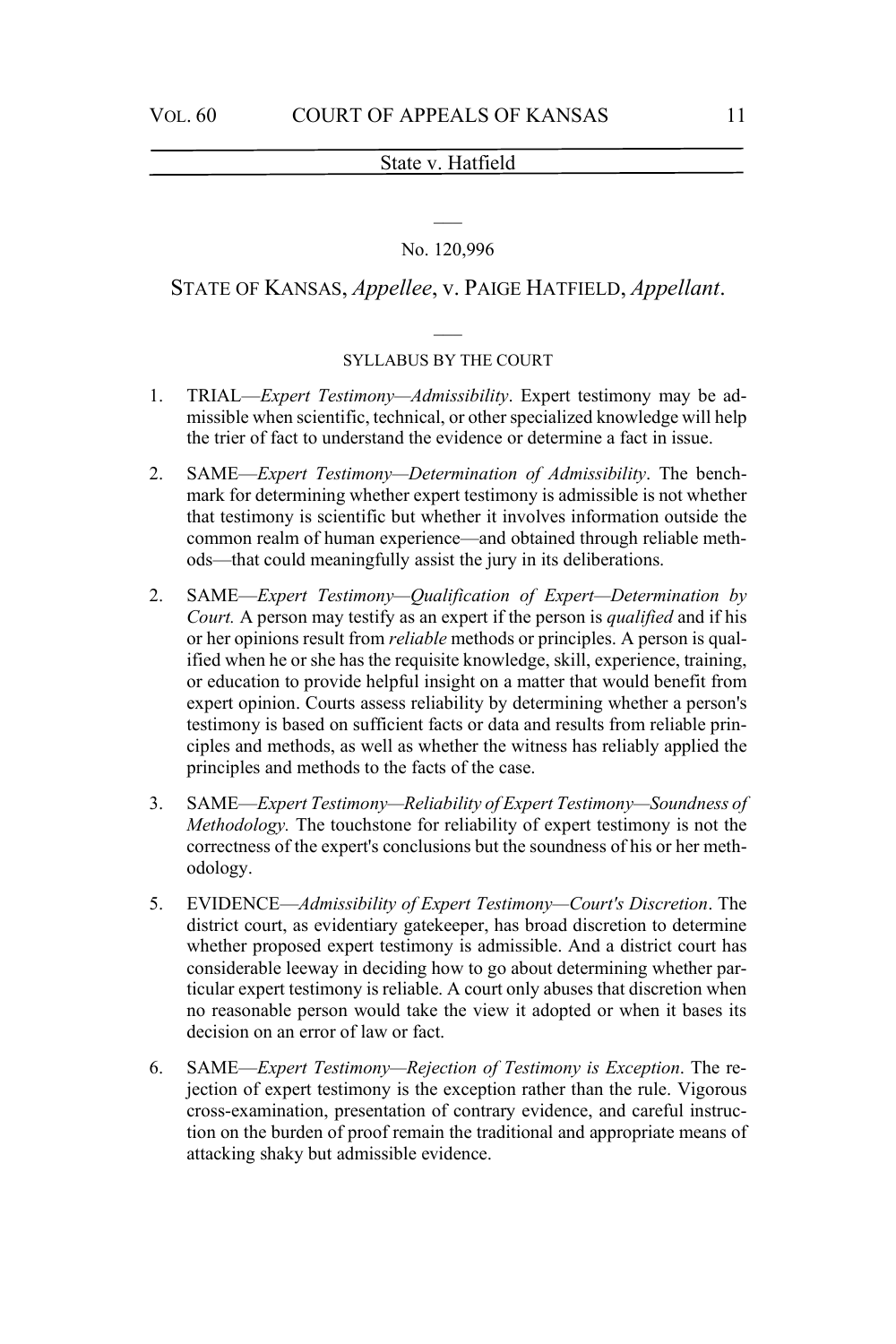#### No. 120,996

#### STATE OF KANSAS, *Appellee*, v. PAIGE HATFIELD, *Appellant*.

#### SYLLABUS BY THE COURT

- 1. TRIAL—*Expert Testimony—Admissibility*. Expert testimony may be admissible when scientific, technical, or other specialized knowledge will help the trier of fact to understand the evidence or determine a fact in issue.
- 2. SAME—*Expert Testimony—Determination of Admissibility*. The benchmark for determining whether expert testimony is admissible is not whether that testimony is scientific but whether it involves information outside the common realm of human experience—and obtained through reliable methods—that could meaningfully assist the jury in its deliberations.
- 2. SAME—*Expert Testimony—Qualification of Expert—Determination by Court.* A person may testify as an expert if the person is *qualified* and if his or her opinions result from *reliable* methods or principles. A person is qualified when he or she has the requisite knowledge, skill, experience, training, or education to provide helpful insight on a matter that would benefit from expert opinion. Courts assess reliability by determining whether a person's testimony is based on sufficient facts or data and results from reliable principles and methods, as well as whether the witness has reliably applied the principles and methods to the facts of the case.
- 3. SAME—*Expert Testimony—Reliability of Expert Testimony—Soundness of Methodology.* The touchstone for reliability of expert testimony is not the correctness of the expert's conclusions but the soundness of his or her methodology.
- 5. EVIDENCE—*Admissibility of Expert Testimony—Court's Discretion*. The district court, as evidentiary gatekeeper, has broad discretion to determine whether proposed expert testimony is admissible. And a district court has considerable leeway in deciding how to go about determining whether particular expert testimony is reliable. A court only abuses that discretion when no reasonable person would take the view it adopted or when it bases its decision on an error of law or fact.
- 6. SAME—*Expert Testimony—Rejection of Testimony is Exception*. The rejection of expert testimony is the exception rather than the rule. Vigorous cross-examination, presentation of contrary evidence, and careful instruction on the burden of proof remain the traditional and appropriate means of attacking shaky but admissible evidence.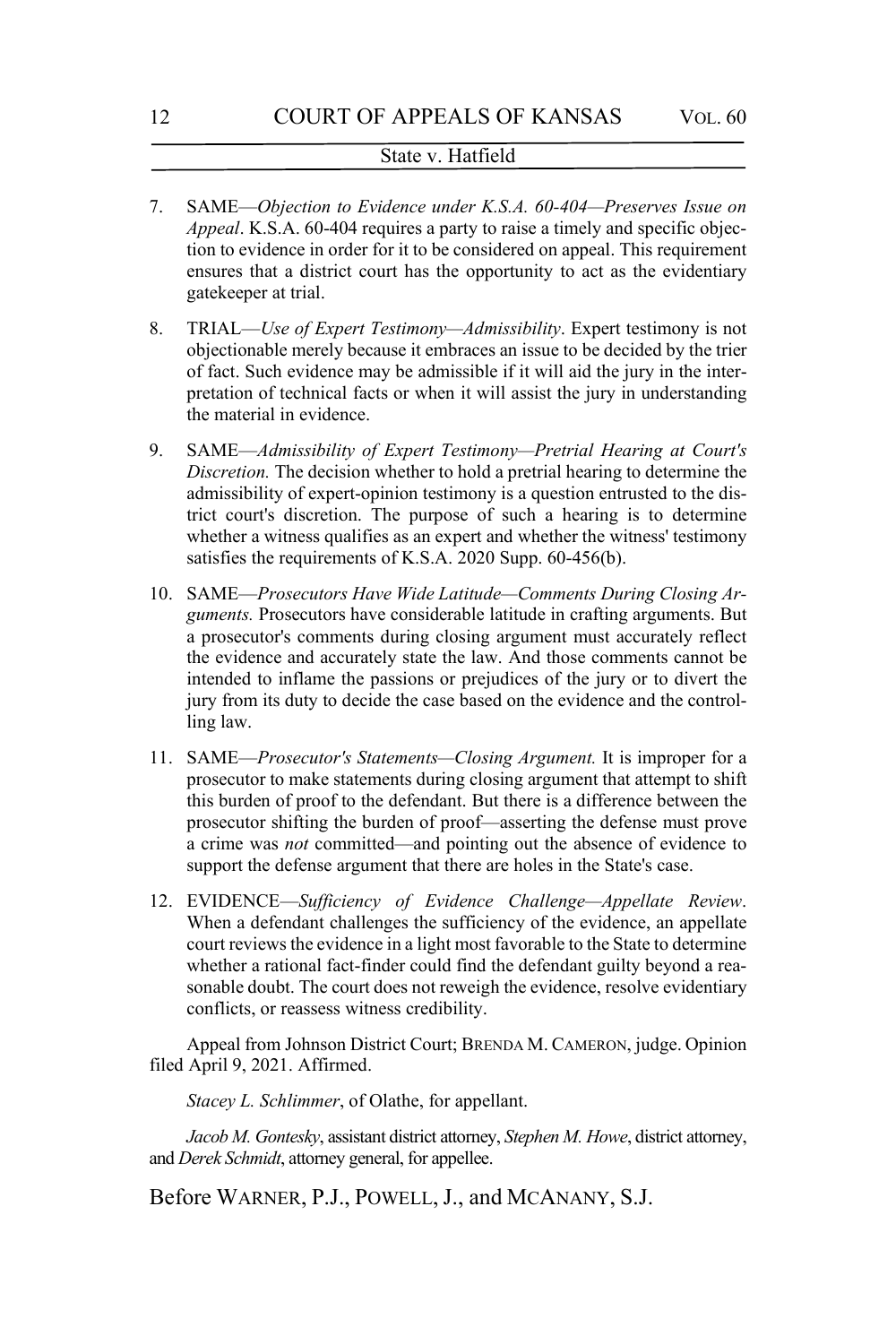- 7. SAME—*Objection to Evidence under K.S.A. 60-404—Preserves Issue on Appeal*. K.S.A. 60-404 requires a party to raise a timely and specific objection to evidence in order for it to be considered on appeal. This requirement ensures that a district court has the opportunity to act as the evidentiary gatekeeper at trial.
- 8. TRIAL—*Use of Expert Testimony—Admissibility*. Expert testimony is not objectionable merely because it embraces an issue to be decided by the trier of fact. Such evidence may be admissible if it will aid the jury in the interpretation of technical facts or when it will assist the jury in understanding the material in evidence.
- 9. SAME—*Admissibility of Expert Testimony—Pretrial Hearing at Court's Discretion.* The decision whether to hold a pretrial hearing to determine the admissibility of expert-opinion testimony is a question entrusted to the district court's discretion. The purpose of such a hearing is to determine whether a witness qualifies as an expert and whether the witness' testimony satisfies the requirements of K.S.A. 2020 Supp. 60-456(b).
- 10. SAME—*Prosecutors Have Wide Latitude—Comments During Closing Arguments.* Prosecutors have considerable latitude in crafting arguments. But a prosecutor's comments during closing argument must accurately reflect the evidence and accurately state the law. And those comments cannot be intended to inflame the passions or prejudices of the jury or to divert the jury from its duty to decide the case based on the evidence and the controlling law.
- 11. SAME—*Prosecutor's Statements—Closing Argument.* It is improper for a prosecutor to make statements during closing argument that attempt to shift this burden of proof to the defendant. But there is a difference between the prosecutor shifting the burden of proof—asserting the defense must prove a crime was *not* committed—and pointing out the absence of evidence to support the defense argument that there are holes in the State's case.
- 12. EVIDENCE—*Sufficiency of Evidence Challenge—Appellate Review*. When a defendant challenges the sufficiency of the evidence, an appellate court reviews the evidence in a light most favorable to the State to determine whether a rational fact-finder could find the defendant guilty beyond a reasonable doubt. The court does not reweigh the evidence, resolve evidentiary conflicts, or reassess witness credibility.

Appeal from Johnson District Court; BRENDA M. CAMERON, judge. Opinion filed April 9, 2021. Affirmed.

*Stacey L. Schlimmer*, of Olathe, for appellant.

*Jacob M. Gontesky*, assistant district attorney, *Stephen M. Howe*, district attorney, and *Derek Schmidt*, attorney general, for appellee.

Before WARNER, P.J., POWELL, J., and MCANANY, S.J.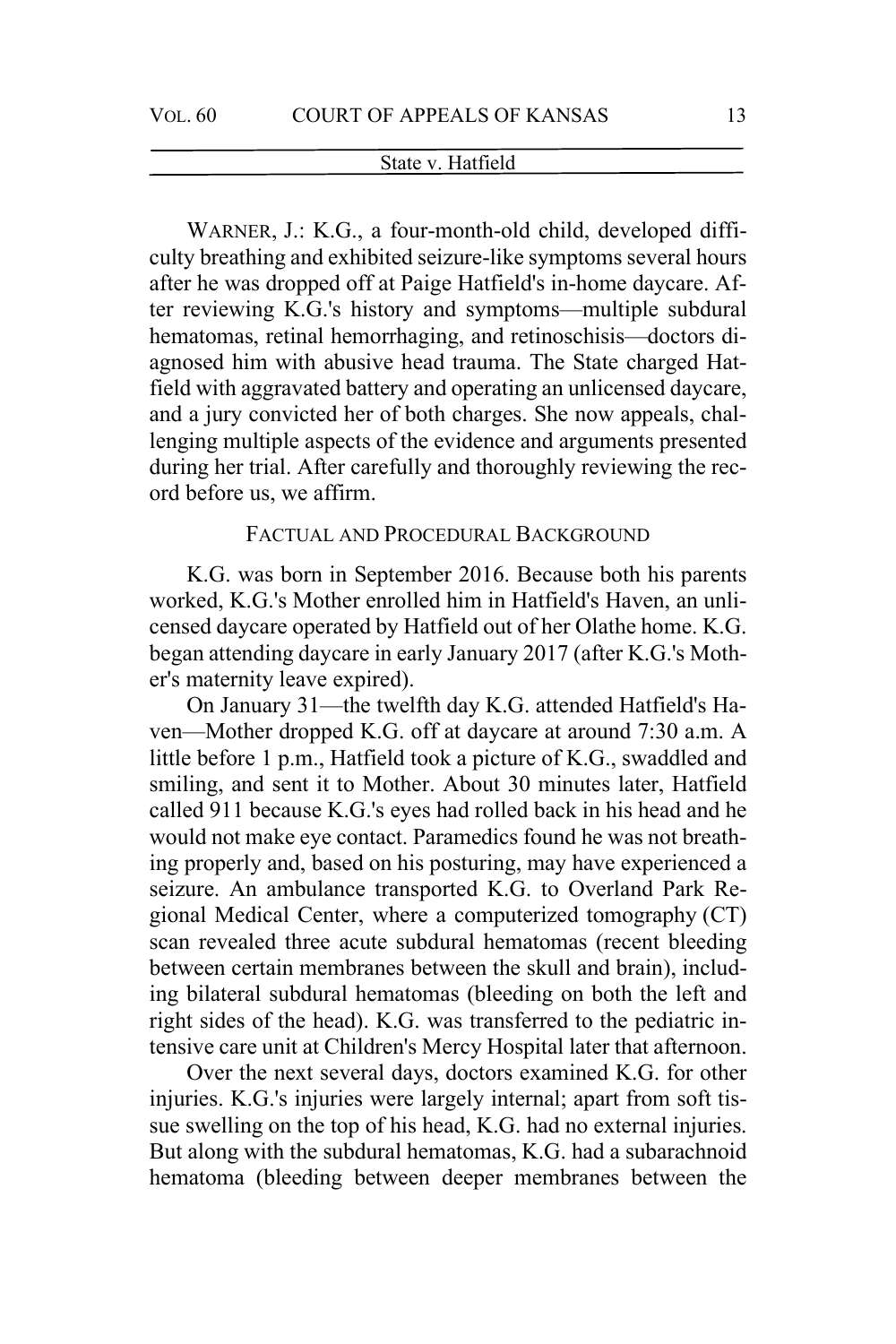WARNER, J.: K.G., a four-month-old child, developed difficulty breathing and exhibited seizure-like symptoms several hours after he was dropped off at Paige Hatfield's in-home daycare. After reviewing K.G.'s history and symptoms—multiple subdural hematomas, retinal hemorrhaging, and retinoschisis—doctors diagnosed him with abusive head trauma. The State charged Hatfield with aggravated battery and operating an unlicensed daycare, and a jury convicted her of both charges. She now appeals, challenging multiple aspects of the evidence and arguments presented during her trial. After carefully and thoroughly reviewing the record before us, we affirm.

# FACTUAL AND PROCEDURAL BACKGROUND

K.G. was born in September 2016. Because both his parents worked, K.G.'s Mother enrolled him in Hatfield's Haven, an unlicensed daycare operated by Hatfield out of her Olathe home. K.G. began attending daycare in early January 2017 (after K.G.'s Mother's maternity leave expired).

On January 31—the twelfth day K.G. attended Hatfield's Haven—Mother dropped K.G. off at daycare at around 7:30 a.m. A little before 1 p.m., Hatfield took a picture of K.G., swaddled and smiling, and sent it to Mother. About 30 minutes later, Hatfield called 911 because K.G.'s eyes had rolled back in his head and he would not make eye contact. Paramedics found he was not breathing properly and, based on his posturing, may have experienced a seizure. An ambulance transported K.G. to Overland Park Regional Medical Center, where a computerized tomography (CT) scan revealed three acute subdural hematomas (recent bleeding between certain membranes between the skull and brain), including bilateral subdural hematomas (bleeding on both the left and right sides of the head). K.G. was transferred to the pediatric intensive care unit at Children's Mercy Hospital later that afternoon.

Over the next several days, doctors examined K.G. for other injuries. K.G.'s injuries were largely internal; apart from soft tissue swelling on the top of his head, K.G. had no external injuries. But along with the subdural hematomas, K.G. had a subarachnoid hematoma (bleeding between deeper membranes between the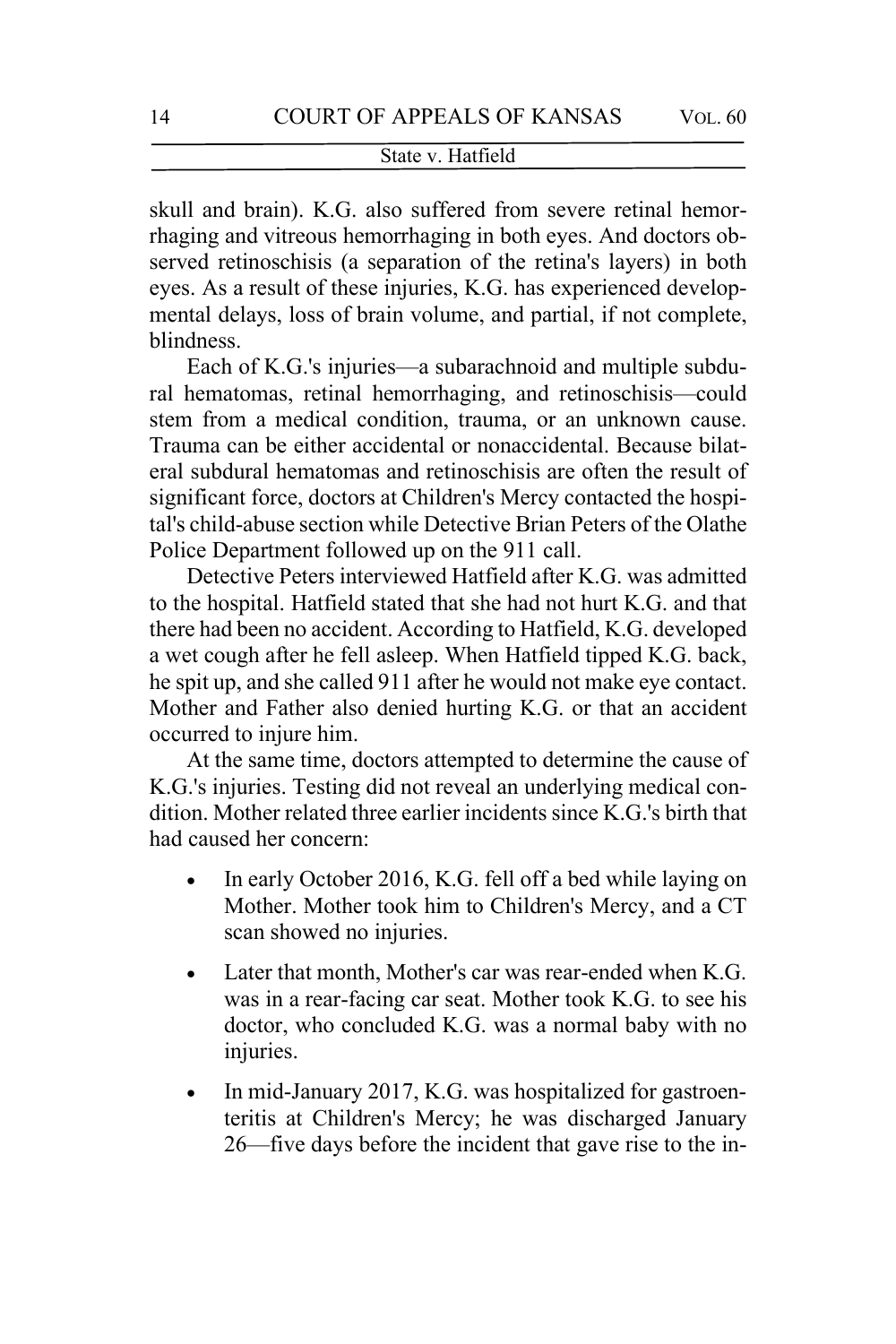skull and brain). K.G. also suffered from severe retinal hemorrhaging and vitreous hemorrhaging in both eyes. And doctors observed retinoschisis (a separation of the retina's layers) in both eyes. As a result of these injuries, K.G. has experienced developmental delays, loss of brain volume, and partial, if not complete, blindness.

Each of K.G.'s injuries—a subarachnoid and multiple subdural hematomas, retinal hemorrhaging, and retinoschisis—could stem from a medical condition, trauma, or an unknown cause. Trauma can be either accidental or nonaccidental. Because bilateral subdural hematomas and retinoschisis are often the result of significant force, doctors at Children's Mercy contacted the hospital's child-abuse section while Detective Brian Peters of the Olathe Police Department followed up on the 911 call.

Detective Peters interviewed Hatfield after K.G. was admitted to the hospital. Hatfield stated that she had not hurt K.G. and that there had been no accident. According to Hatfield, K.G. developed a wet cough after he fell asleep. When Hatfield tipped K.G. back, he spit up, and she called 911 after he would not make eye contact. Mother and Father also denied hurting K.G. or that an accident occurred to injure him.

At the same time, doctors attempted to determine the cause of K.G.'s injuries. Testing did not reveal an underlying medical condition. Mother related three earlier incidents since K.G.'s birth that had caused her concern:

- In early October 2016, K.G. fell off a bed while laying on Mother. Mother took him to Children's Mercy, and a CT scan showed no injuries.
- Later that month, Mother's car was rear-ended when K.G. was in a rear-facing car seat. Mother took K.G. to see his doctor, who concluded K.G. was a normal baby with no injuries.
- In mid-January 2017, K.G. was hospitalized for gastroenteritis at Children's Mercy; he was discharged January 26—five days before the incident that gave rise to the in-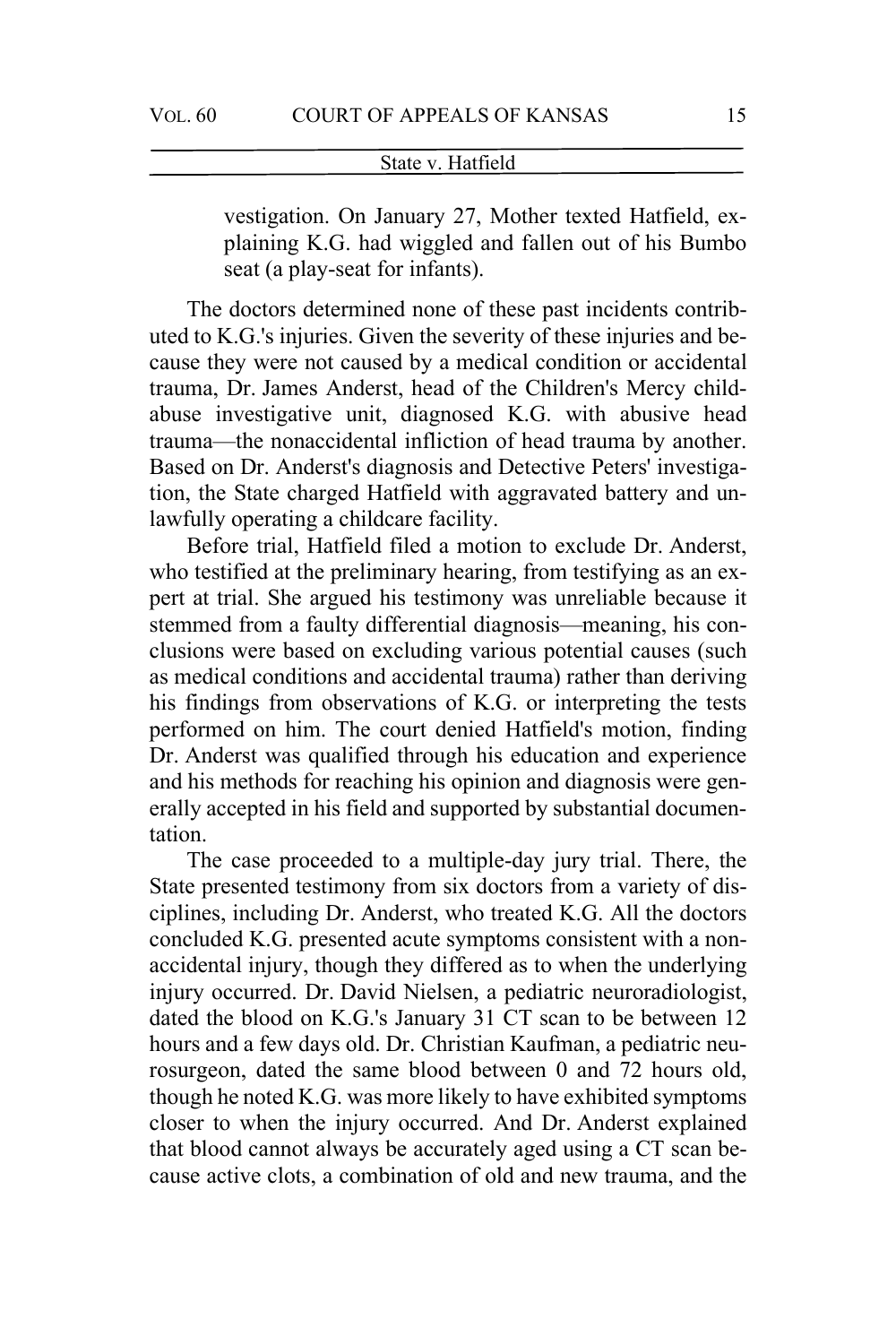vestigation. On January 27, Mother texted Hatfield, explaining K.G. had wiggled and fallen out of his Bumbo seat (a play-seat for infants).

The doctors determined none of these past incidents contributed to K.G.'s injuries. Given the severity of these injuries and because they were not caused by a medical condition or accidental trauma, Dr. James Anderst, head of the Children's Mercy childabuse investigative unit, diagnosed K.G. with abusive head trauma—the nonaccidental infliction of head trauma by another. Based on Dr. Anderst's diagnosis and Detective Peters' investigation, the State charged Hatfield with aggravated battery and unlawfully operating a childcare facility.

Before trial, Hatfield filed a motion to exclude Dr. Anderst, who testified at the preliminary hearing, from testifying as an expert at trial. She argued his testimony was unreliable because it stemmed from a faulty differential diagnosis—meaning, his conclusions were based on excluding various potential causes (such as medical conditions and accidental trauma) rather than deriving his findings from observations of K.G. or interpreting the tests performed on him. The court denied Hatfield's motion, finding Dr. Anderst was qualified through his education and experience and his methods for reaching his opinion and diagnosis were generally accepted in his field and supported by substantial documentation.

The case proceeded to a multiple-day jury trial. There, the State presented testimony from six doctors from a variety of disciplines, including Dr. Anderst, who treated K.G. All the doctors concluded K.G. presented acute symptoms consistent with a nonaccidental injury, though they differed as to when the underlying injury occurred. Dr. David Nielsen, a pediatric neuroradiologist, dated the blood on K.G.'s January 31 CT scan to be between 12 hours and a few days old. Dr. Christian Kaufman, a pediatric neurosurgeon, dated the same blood between 0 and 72 hours old, though he noted K.G. was more likely to have exhibited symptoms closer to when the injury occurred. And Dr. Anderst explained that blood cannot always be accurately aged using a CT scan because active clots, a combination of old and new trauma, and the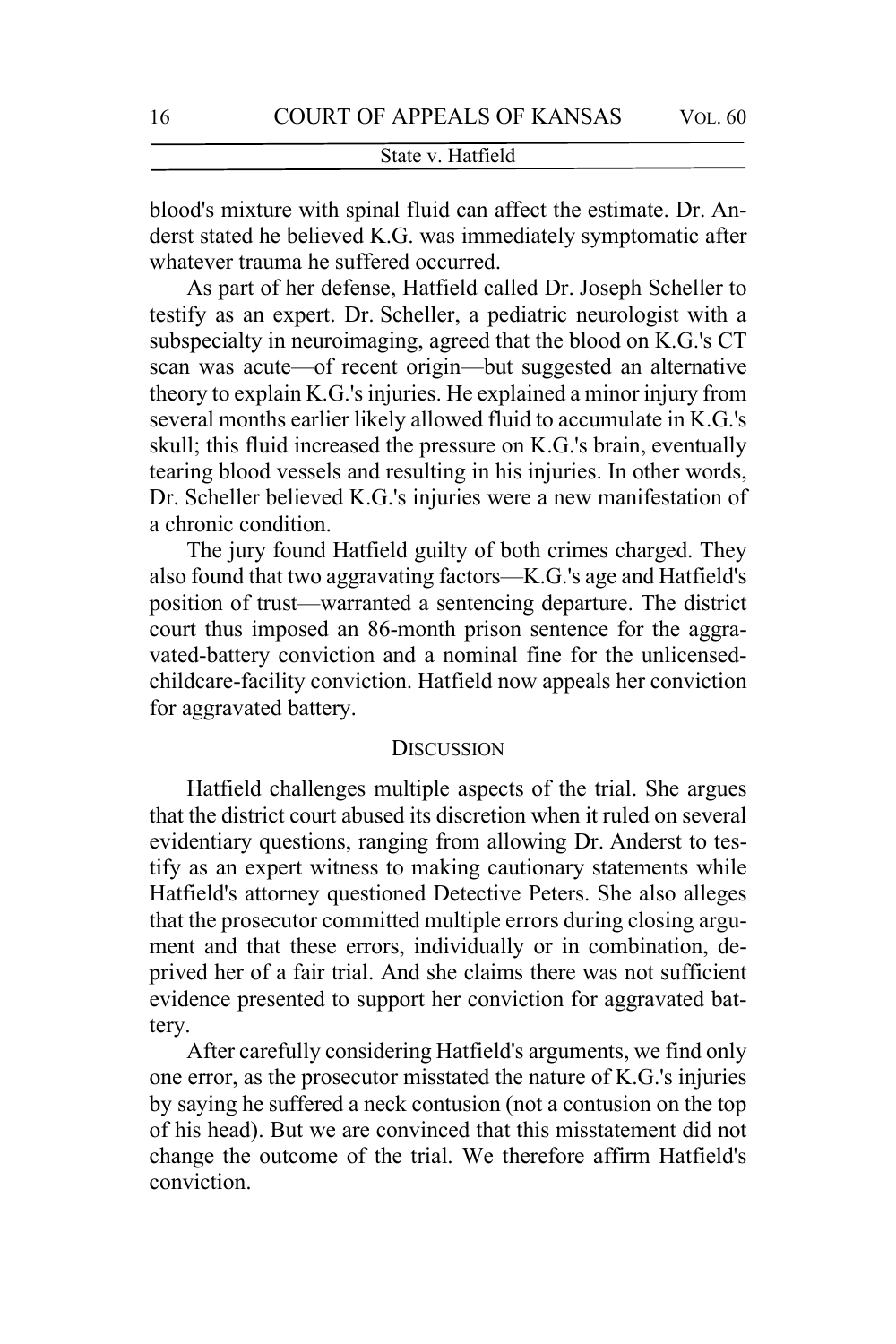blood's mixture with spinal fluid can affect the estimate. Dr. Anderst stated he believed K.G. was immediately symptomatic after whatever trauma he suffered occurred.

As part of her defense, Hatfield called Dr. Joseph Scheller to testify as an expert. Dr. Scheller, a pediatric neurologist with a subspecialty in neuroimaging, agreed that the blood on K.G.'s CT scan was acute—of recent origin—but suggested an alternative theory to explain K.G.'s injuries. He explained a minor injury from several months earlier likely allowed fluid to accumulate in K.G.'s skull; this fluid increased the pressure on K.G.'s brain, eventually tearing blood vessels and resulting in his injuries. In other words, Dr. Scheller believed K.G.'s injuries were a new manifestation of a chronic condition.

The jury found Hatfield guilty of both crimes charged. They also found that two aggravating factors—K.G.'s age and Hatfield's position of trust—warranted a sentencing departure. The district court thus imposed an 86-month prison sentence for the aggravated-battery conviction and a nominal fine for the unlicensedchildcare-facility conviction. Hatfield now appeals her conviction for aggravated battery.

# **DISCUSSION**

Hatfield challenges multiple aspects of the trial. She argues that the district court abused its discretion when it ruled on several evidentiary questions, ranging from allowing Dr. Anderst to testify as an expert witness to making cautionary statements while Hatfield's attorney questioned Detective Peters. She also alleges that the prosecutor committed multiple errors during closing argument and that these errors, individually or in combination, deprived her of a fair trial. And she claims there was not sufficient evidence presented to support her conviction for aggravated battery.

After carefully considering Hatfield's arguments, we find only one error, as the prosecutor misstated the nature of K.G.'s injuries by saying he suffered a neck contusion (not a contusion on the top of his head). But we are convinced that this misstatement did not change the outcome of the trial. We therefore affirm Hatfield's conviction.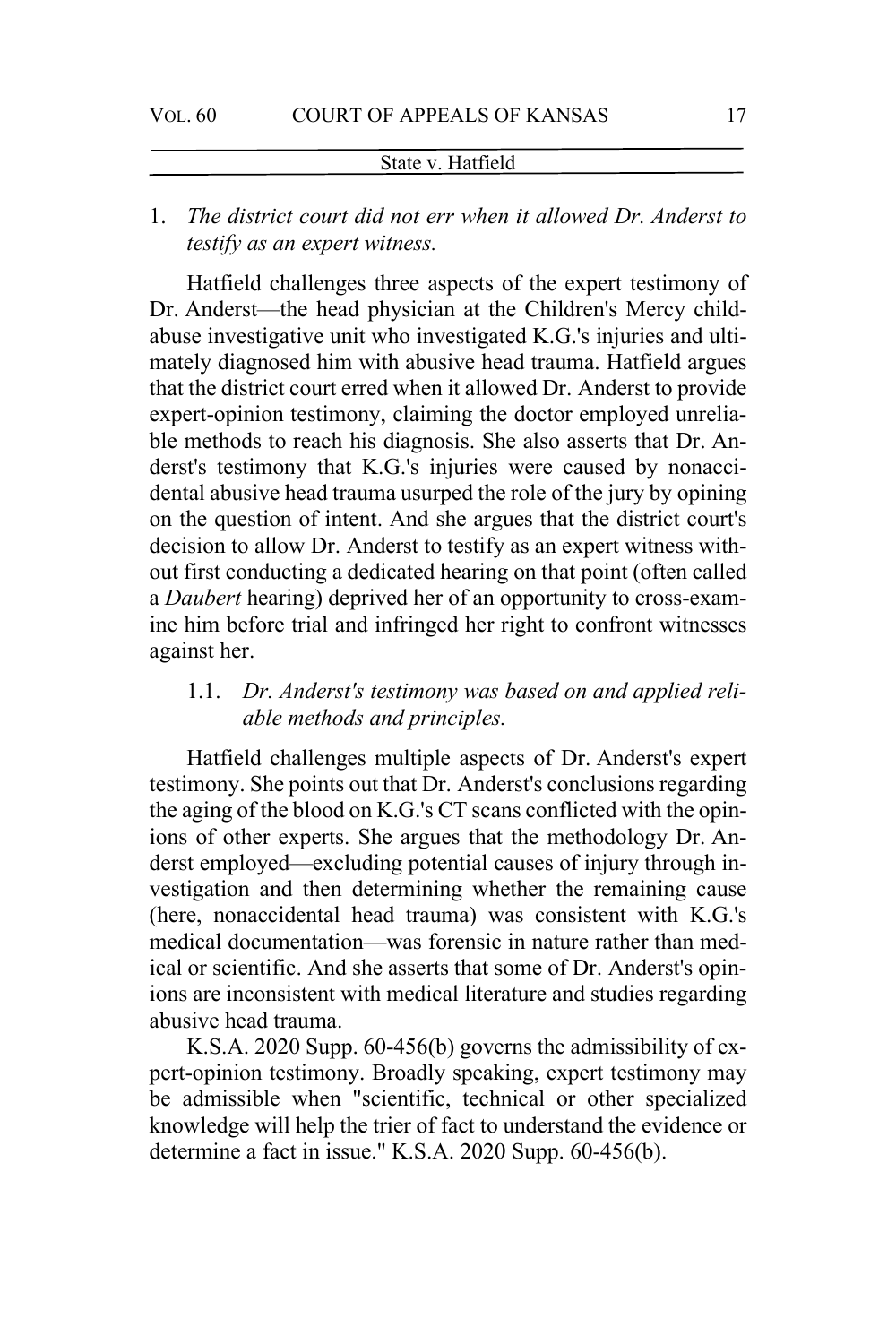# 1. *The district court did not err when it allowed Dr. Anderst to testify as an expert witness.*

Hatfield challenges three aspects of the expert testimony of Dr. Anderst—the head physician at the Children's Mercy childabuse investigative unit who investigated K.G.'s injuries and ultimately diagnosed him with abusive head trauma. Hatfield argues that the district court erred when it allowed Dr. Anderst to provide expert-opinion testimony, claiming the doctor employed unreliable methods to reach his diagnosis. She also asserts that Dr. Anderst's testimony that K.G.'s injuries were caused by nonaccidental abusive head trauma usurped the role of the jury by opining on the question of intent. And she argues that the district court's decision to allow Dr. Anderst to testify as an expert witness without first conducting a dedicated hearing on that point (often called a *Daubert* hearing) deprived her of an opportunity to cross-examine him before trial and infringed her right to confront witnesses against her.

# 1.1. *Dr. Anderst's testimony was based on and applied reliable methods and principles.*

Hatfield challenges multiple aspects of Dr. Anderst's expert testimony. She points out that Dr. Anderst's conclusions regarding the aging of the blood on K.G.'s CT scans conflicted with the opinions of other experts. She argues that the methodology Dr. Anderst employed—excluding potential causes of injury through investigation and then determining whether the remaining cause (here, nonaccidental head trauma) was consistent with K.G.'s medical documentation—was forensic in nature rather than medical or scientific. And she asserts that some of Dr. Anderst's opinions are inconsistent with medical literature and studies regarding abusive head trauma.

K.S.A. 2020 Supp. 60-456(b) governs the admissibility of expert-opinion testimony. Broadly speaking, expert testimony may be admissible when "scientific, technical or other specialized knowledge will help the trier of fact to understand the evidence or determine a fact in issue." K.S.A. 2020 Supp. 60-456(b).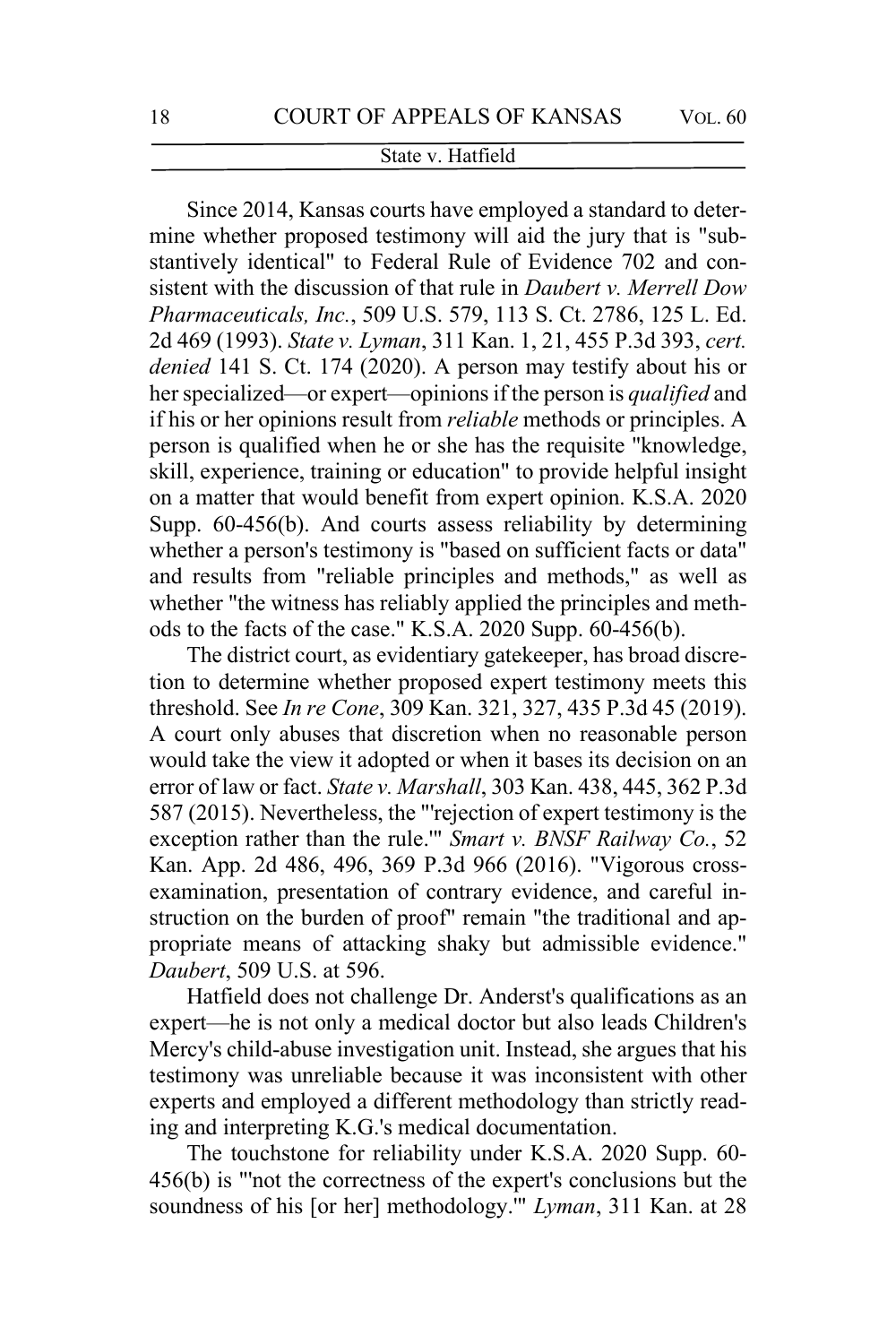Since 2014, Kansas courts have employed a standard to determine whether proposed testimony will aid the jury that is "substantively identical" to Federal Rule of Evidence 702 and consistent with the discussion of that rule in *Daubert v. Merrell Dow Pharmaceuticals, Inc.*, 509 U.S. 579, 113 S. Ct. 2786, 125 L. Ed. 2d 469 (1993). *State v. Lyman*, 311 Kan. 1, 21, 455 P.3d 393, *cert. denied* 141 S. Ct. 174 (2020). A person may testify about his or her specialized—or expert—opinions if the person is *qualified* and if his or her opinions result from *reliable* methods or principles. A person is qualified when he or she has the requisite "knowledge, skill, experience, training or education" to provide helpful insight on a matter that would benefit from expert opinion. K.S.A. 2020 Supp. 60-456(b). And courts assess reliability by determining whether a person's testimony is "based on sufficient facts or data" and results from "reliable principles and methods," as well as whether "the witness has reliably applied the principles and methods to the facts of the case." K.S.A. 2020 Supp. 60-456(b).

The district court, as evidentiary gatekeeper, has broad discretion to determine whether proposed expert testimony meets this threshold. See *In re Cone*, 309 Kan. 321, 327, 435 P.3d 45 (2019). A court only abuses that discretion when no reasonable person would take the view it adopted or when it bases its decision on an error of law or fact. *State v. Marshall*, 303 Kan. 438, 445, 362 P.3d 587 (2015). Nevertheless, the "'rejection of expert testimony is the exception rather than the rule.'" *Smart v. BNSF Railway Co.*, 52 Kan. App. 2d 486, 496, 369 P.3d 966 (2016). "Vigorous crossexamination, presentation of contrary evidence, and careful instruction on the burden of proof" remain "the traditional and appropriate means of attacking shaky but admissible evidence." *Daubert*, 509 U.S. at 596.

Hatfield does not challenge Dr. Anderst's qualifications as an expert—he is not only a medical doctor but also leads Children's Mercy's child-abuse investigation unit. Instead, she argues that his testimony was unreliable because it was inconsistent with other experts and employed a different methodology than strictly reading and interpreting K.G.'s medical documentation.

The touchstone for reliability under K.S.A. 2020 Supp. 60- 456(b) is "'not the correctness of the expert's conclusions but the soundness of his [or her] methodology.'" *Lyman*, 311 Kan. at 28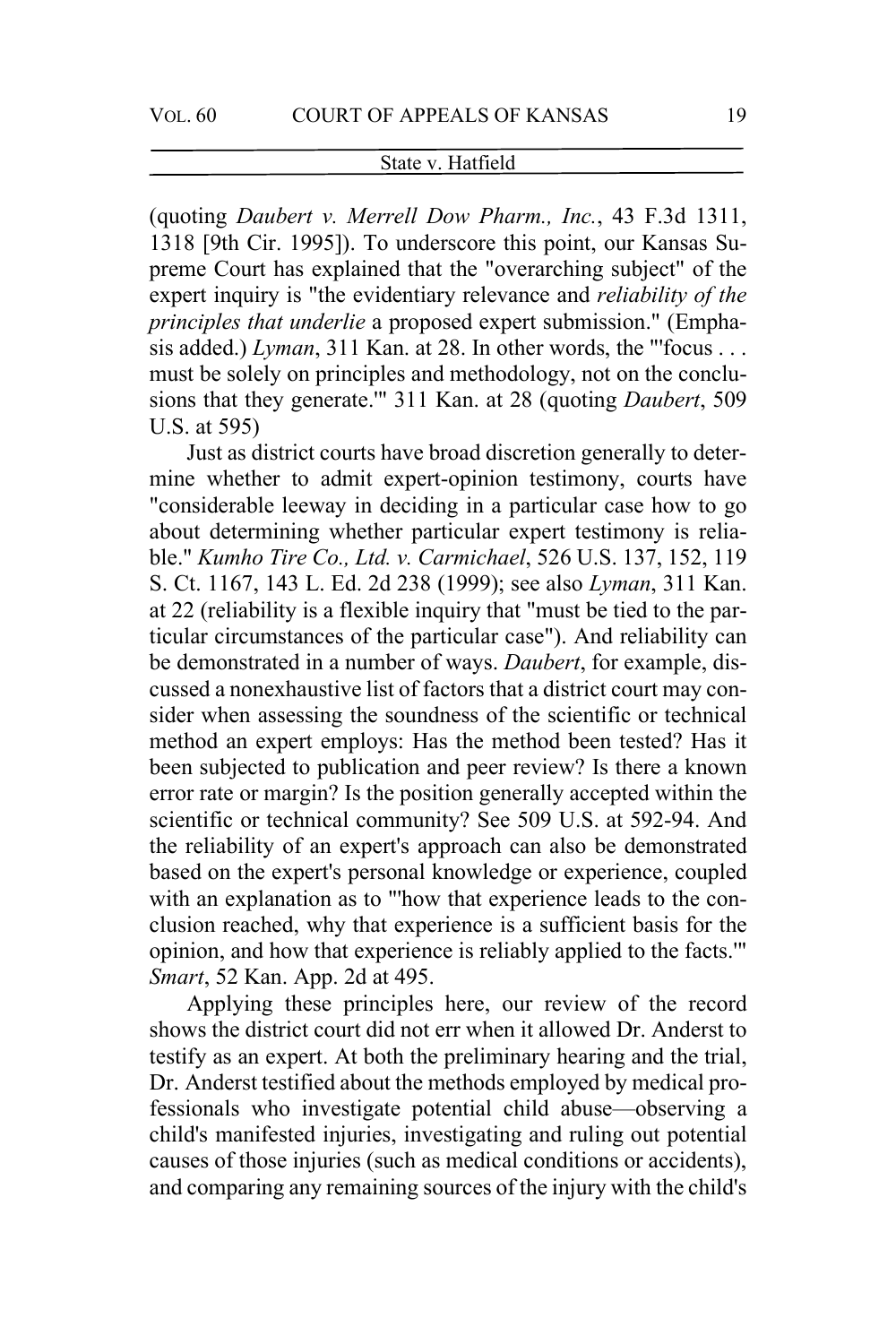(quoting *Daubert v. Merrell Dow Pharm., Inc.*, 43 F.3d 1311, 1318 [9th Cir. 1995]). To underscore this point, our Kansas Supreme Court has explained that the "overarching subject" of the expert inquiry is "the evidentiary relevance and *reliability of the principles that underlie* a proposed expert submission." (Emphasis added.) *Lyman*, 311 Kan. at 28. In other words, the "'focus . . . must be solely on principles and methodology, not on the conclusions that they generate.'" 311 Kan. at 28 (quoting *Daubert*, 509 U.S. at 595)

Just as district courts have broad discretion generally to determine whether to admit expert-opinion testimony, courts have "considerable leeway in deciding in a particular case how to go about determining whether particular expert testimony is reliable." *Kumho Tire Co., Ltd. v. Carmichael*, 526 U.S. 137, 152, 119 S. Ct. 1167, 143 L. Ed. 2d 238 (1999); see also *Lyman*, 311 Kan. at 22 (reliability is a flexible inquiry that "must be tied to the particular circumstances of the particular case"). And reliability can be demonstrated in a number of ways. *Daubert*, for example, discussed a nonexhaustive list of factors that a district court may consider when assessing the soundness of the scientific or technical method an expert employs: Has the method been tested? Has it been subjected to publication and peer review? Is there a known error rate or margin? Is the position generally accepted within the scientific or technical community? See 509 U.S. at 592-94. And the reliability of an expert's approach can also be demonstrated based on the expert's personal knowledge or experience, coupled with an explanation as to "'how that experience leads to the conclusion reached, why that experience is a sufficient basis for the opinion, and how that experience is reliably applied to the facts.'" *Smart*, 52 Kan. App. 2d at 495.

Applying these principles here, our review of the record shows the district court did not err when it allowed Dr. Anderst to testify as an expert. At both the preliminary hearing and the trial, Dr. Anderst testified about the methods employed by medical professionals who investigate potential child abuse—observing a child's manifested injuries, investigating and ruling out potential causes of those injuries (such as medical conditions or accidents), and comparing any remaining sources of the injury with the child's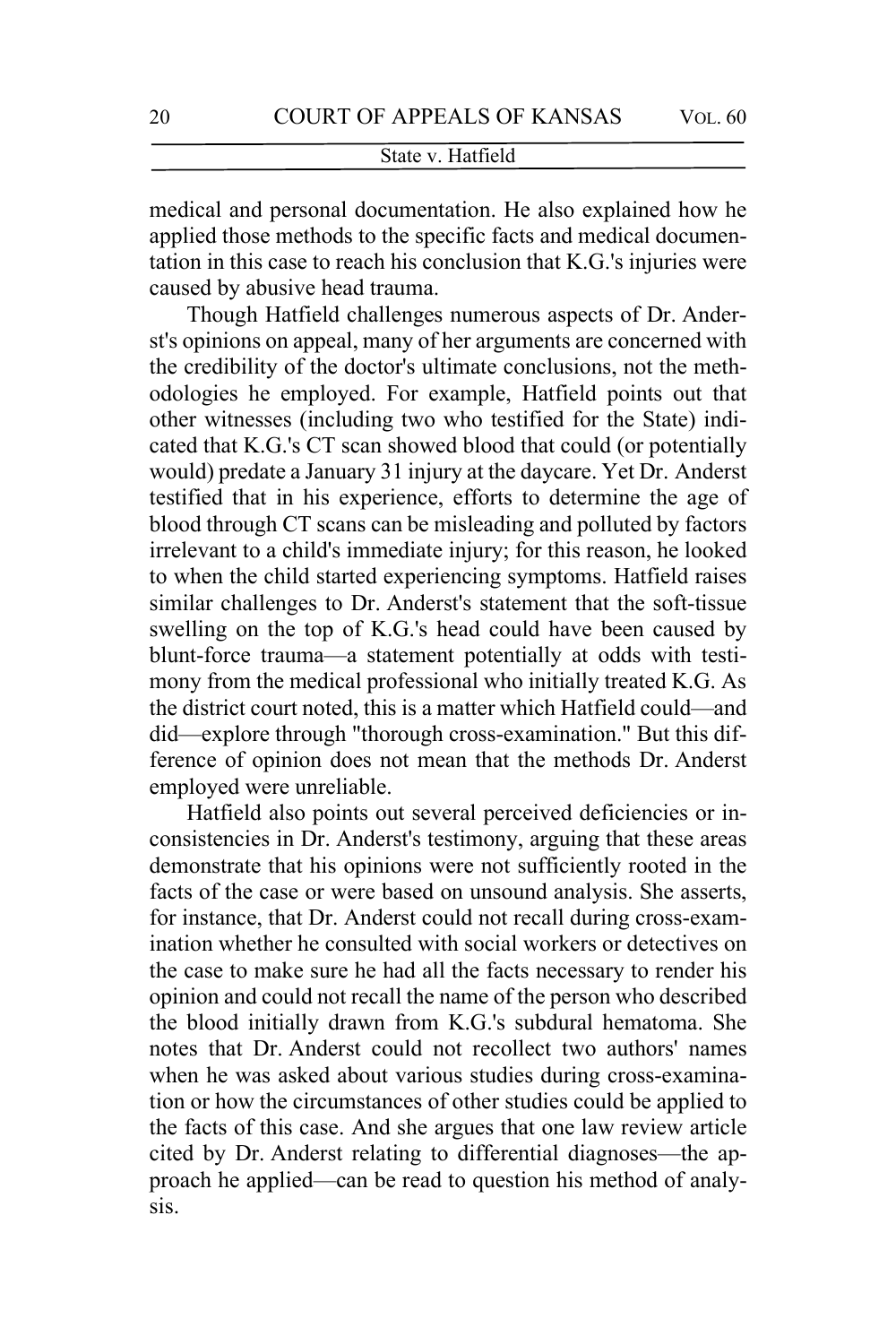medical and personal documentation. He also explained how he applied those methods to the specific facts and medical documentation in this case to reach his conclusion that K.G.'s injuries were caused by abusive head trauma.

Though Hatfield challenges numerous aspects of Dr. Anderst's opinions on appeal, many of her arguments are concerned with the credibility of the doctor's ultimate conclusions, not the methodologies he employed. For example, Hatfield points out that other witnesses (including two who testified for the State) indicated that K.G.'s CT scan showed blood that could (or potentially would) predate a January 31 injury at the daycare. Yet Dr. Anderst testified that in his experience, efforts to determine the age of blood through CT scans can be misleading and polluted by factors irrelevant to a child's immediate injury; for this reason, he looked to when the child started experiencing symptoms. Hatfield raises similar challenges to Dr. Anderst's statement that the soft-tissue swelling on the top of K.G.'s head could have been caused by blunt-force trauma—a statement potentially at odds with testimony from the medical professional who initially treated K.G. As the district court noted, this is a matter which Hatfield could—and did—explore through "thorough cross-examination." But this difference of opinion does not mean that the methods Dr. Anderst employed were unreliable.

Hatfield also points out several perceived deficiencies or inconsistencies in Dr. Anderst's testimony, arguing that these areas demonstrate that his opinions were not sufficiently rooted in the facts of the case or were based on unsound analysis. She asserts, for instance, that Dr. Anderst could not recall during cross-examination whether he consulted with social workers or detectives on the case to make sure he had all the facts necessary to render his opinion and could not recall the name of the person who described the blood initially drawn from K.G.'s subdural hematoma. She notes that Dr. Anderst could not recollect two authors' names when he was asked about various studies during cross-examination or how the circumstances of other studies could be applied to the facts of this case. And she argues that one law review article cited by Dr. Anderst relating to differential diagnoses—the approach he applied—can be read to question his method of analysis.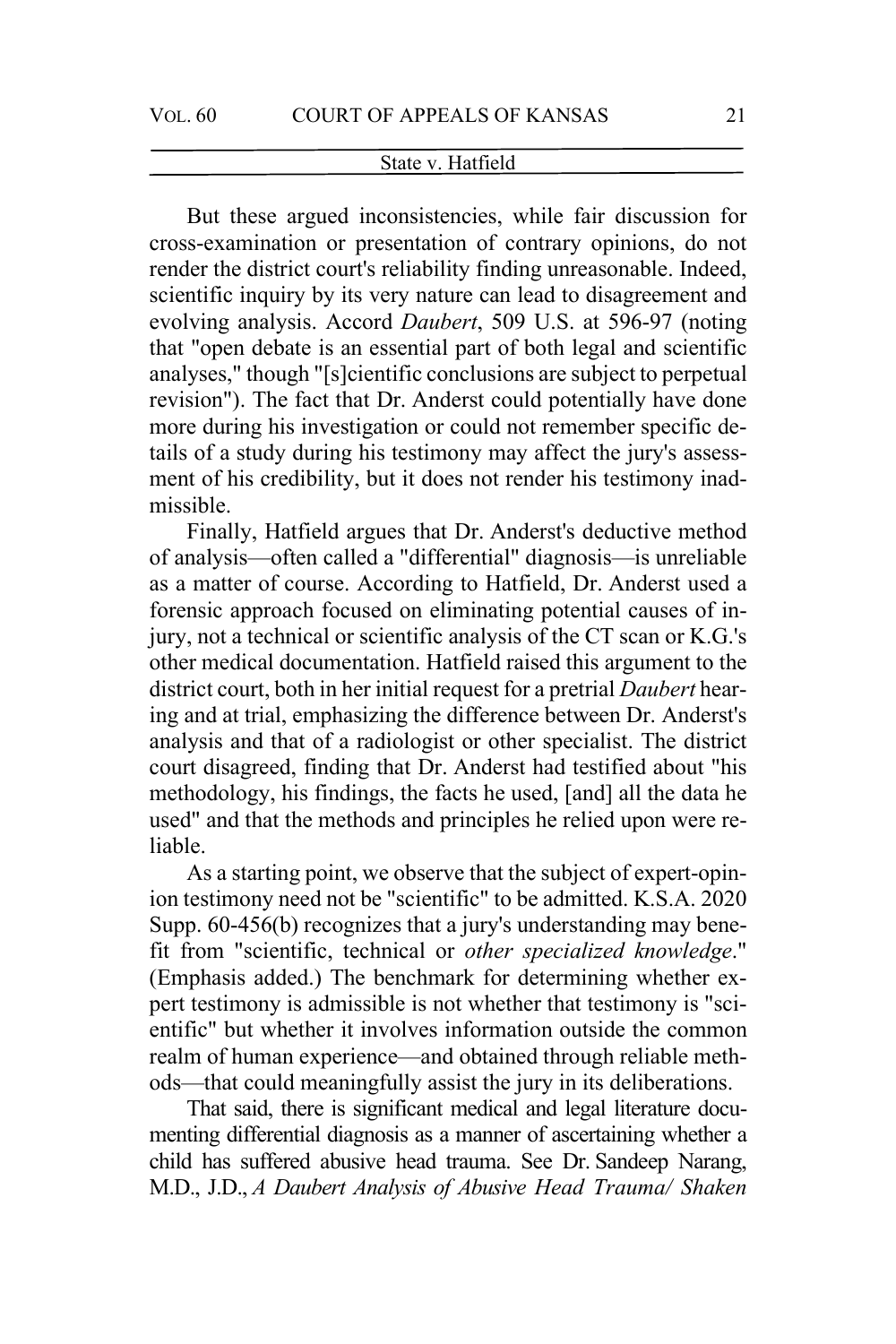But these argued inconsistencies, while fair discussion for cross-examination or presentation of contrary opinions, do not render the district court's reliability finding unreasonable. Indeed, scientific inquiry by its very nature can lead to disagreement and evolving analysis. Accord *Daubert*, 509 U.S. at 596-97 (noting that "open debate is an essential part of both legal and scientific analyses," though "[s]cientific conclusions are subject to perpetual revision"). The fact that Dr. Anderst could potentially have done more during his investigation or could not remember specific details of a study during his testimony may affect the jury's assessment of his credibility, but it does not render his testimony inadmissible.

Finally, Hatfield argues that Dr. Anderst's deductive method of analysis—often called a "differential" diagnosis—is unreliable as a matter of course. According to Hatfield, Dr. Anderst used a forensic approach focused on eliminating potential causes of injury, not a technical or scientific analysis of the CT scan or K.G.'s other medical documentation. Hatfield raised this argument to the district court, both in her initial request for a pretrial *Daubert* hearing and at trial, emphasizing the difference between Dr. Anderst's analysis and that of a radiologist or other specialist. The district court disagreed, finding that Dr. Anderst had testified about "his methodology, his findings, the facts he used, [and] all the data he used" and that the methods and principles he relied upon were reliable.

As a starting point, we observe that the subject of expert-opinion testimony need not be "scientific" to be admitted. K.S.A. 2020 Supp. 60-456(b) recognizes that a jury's understanding may benefit from "scientific, technical or *other specialized knowledge*." (Emphasis added.) The benchmark for determining whether expert testimony is admissible is not whether that testimony is "scientific" but whether it involves information outside the common realm of human experience—and obtained through reliable methods—that could meaningfully assist the jury in its deliberations.

That said, there is significant medical and legal literature documenting differential diagnosis as a manner of ascertaining whether a child has suffered abusive head trauma. See Dr. Sandeep Narang, M.D., J.D., *A Daubert Analysis of Abusive Head Trauma/ Shaken*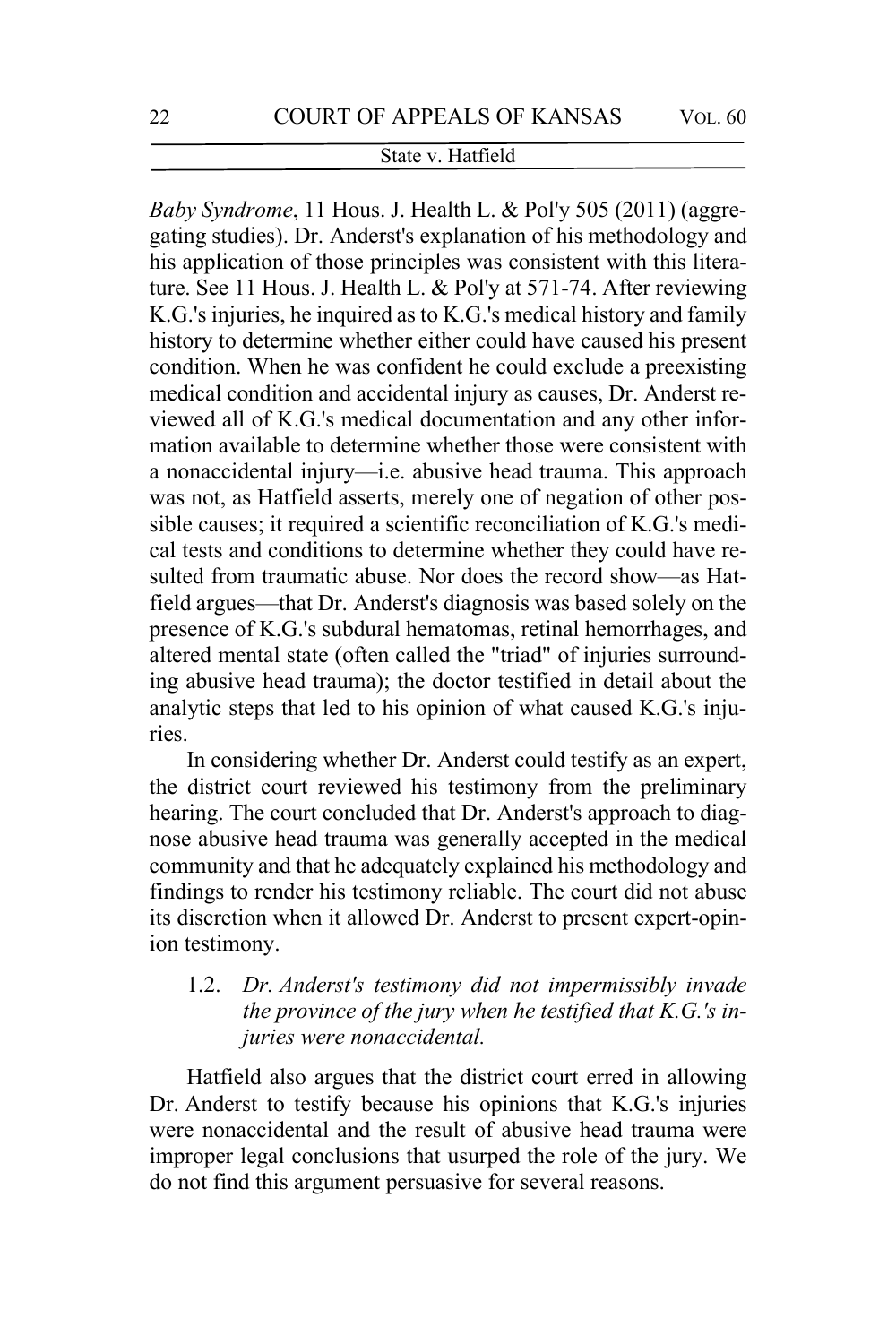*Baby Syndrome*, 11 Hous. J. Health L. & Pol'y 505 (2011) (aggregating studies). Dr. Anderst's explanation of his methodology and his application of those principles was consistent with this literature. See 11 Hous. J. Health L. & Pol'y at 571-74. After reviewing K.G.'s injuries, he inquired as to K.G.'s medical history and family history to determine whether either could have caused his present condition. When he was confident he could exclude a preexisting medical condition and accidental injury as causes, Dr. Anderst reviewed all of K.G.'s medical documentation and any other information available to determine whether those were consistent with a nonaccidental injury—i.e. abusive head trauma. This approach was not, as Hatfield asserts, merely one of negation of other possible causes; it required a scientific reconciliation of K.G.'s medical tests and conditions to determine whether they could have resulted from traumatic abuse. Nor does the record show—as Hatfield argues—that Dr. Anderst's diagnosis was based solely on the presence of K.G.'s subdural hematomas, retinal hemorrhages, and altered mental state (often called the "triad" of injuries surrounding abusive head trauma); the doctor testified in detail about the analytic steps that led to his opinion of what caused K.G.'s injuries.

In considering whether Dr. Anderst could testify as an expert, the district court reviewed his testimony from the preliminary hearing. The court concluded that Dr. Anderst's approach to diagnose abusive head trauma was generally accepted in the medical community and that he adequately explained his methodology and findings to render his testimony reliable. The court did not abuse its discretion when it allowed Dr. Anderst to present expert-opinion testimony.

# 1.2. *Dr. Anderst's testimony did not impermissibly invade the province of the jury when he testified that K.G.'s injuries were nonaccidental.*

Hatfield also argues that the district court erred in allowing Dr. Anderst to testify because his opinions that K.G.'s injuries were nonaccidental and the result of abusive head trauma were improper legal conclusions that usurped the role of the jury. We do not find this argument persuasive for several reasons.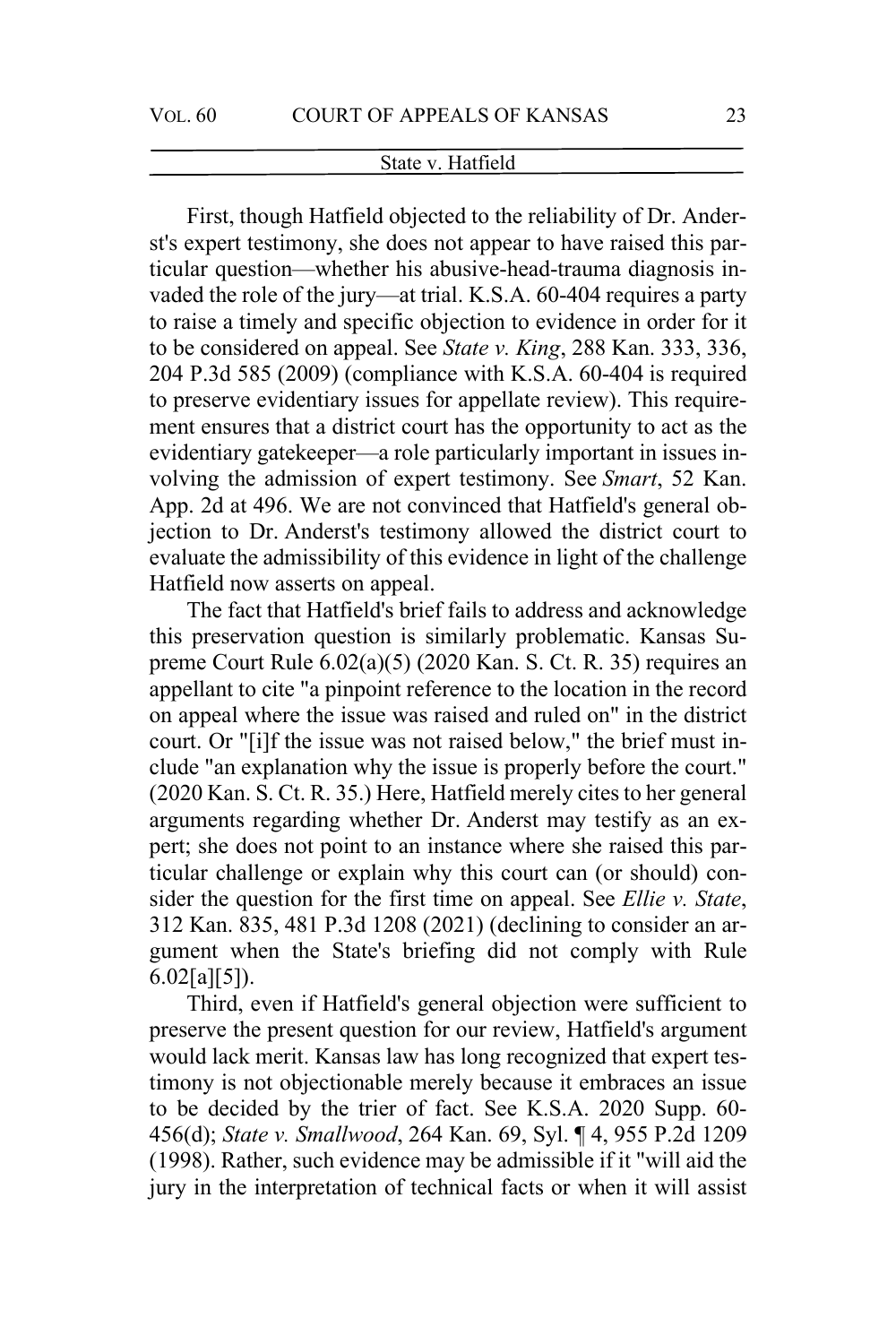First, though Hatfield objected to the reliability of Dr. Anderst's expert testimony, she does not appear to have raised this particular question—whether his abusive-head-trauma diagnosis invaded the role of the jury—at trial. K.S.A. 60-404 requires a party to raise a timely and specific objection to evidence in order for it to be considered on appeal. See *State v. King*, 288 Kan. 333, 336, 204 P.3d 585 (2009) (compliance with K.S.A. 60-404 is required to preserve evidentiary issues for appellate review). This requirement ensures that a district court has the opportunity to act as the evidentiary gatekeeper—a role particularly important in issues involving the admission of expert testimony. See *Smart*, 52 Kan. App. 2d at 496. We are not convinced that Hatfield's general objection to Dr. Anderst's testimony allowed the district court to evaluate the admissibility of this evidence in light of the challenge Hatfield now asserts on appeal.

The fact that Hatfield's brief fails to address and acknowledge this preservation question is similarly problematic. Kansas Supreme Court Rule 6.02(a)(5) (2020 Kan. S. Ct. R. 35) requires an appellant to cite "a pinpoint reference to the location in the record on appeal where the issue was raised and ruled on" in the district court. Or "[i]f the issue was not raised below," the brief must include "an explanation why the issue is properly before the court." (2020 Kan. S. Ct. R. 35.) Here, Hatfield merely cites to her general arguments regarding whether Dr. Anderst may testify as an expert; she does not point to an instance where she raised this particular challenge or explain why this court can (or should) consider the question for the first time on appeal. See *Ellie v. State*, 312 Kan. 835, 481 P.3d 1208 (2021) (declining to consider an argument when the State's briefing did not comply with Rule 6.02[a][5]).

Third, even if Hatfield's general objection were sufficient to preserve the present question for our review, Hatfield's argument would lack merit. Kansas law has long recognized that expert testimony is not objectionable merely because it embraces an issue to be decided by the trier of fact. See K.S.A. 2020 Supp. 60- 456(d); *State v. Smallwood*, 264 Kan. 69, Syl. ¶ 4, 955 P.2d 1209 (1998). Rather, such evidence may be admissible if it "will aid the jury in the interpretation of technical facts or when it will assist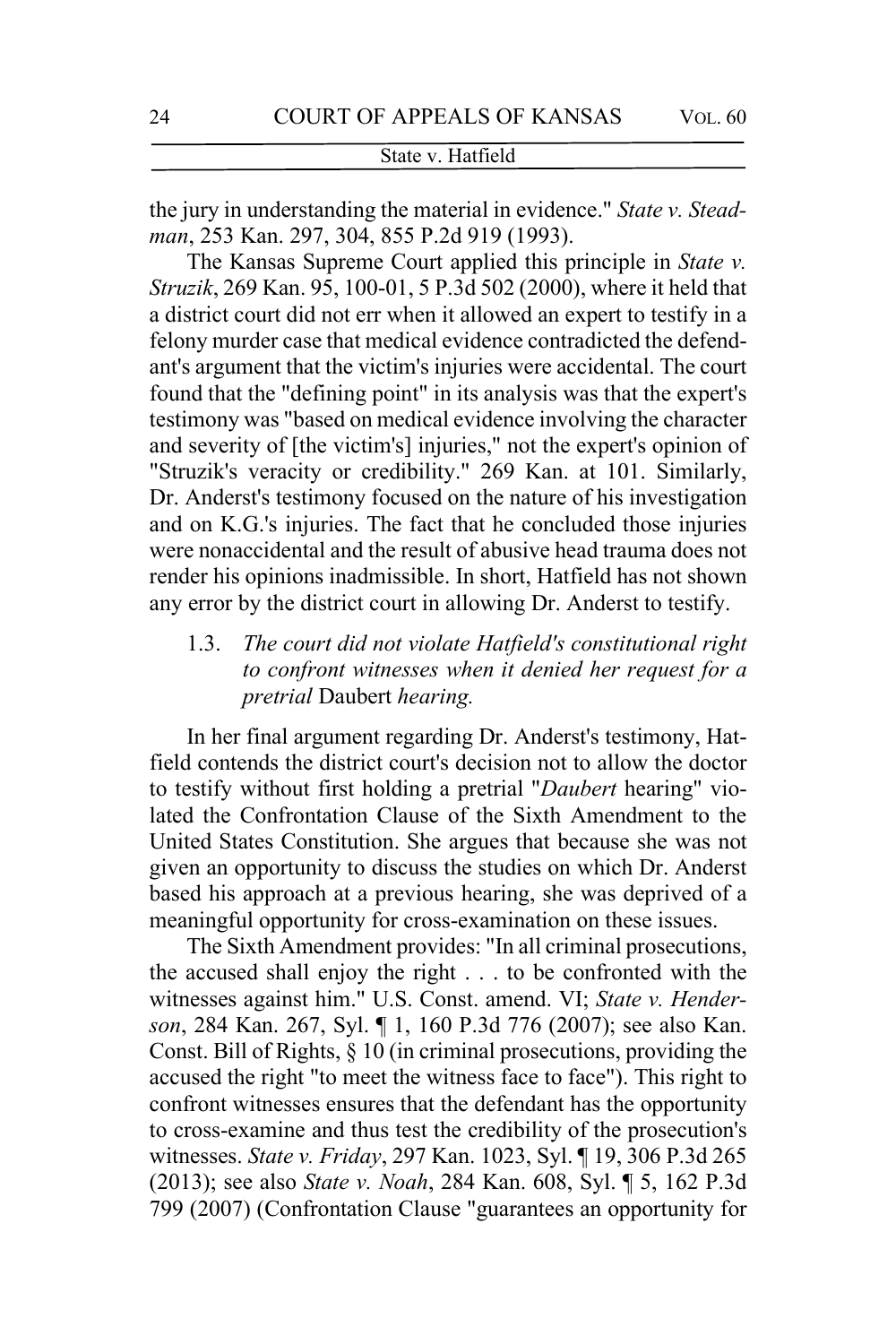the jury in understanding the material in evidence." *State v. Steadman*, 253 Kan. 297, 304, 855 P.2d 919 (1993).

The Kansas Supreme Court applied this principle in *State v. Struzik*, 269 Kan. 95, 100-01, 5 P.3d 502 (2000), where it held that a district court did not err when it allowed an expert to testify in a felony murder case that medical evidence contradicted the defendant's argument that the victim's injuries were accidental. The court found that the "defining point" in its analysis was that the expert's testimony was "based on medical evidence involving the character and severity of [the victim's] injuries," not the expert's opinion of "Struzik's veracity or credibility." 269 Kan. at 101. Similarly, Dr. Anderst's testimony focused on the nature of his investigation and on K.G.'s injuries. The fact that he concluded those injuries were nonaccidental and the result of abusive head trauma does not render his opinions inadmissible. In short, Hatfield has not shown any error by the district court in allowing Dr. Anderst to testify.

1.3. *The court did not violate Hatfield's constitutional right to confront witnesses when it denied her request for a pretrial* Daubert *hearing.*

In her final argument regarding Dr. Anderst's testimony, Hatfield contends the district court's decision not to allow the doctor to testify without first holding a pretrial "*Daubert* hearing" violated the Confrontation Clause of the Sixth Amendment to the United States Constitution. She argues that because she was not given an opportunity to discuss the studies on which Dr. Anderst based his approach at a previous hearing, she was deprived of a meaningful opportunity for cross-examination on these issues.

The Sixth Amendment provides: "In all criminal prosecutions, the accused shall enjoy the right . . . to be confronted with the witnesses against him." U.S. Const. amend. VI; *State v. Henderson*, 284 Kan. 267, Syl. ¶ 1, 160 P.3d 776 (2007); see also Kan. Const. Bill of Rights, § 10 (in criminal prosecutions, providing the accused the right "to meet the witness face to face"). This right to confront witnesses ensures that the defendant has the opportunity to cross-examine and thus test the credibility of the prosecution's witnesses. *State v. Friday*, 297 Kan. 1023, Syl. ¶ 19, 306 P.3d 265 (2013); see also *State v. Noah*, 284 Kan. 608, Syl. ¶ 5, 162 P.3d 799 (2007) (Confrontation Clause "guarantees an opportunity for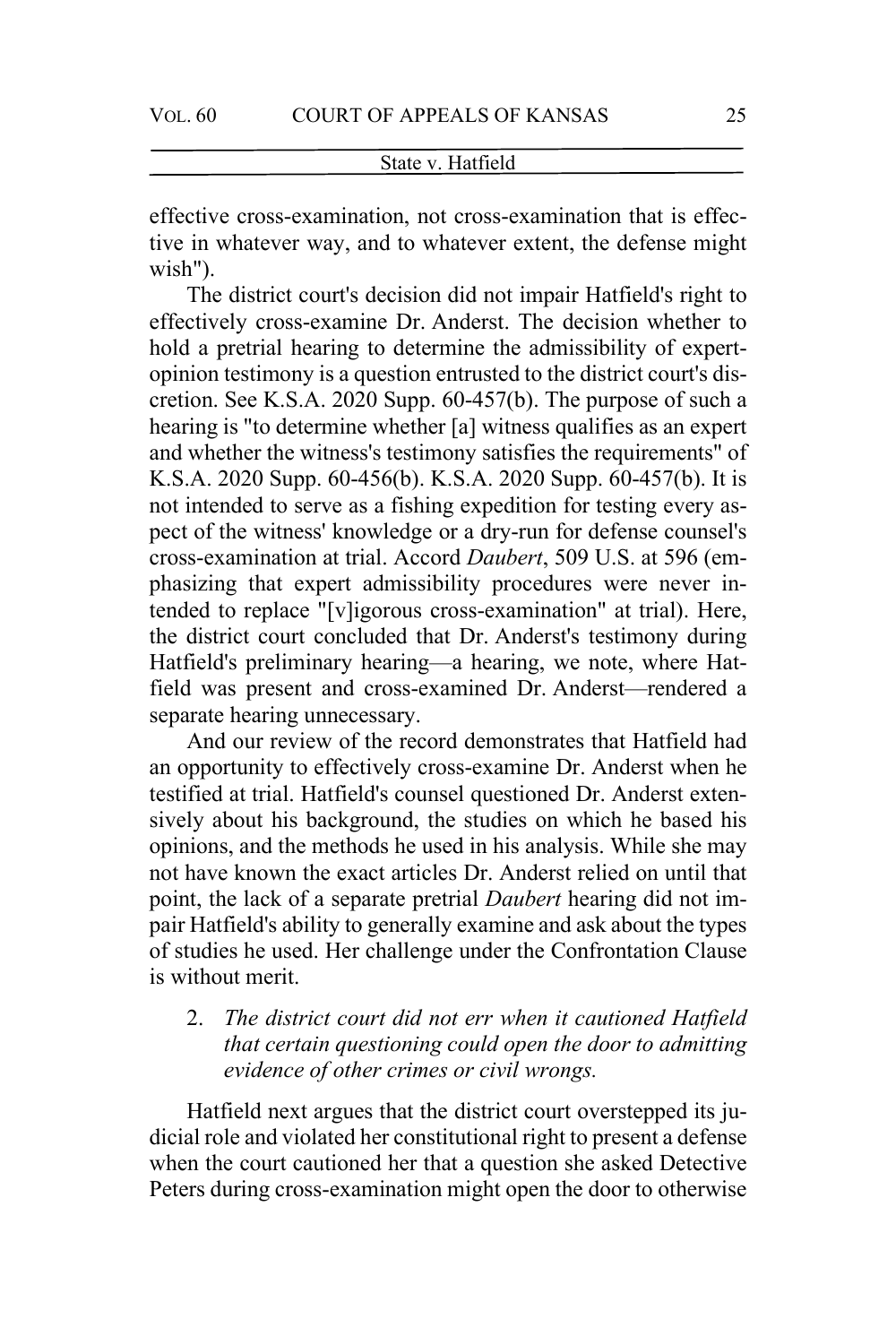effective cross-examination, not cross-examination that is effective in whatever way, and to whatever extent, the defense might wish").

The district court's decision did not impair Hatfield's right to effectively cross-examine Dr. Anderst. The decision whether to hold a pretrial hearing to determine the admissibility of expertopinion testimony is a question entrusted to the district court's discretion. See K.S.A. 2020 Supp. 60-457(b). The purpose of such a hearing is "to determine whether [a] witness qualifies as an expert and whether the witness's testimony satisfies the requirements" of K.S.A. 2020 Supp. 60-456(b). K.S.A. 2020 Supp. 60-457(b). It is not intended to serve as a fishing expedition for testing every aspect of the witness' knowledge or a dry-run for defense counsel's cross-examination at trial. Accord *Daubert*, 509 U.S. at 596 (emphasizing that expert admissibility procedures were never intended to replace "[v]igorous cross-examination" at trial). Here, the district court concluded that Dr. Anderst's testimony during Hatfield's preliminary hearing—a hearing, we note, where Hatfield was present and cross-examined Dr. Anderst—rendered a separate hearing unnecessary.

And our review of the record demonstrates that Hatfield had an opportunity to effectively cross-examine Dr. Anderst when he testified at trial. Hatfield's counsel questioned Dr. Anderst extensively about his background, the studies on which he based his opinions, and the methods he used in his analysis. While she may not have known the exact articles Dr. Anderst relied on until that point, the lack of a separate pretrial *Daubert* hearing did not impair Hatfield's ability to generally examine and ask about the types of studies he used. Her challenge under the Confrontation Clause is without merit.

# 2. *The district court did not err when it cautioned Hatfield that certain questioning could open the door to admitting evidence of other crimes or civil wrongs.*

Hatfield next argues that the district court overstepped its judicial role and violated her constitutional right to present a defense when the court cautioned her that a question she asked Detective Peters during cross-examination might open the door to otherwise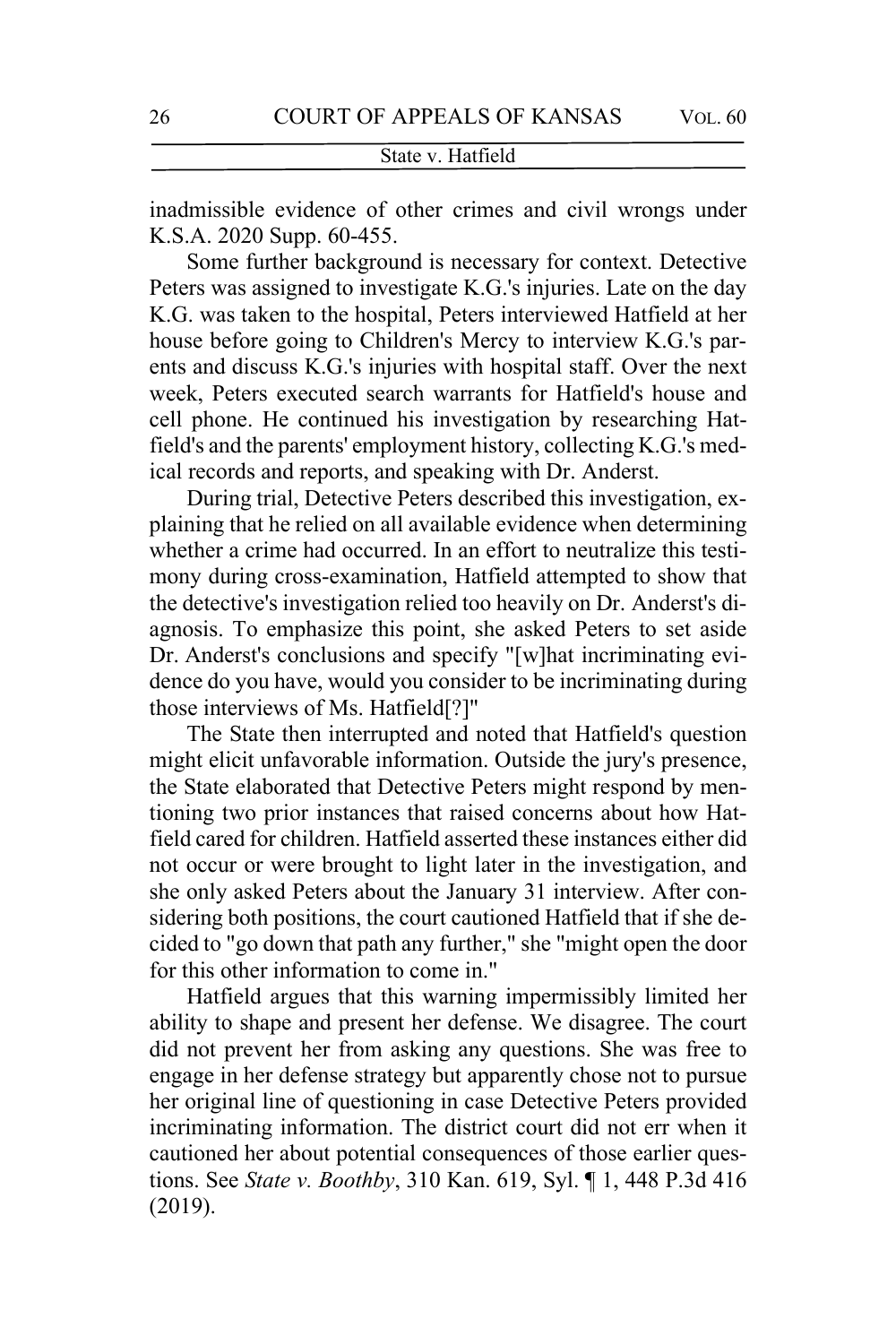inadmissible evidence of other crimes and civil wrongs under K.S.A. 2020 Supp. 60-455.

Some further background is necessary for context. Detective Peters was assigned to investigate K.G.'s injuries. Late on the day K.G. was taken to the hospital, Peters interviewed Hatfield at her house before going to Children's Mercy to interview K.G.'s parents and discuss K.G.'s injuries with hospital staff. Over the next week, Peters executed search warrants for Hatfield's house and cell phone. He continued his investigation by researching Hatfield's and the parents' employment history, collecting K.G.'s medical records and reports, and speaking with Dr. Anderst.

During trial, Detective Peters described this investigation, explaining that he relied on all available evidence when determining whether a crime had occurred. In an effort to neutralize this testimony during cross-examination, Hatfield attempted to show that the detective's investigation relied too heavily on Dr. Anderst's diagnosis. To emphasize this point, she asked Peters to set aside Dr. Anderst's conclusions and specify "[w]hat incriminating evidence do you have, would you consider to be incriminating during those interviews of Ms. Hatfield[?]"

The State then interrupted and noted that Hatfield's question might elicit unfavorable information. Outside the jury's presence, the State elaborated that Detective Peters might respond by mentioning two prior instances that raised concerns about how Hatfield cared for children. Hatfield asserted these instances either did not occur or were brought to light later in the investigation, and she only asked Peters about the January 31 interview. After considering both positions, the court cautioned Hatfield that if she decided to "go down that path any further," she "might open the door for this other information to come in."

Hatfield argues that this warning impermissibly limited her ability to shape and present her defense. We disagree. The court did not prevent her from asking any questions. She was free to engage in her defense strategy but apparently chose not to pursue her original line of questioning in case Detective Peters provided incriminating information. The district court did not err when it cautioned her about potential consequences of those earlier questions. See *State v. Boothby*, 310 Kan. 619, Syl. ¶ 1, 448 P.3d 416 (2019).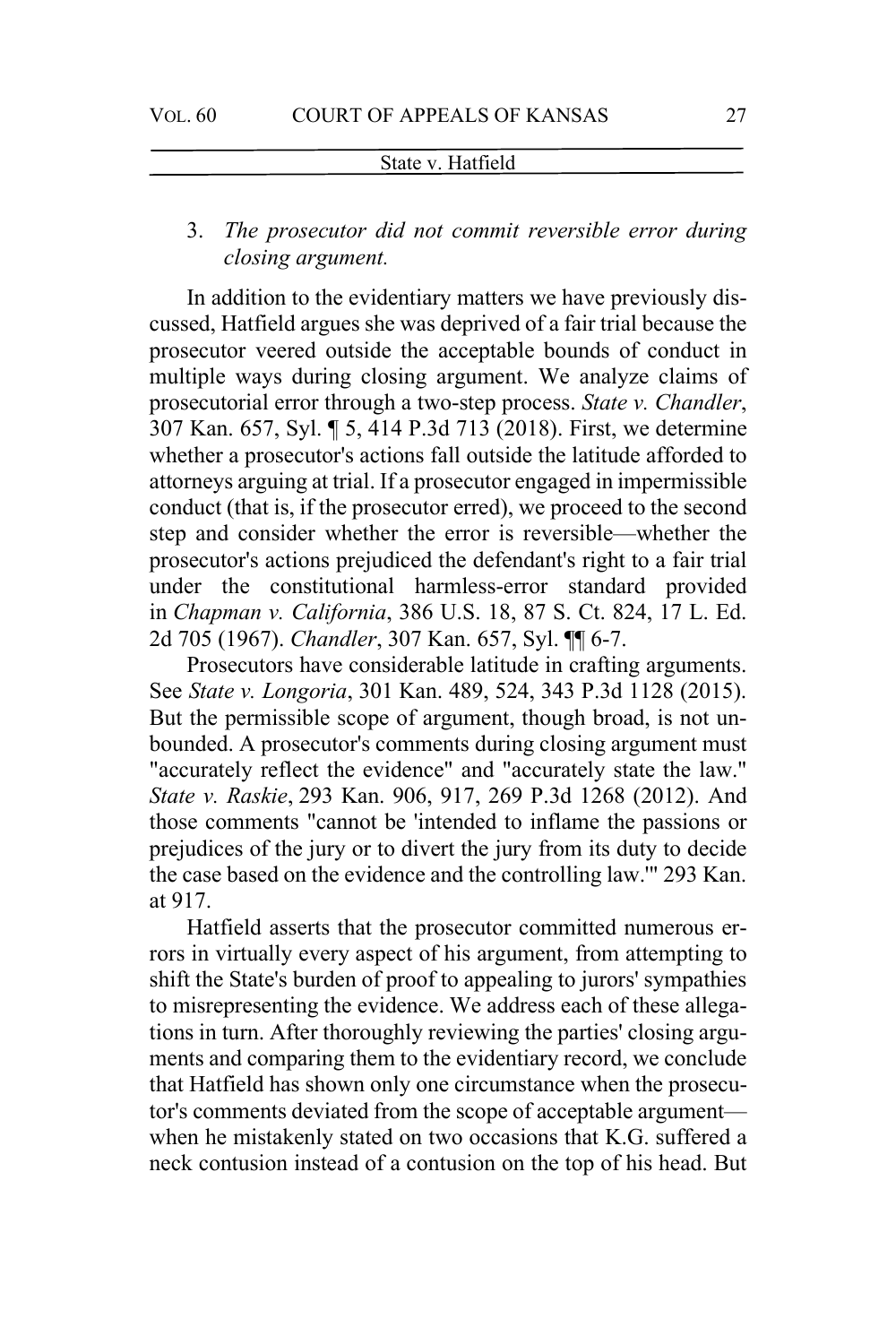3. *The prosecutor did not commit reversible error during closing argument.*

In addition to the evidentiary matters we have previously discussed, Hatfield argues she was deprived of a fair trial because the prosecutor veered outside the acceptable bounds of conduct in multiple ways during closing argument. We analyze claims of prosecutorial error through a two-step process. *State v. Chandler*, 307 Kan. 657, Syl. ¶ 5, 414 P.3d 713 (2018). First, we determine whether a prosecutor's actions fall outside the latitude afforded to attorneys arguing at trial. If a prosecutor engaged in impermissible conduct (that is, if the prosecutor erred), we proceed to the second step and consider whether the error is reversible—whether the prosecutor's actions prejudiced the defendant's right to a fair trial under the constitutional harmless-error standard provided in *Chapman v. California*, 386 U.S. 18, 87 S. Ct. 824, 17 L. Ed. 2d 705 (1967). *Chandler*, 307 Kan. 657, Syl. ¶¶ 6-7.

Prosecutors have considerable latitude in crafting arguments. See *State v. Longoria*, 301 Kan. 489, 524, 343 P.3d 1128 (2015). But the permissible scope of argument, though broad, is not unbounded. A prosecutor's comments during closing argument must "accurately reflect the evidence" and "accurately state the law." *State v. Raskie*, 293 Kan. 906, 917, 269 P.3d 1268 (2012). And those comments "cannot be 'intended to inflame the passions or prejudices of the jury or to divert the jury from its duty to decide the case based on the evidence and the controlling law.'" 293 Kan. at 917.

Hatfield asserts that the prosecutor committed numerous errors in virtually every aspect of his argument, from attempting to shift the State's burden of proof to appealing to jurors' sympathies to misrepresenting the evidence. We address each of these allegations in turn. After thoroughly reviewing the parties' closing arguments and comparing them to the evidentiary record, we conclude that Hatfield has shown only one circumstance when the prosecutor's comments deviated from the scope of acceptable argument when he mistakenly stated on two occasions that K.G. suffered a neck contusion instead of a contusion on the top of his head. But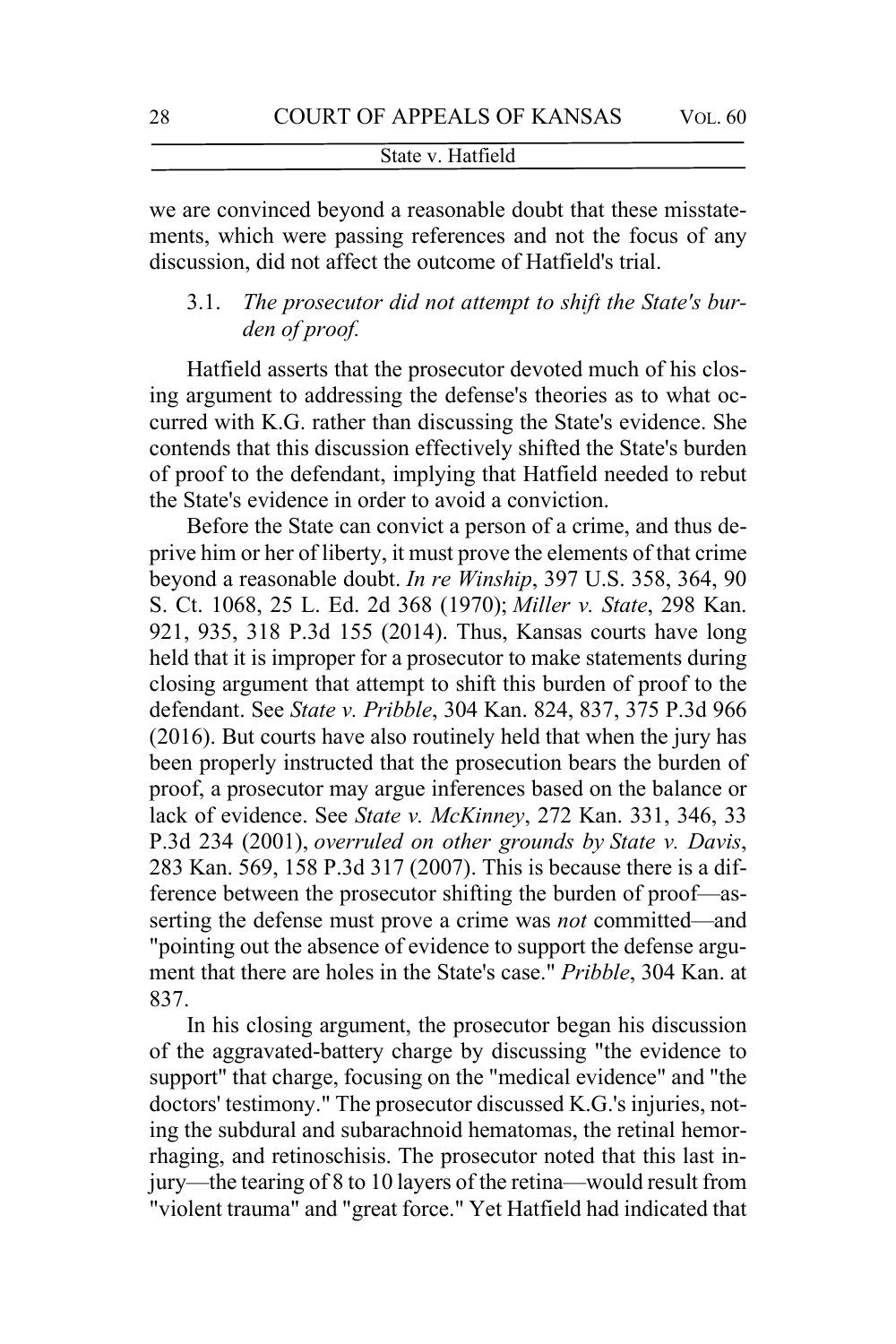we are convinced beyond a reasonable doubt that these misstatements, which were passing references and not the focus of any discussion, did not affect the outcome of Hatfield's trial.

# 3.1. *The prosecutor did not attempt to shift the State's burden of proof.*

Hatfield asserts that the prosecutor devoted much of his closing argument to addressing the defense's theories as to what occurred with K.G. rather than discussing the State's evidence. She contends that this discussion effectively shifted the State's burden of proof to the defendant, implying that Hatfield needed to rebut the State's evidence in order to avoid a conviction.

Before the State can convict a person of a crime, and thus deprive him or her of liberty, it must prove the elements of that crime beyond a reasonable doubt. *In re Winship*, 397 U.S. 358, 364, 90 S. Ct. 1068, 25 L. Ed. 2d 368 (1970); *Miller v. State*, 298 Kan. 921, 935, 318 P.3d 155 (2014). Thus, Kansas courts have long held that it is improper for a prosecutor to make statements during closing argument that attempt to shift this burden of proof to the defendant. See *State v. Pribble*, 304 Kan. 824, 837, 375 P.3d 966 (2016). But courts have also routinely held that when the jury has been properly instructed that the prosecution bears the burden of proof, a prosecutor may argue inferences based on the balance or lack of evidence. See *State v. McKinney*, 272 Kan. 331, 346, 33 P.3d 234 (2001), *overruled on other grounds by State v. Davis*, 283 Kan. 569, 158 P.3d 317 (2007). This is because there is a difference between the prosecutor shifting the burden of proof—asserting the defense must prove a crime was *not* committed—and "pointing out the absence of evidence to support the defense argument that there are holes in the State's case." *Pribble*, 304 Kan. at 837.

In his closing argument, the prosecutor began his discussion of the aggravated-battery charge by discussing "the evidence to support" that charge, focusing on the "medical evidence" and "the doctors' testimony." The prosecutor discussed K.G.'s injuries, noting the subdural and subarachnoid hematomas, the retinal hemorrhaging, and retinoschisis. The prosecutor noted that this last injury—the tearing of 8 to 10 layers of the retina—would result from "violent trauma" and "great force." Yet Hatfield had indicated that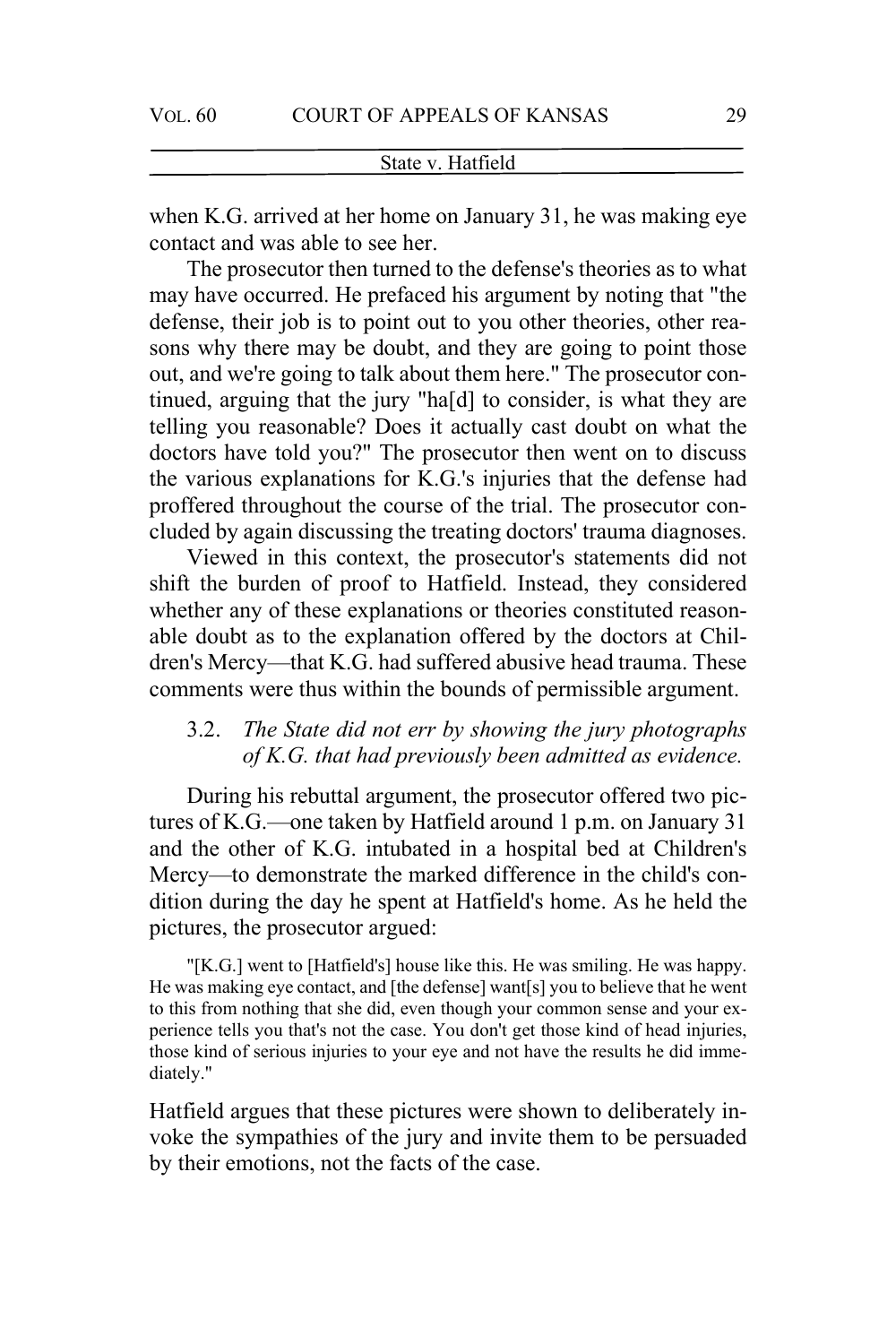when K.G. arrived at her home on January 31, he was making eye contact and was able to see her.

The prosecutor then turned to the defense's theories as to what may have occurred. He prefaced his argument by noting that "the defense, their job is to point out to you other theories, other reasons why there may be doubt, and they are going to point those out, and we're going to talk about them here." The prosecutor continued, arguing that the jury "ha[d] to consider, is what they are telling you reasonable? Does it actually cast doubt on what the doctors have told you?" The prosecutor then went on to discuss the various explanations for K.G.'s injuries that the defense had proffered throughout the course of the trial. The prosecutor concluded by again discussing the treating doctors' trauma diagnoses.

Viewed in this context, the prosecutor's statements did not shift the burden of proof to Hatfield. Instead, they considered whether any of these explanations or theories constituted reasonable doubt as to the explanation offered by the doctors at Children's Mercy—that K.G. had suffered abusive head trauma. These comments were thus within the bounds of permissible argument.

# 3.2. *The State did not err by showing the jury photographs of K.G. that had previously been admitted as evidence.*

During his rebuttal argument, the prosecutor offered two pictures of K.G.—one taken by Hatfield around 1 p.m. on January 31 and the other of K.G. intubated in a hospital bed at Children's Mercy—to demonstrate the marked difference in the child's condition during the day he spent at Hatfield's home. As he held the pictures, the prosecutor argued:

"[K.G.] went to [Hatfield's] house like this. He was smiling. He was happy. He was making eye contact, and [the defense] want[s] you to believe that he went to this from nothing that she did, even though your common sense and your experience tells you that's not the case. You don't get those kind of head injuries, those kind of serious injuries to your eye and not have the results he did immediately."

Hatfield argues that these pictures were shown to deliberately invoke the sympathies of the jury and invite them to be persuaded by their emotions, not the facts of the case.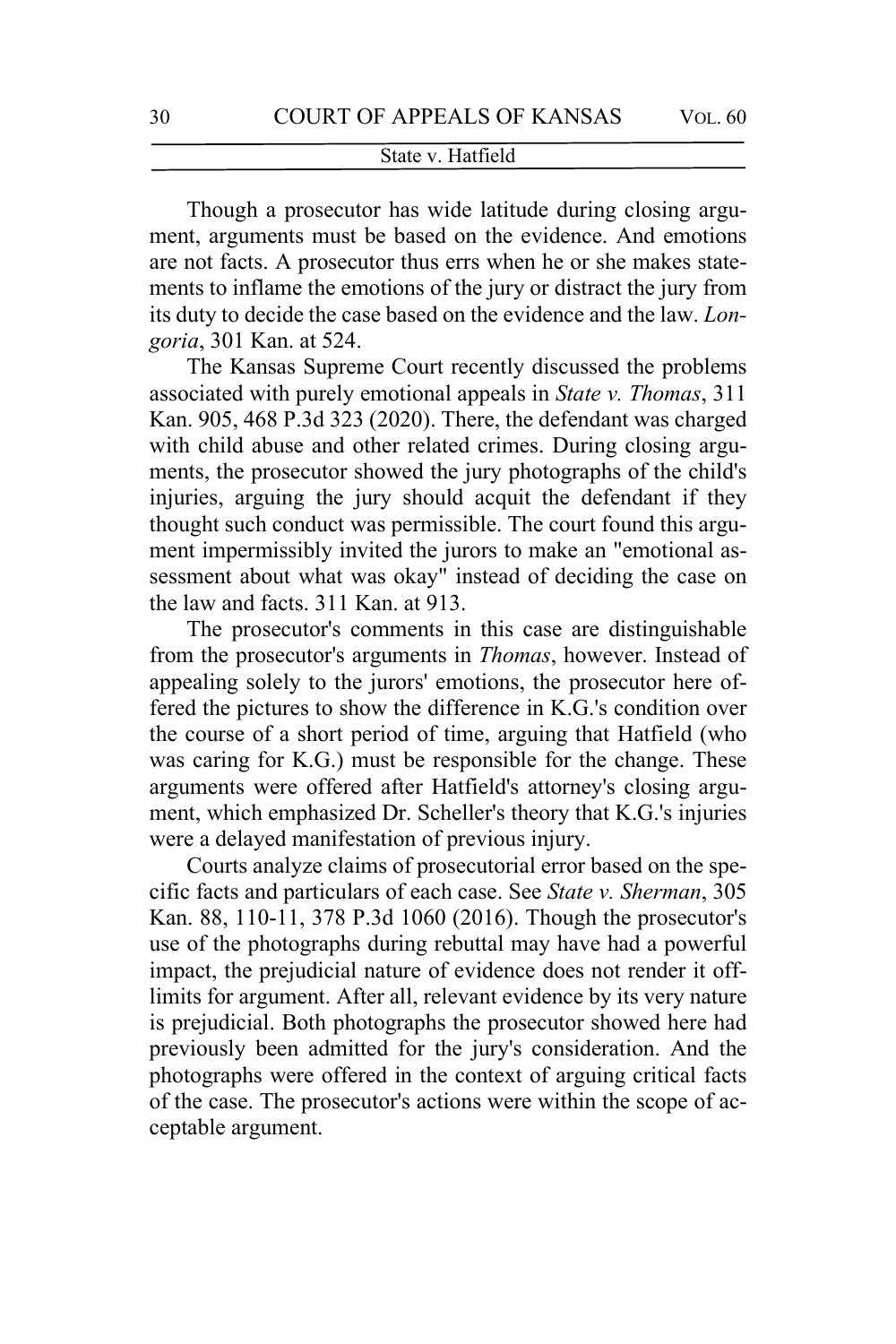Though a prosecutor has wide latitude during closing argument, arguments must be based on the evidence. And emotions are not facts. A prosecutor thus errs when he or she makes statements to inflame the emotions of the jury or distract the jury from its duty to decide the case based on the evidence and the law. *Longoria*, 301 Kan. at 524.

The Kansas Supreme Court recently discussed the problems associated with purely emotional appeals in *State v. Thomas*, 311 Kan. 905, 468 P.3d 323 (2020). There, the defendant was charged with child abuse and other related crimes. During closing arguments, the prosecutor showed the jury photographs of the child's injuries, arguing the jury should acquit the defendant if they thought such conduct was permissible. The court found this argument impermissibly invited the jurors to make an "emotional assessment about what was okay" instead of deciding the case on the law and facts. 311 Kan. at 913.

The prosecutor's comments in this case are distinguishable from the prosecutor's arguments in *Thomas*, however. Instead of appealing solely to the jurors' emotions, the prosecutor here offered the pictures to show the difference in K.G.'s condition over the course of a short period of time, arguing that Hatfield (who was caring for K.G.) must be responsible for the change. These arguments were offered after Hatfield's attorney's closing argument, which emphasized Dr. Scheller's theory that K.G.'s injuries were a delayed manifestation of previous injury.

Courts analyze claims of prosecutorial error based on the specific facts and particulars of each case. See *State v. Sherman*, 305 Kan. 88, 110-11, 378 P.3d 1060 (2016). Though the prosecutor's use of the photographs during rebuttal may have had a powerful impact, the prejudicial nature of evidence does not render it offlimits for argument. After all, relevant evidence by its very nature is prejudicial. Both photographs the prosecutor showed here had previously been admitted for the jury's consideration. And the photographs were offered in the context of arguing critical facts of the case. The prosecutor's actions were within the scope of acceptable argument.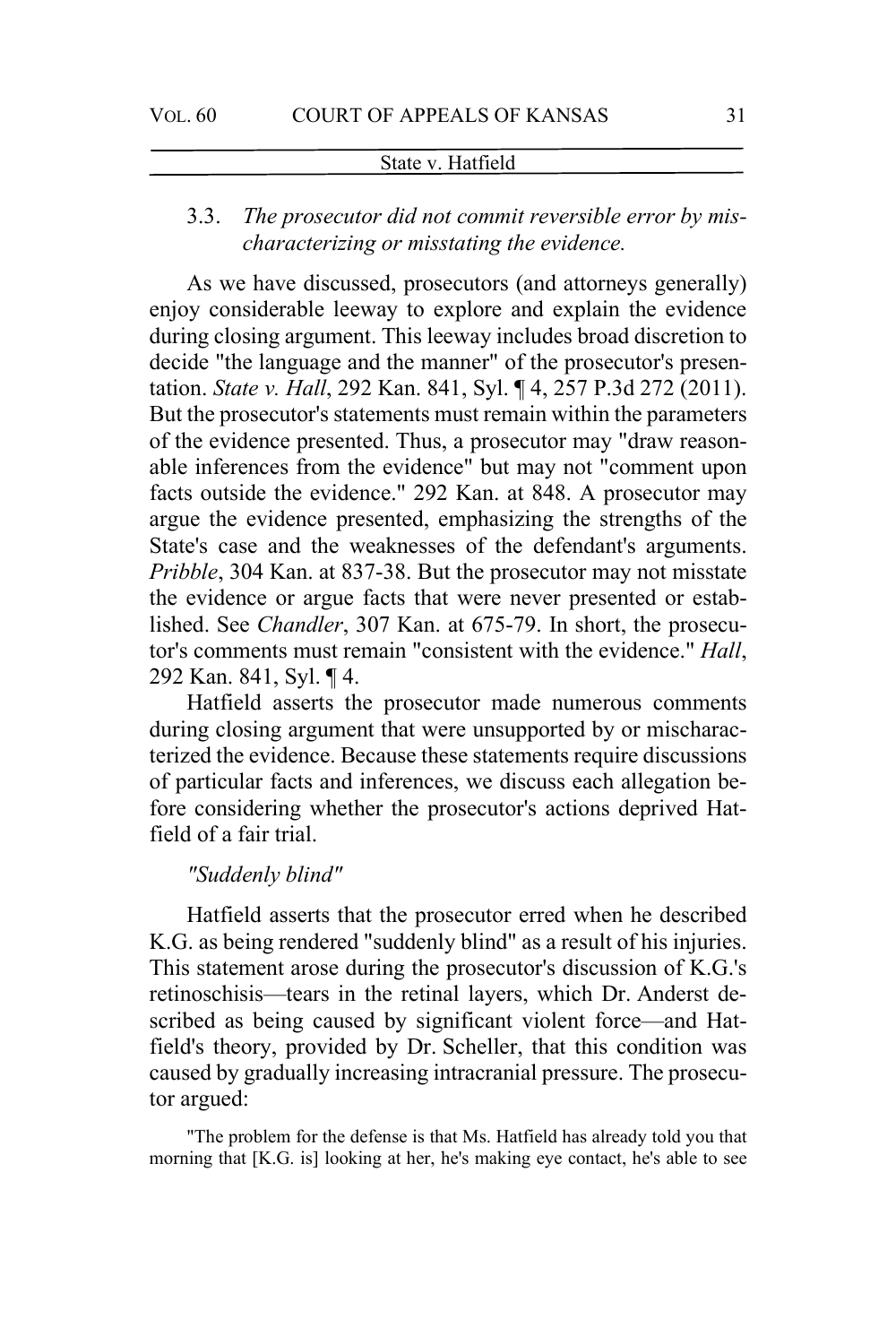# 3.3. *The prosecutor did not commit reversible error by mischaracterizing or misstating the evidence.*

As we have discussed, prosecutors (and attorneys generally) enjoy considerable leeway to explore and explain the evidence during closing argument. This leeway includes broad discretion to decide "the language and the manner" of the prosecutor's presentation. *State v. Hall*, 292 Kan. 841, Syl. ¶ 4, 257 P.3d 272 (2011). But the prosecutor's statements must remain within the parameters of the evidence presented. Thus, a prosecutor may "draw reasonable inferences from the evidence" but may not "comment upon facts outside the evidence." 292 Kan. at 848. A prosecutor may argue the evidence presented, emphasizing the strengths of the State's case and the weaknesses of the defendant's arguments. *Pribble*, 304 Kan. at 837-38. But the prosecutor may not misstate the evidence or argue facts that were never presented or established. See *Chandler*, 307 Kan. at 675-79. In short, the prosecutor's comments must remain "consistent with the evidence." *Hall*, 292 Kan. 841, Syl. ¶ 4.

Hatfield asserts the prosecutor made numerous comments during closing argument that were unsupported by or mischaracterized the evidence. Because these statements require discussions of particular facts and inferences, we discuss each allegation before considering whether the prosecutor's actions deprived Hatfield of a fair trial.

#### *"Suddenly blind"*

Hatfield asserts that the prosecutor erred when he described K.G. as being rendered "suddenly blind" as a result of his injuries. This statement arose during the prosecutor's discussion of K.G.'s retinoschisis—tears in the retinal layers, which Dr. Anderst described as being caused by significant violent force—and Hatfield's theory, provided by Dr. Scheller, that this condition was caused by gradually increasing intracranial pressure. The prosecutor argued:

"The problem for the defense is that Ms. Hatfield has already told you that morning that [K.G. is] looking at her, he's making eye contact, he's able to see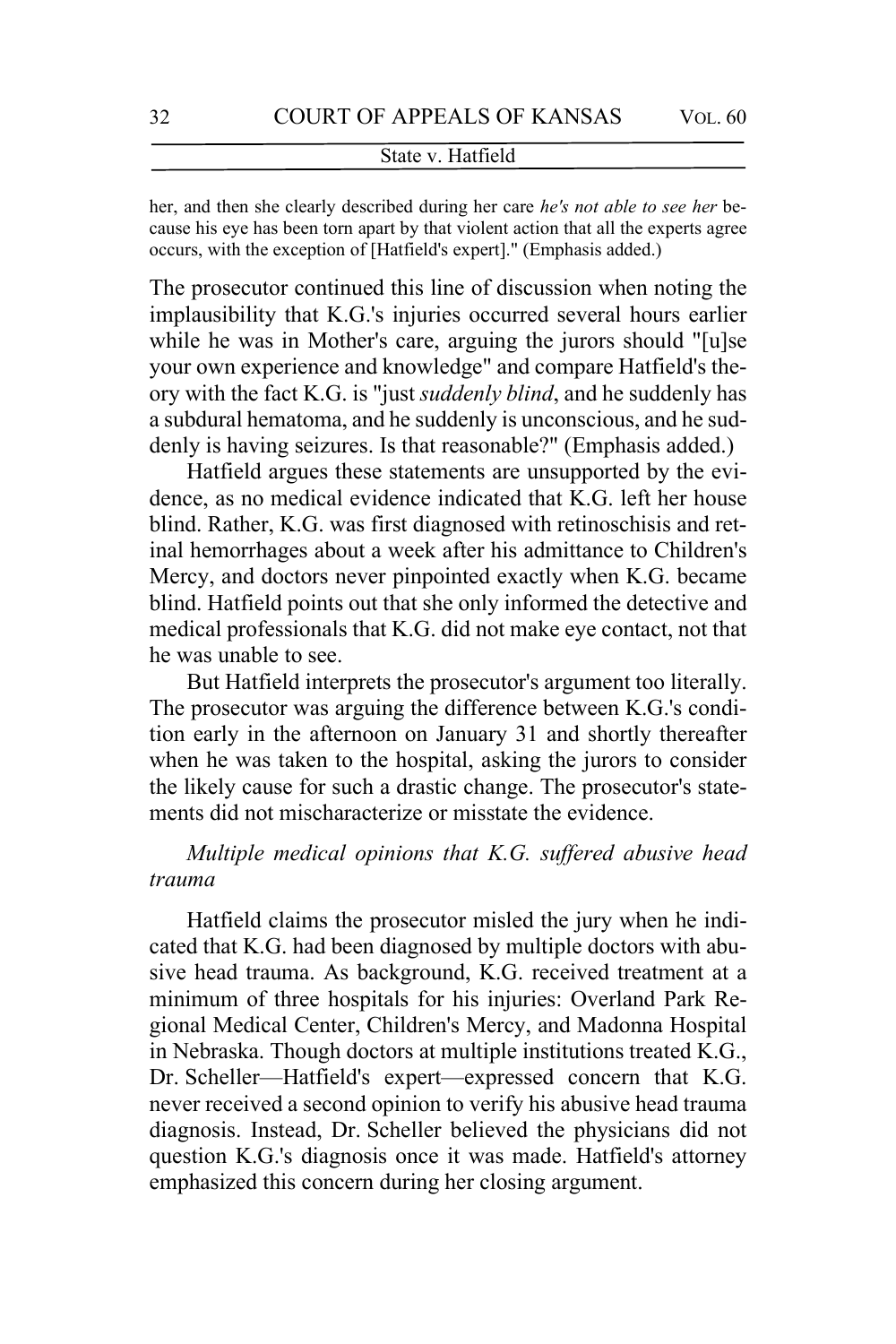her, and then she clearly described during her care *he's not able to see her* because his eye has been torn apart by that violent action that all the experts agree occurs, with the exception of [Hatfield's expert]." (Emphasis added.)

The prosecutor continued this line of discussion when noting the implausibility that K.G.'s injuries occurred several hours earlier while he was in Mother's care, arguing the jurors should "[u]se your own experience and knowledge" and compare Hatfield's theory with the fact K.G. is "just *suddenly blind*, and he suddenly has a subdural hematoma, and he suddenly is unconscious, and he suddenly is having seizures. Is that reasonable?" (Emphasis added.)

Hatfield argues these statements are unsupported by the evidence, as no medical evidence indicated that K.G. left her house blind. Rather, K.G. was first diagnosed with retinoschisis and retinal hemorrhages about a week after his admittance to Children's Mercy, and doctors never pinpointed exactly when K.G. became blind. Hatfield points out that she only informed the detective and medical professionals that K.G. did not make eye contact, not that he was unable to see.

But Hatfield interprets the prosecutor's argument too literally. The prosecutor was arguing the difference between K.G.'s condition early in the afternoon on January 31 and shortly thereafter when he was taken to the hospital, asking the jurors to consider the likely cause for such a drastic change. The prosecutor's statements did not mischaracterize or misstate the evidence.

# *Multiple medical opinions that K.G. suffered abusive head trauma*

Hatfield claims the prosecutor misled the jury when he indicated that K.G. had been diagnosed by multiple doctors with abusive head trauma. As background, K.G. received treatment at a minimum of three hospitals for his injuries: Overland Park Regional Medical Center, Children's Mercy, and Madonna Hospital in Nebraska. Though doctors at multiple institutions treated K.G., Dr. Scheller—Hatfield's expert—expressed concern that K.G. never received a second opinion to verify his abusive head trauma diagnosis. Instead, Dr. Scheller believed the physicians did not question K.G.'s diagnosis once it was made. Hatfield's attorney emphasized this concern during her closing argument.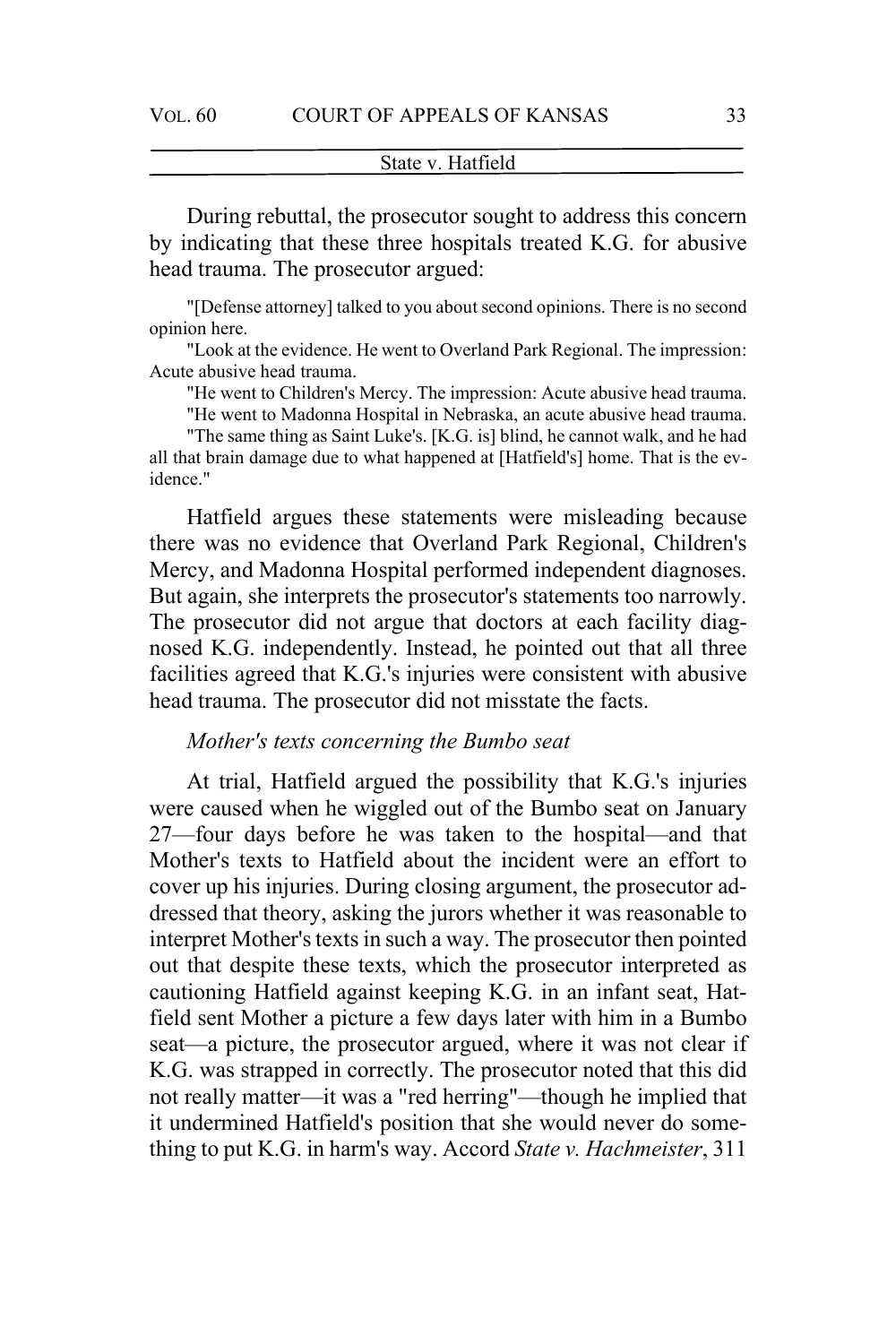During rebuttal, the prosecutor sought to address this concern by indicating that these three hospitals treated K.G. for abusive head trauma. The prosecutor argued:

"[Defense attorney] talked to you about second opinions. There is no second opinion here.

"Look at the evidence. He went to Overland Park Regional. The impression: Acute abusive head trauma.

"He went to Children's Mercy. The impression: Acute abusive head trauma.

"He went to Madonna Hospital in Nebraska, an acute abusive head trauma.

"The same thing as Saint Luke's. [K.G. is] blind, he cannot walk, and he had all that brain damage due to what happened at [Hatfield's] home. That is the evidence."

Hatfield argues these statements were misleading because there was no evidence that Overland Park Regional, Children's Mercy, and Madonna Hospital performed independent diagnoses. But again, she interprets the prosecutor's statements too narrowly. The prosecutor did not argue that doctors at each facility diagnosed K.G. independently. Instead, he pointed out that all three facilities agreed that K.G.'s injuries were consistent with abusive head trauma. The prosecutor did not misstate the facts.

### *Mother's texts concerning the Bumbo seat*

At trial, Hatfield argued the possibility that K.G.'s injuries were caused when he wiggled out of the Bumbo seat on January 27—four days before he was taken to the hospital—and that Mother's texts to Hatfield about the incident were an effort to cover up his injuries. During closing argument, the prosecutor addressed that theory, asking the jurors whether it was reasonable to interpret Mother's texts in such a way. The prosecutor then pointed out that despite these texts, which the prosecutor interpreted as cautioning Hatfield against keeping K.G. in an infant seat, Hatfield sent Mother a picture a few days later with him in a Bumbo seat—a picture, the prosecutor argued, where it was not clear if K.G. was strapped in correctly. The prosecutor noted that this did not really matter—it was a "red herring"—though he implied that it undermined Hatfield's position that she would never do something to put K.G. in harm's way. Accord *State v. Hachmeister*, 311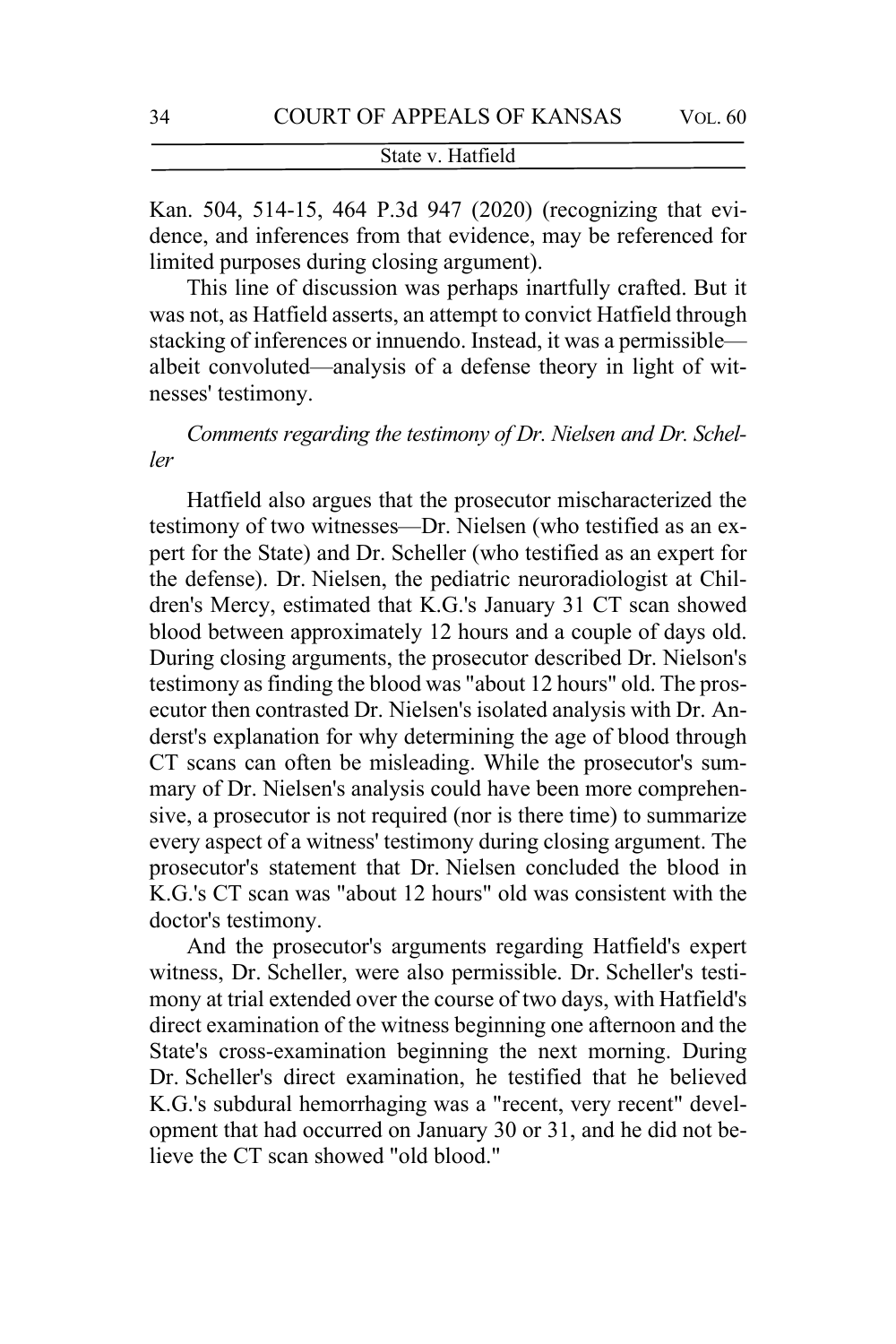Kan. 504, 514-15, 464 P.3d 947 (2020) (recognizing that evidence, and inferences from that evidence, may be referenced for limited purposes during closing argument).

This line of discussion was perhaps inartfully crafted. But it was not, as Hatfield asserts, an attempt to convict Hatfield through stacking of inferences or innuendo. Instead, it was a permissible albeit convoluted—analysis of a defense theory in light of witnesses' testimony.

*Comments regarding the testimony of Dr. Nielsen and Dr. Scheller*

Hatfield also argues that the prosecutor mischaracterized the testimony of two witnesses—Dr. Nielsen (who testified as an expert for the State) and Dr. Scheller (who testified as an expert for the defense). Dr. Nielsen, the pediatric neuroradiologist at Children's Mercy, estimated that K.G.'s January 31 CT scan showed blood between approximately 12 hours and a couple of days old. During closing arguments, the prosecutor described Dr. Nielson's testimony as finding the blood was "about 12 hours" old. The prosecutor then contrasted Dr. Nielsen's isolated analysis with Dr. Anderst's explanation for why determining the age of blood through CT scans can often be misleading. While the prosecutor's summary of Dr. Nielsen's analysis could have been more comprehensive, a prosecutor is not required (nor is there time) to summarize every aspect of a witness' testimony during closing argument. The prosecutor's statement that Dr. Nielsen concluded the blood in K.G.'s CT scan was "about 12 hours" old was consistent with the doctor's testimony.

And the prosecutor's arguments regarding Hatfield's expert witness, Dr. Scheller, were also permissible. Dr. Scheller's testimony at trial extended over the course of two days, with Hatfield's direct examination of the witness beginning one afternoon and the State's cross-examination beginning the next morning. During Dr. Scheller's direct examination, he testified that he believed K.G.'s subdural hemorrhaging was a "recent, very recent" development that had occurred on January 30 or 31, and he did not believe the CT scan showed "old blood."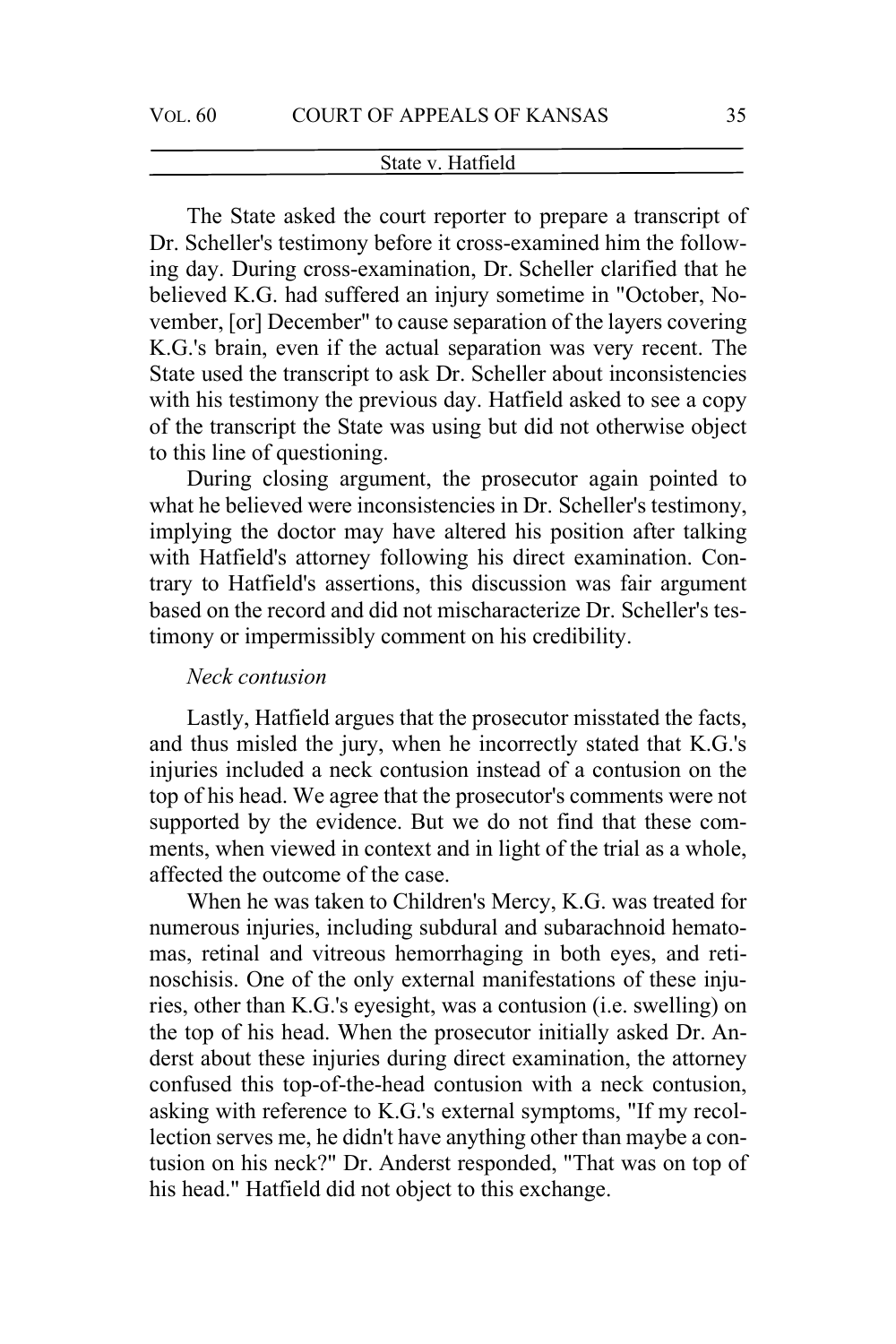The State asked the court reporter to prepare a transcript of Dr. Scheller's testimony before it cross-examined him the following day. During cross-examination, Dr. Scheller clarified that he believed K.G. had suffered an injury sometime in "October, November, [or] December" to cause separation of the layers covering K.G.'s brain, even if the actual separation was very recent. The State used the transcript to ask Dr. Scheller about inconsistencies with his testimony the previous day. Hatfield asked to see a copy of the transcript the State was using but did not otherwise object to this line of questioning.

During closing argument, the prosecutor again pointed to what he believed were inconsistencies in Dr. Scheller's testimony, implying the doctor may have altered his position after talking with Hatfield's attorney following his direct examination. Contrary to Hatfield's assertions, this discussion was fair argument based on the record and did not mischaracterize Dr. Scheller's testimony or impermissibly comment on his credibility.

### *Neck contusion*

Lastly, Hatfield argues that the prosecutor misstated the facts, and thus misled the jury, when he incorrectly stated that K.G.'s injuries included a neck contusion instead of a contusion on the top of his head. We agree that the prosecutor's comments were not supported by the evidence. But we do not find that these comments, when viewed in context and in light of the trial as a whole, affected the outcome of the case.

When he was taken to Children's Mercy, K.G. was treated for numerous injuries, including subdural and subarachnoid hematomas, retinal and vitreous hemorrhaging in both eyes, and retinoschisis. One of the only external manifestations of these injuries, other than K.G.'s eyesight, was a contusion (i.e. swelling) on the top of his head. When the prosecutor initially asked Dr. Anderst about these injuries during direct examination, the attorney confused this top-of-the-head contusion with a neck contusion, asking with reference to K.G.'s external symptoms, "If my recollection serves me, he didn't have anything other than maybe a contusion on his neck?" Dr. Anderst responded, "That was on top of his head." Hatfield did not object to this exchange.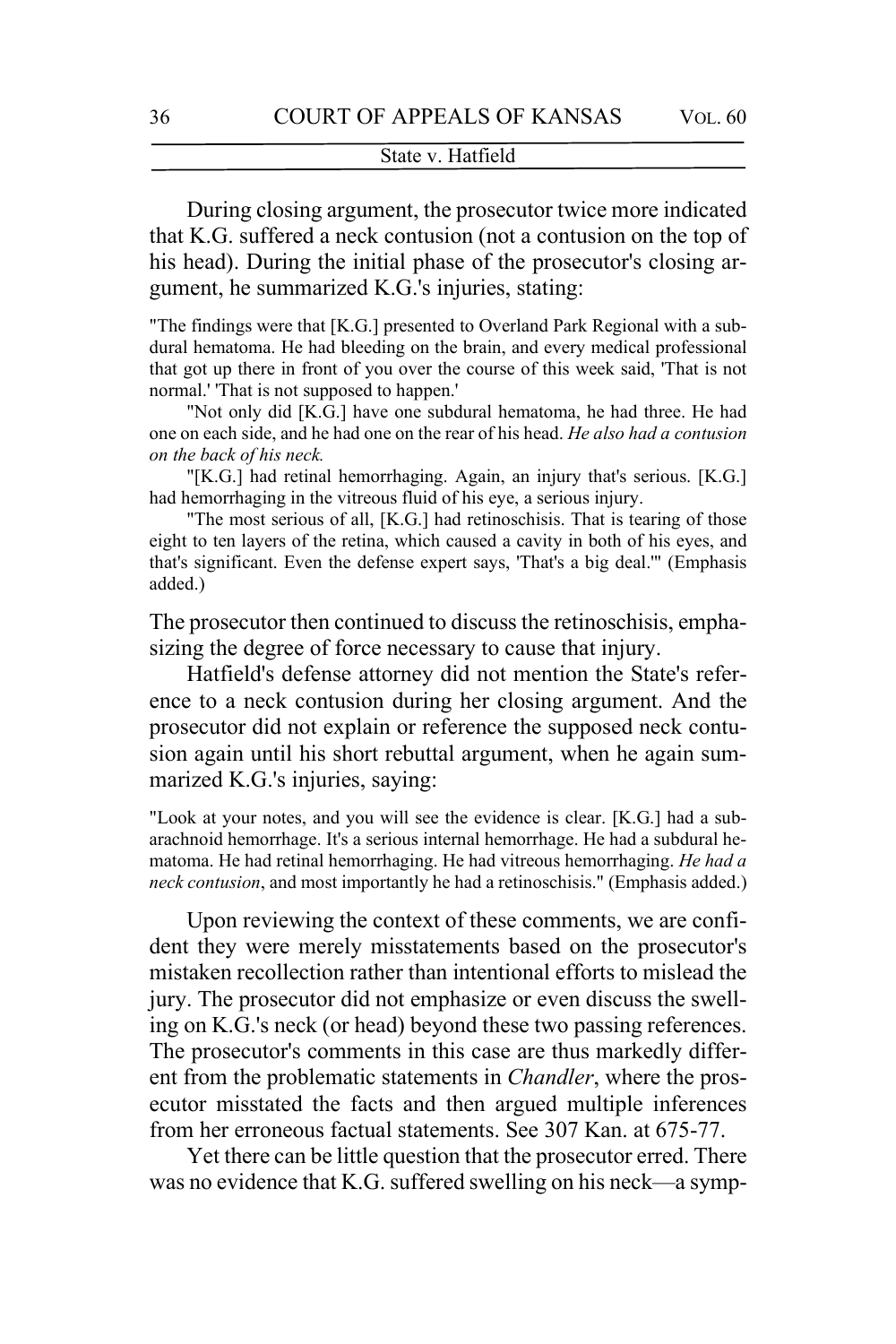During closing argument, the prosecutor twice more indicated that K.G. suffered a neck contusion (not a contusion on the top of his head). During the initial phase of the prosecutor's closing argument, he summarized K.G.'s injuries, stating:

"The findings were that [K.G.] presented to Overland Park Regional with a subdural hematoma. He had bleeding on the brain, and every medical professional that got up there in front of you over the course of this week said, 'That is not normal.' 'That is not supposed to happen.'

"Not only did [K.G.] have one subdural hematoma, he had three. He had one on each side, and he had one on the rear of his head. *He also had a contusion on the back of his neck.*

"[K.G.] had retinal hemorrhaging. Again, an injury that's serious. [K.G.] had hemorrhaging in the vitreous fluid of his eye, a serious injury.

"The most serious of all, [K.G.] had retinoschisis. That is tearing of those eight to ten layers of the retina, which caused a cavity in both of his eyes, and that's significant. Even the defense expert says, 'That's a big deal.'" (Emphasis added.)

The prosecutor then continued to discuss the retinoschisis, emphasizing the degree of force necessary to cause that injury.

Hatfield's defense attorney did not mention the State's reference to a neck contusion during her closing argument. And the prosecutor did not explain or reference the supposed neck contusion again until his short rebuttal argument, when he again summarized K.G.'s injuries, saying:

"Look at your notes, and you will see the evidence is clear. [K.G.] had a subarachnoid hemorrhage. It's a serious internal hemorrhage. He had a subdural hematoma. He had retinal hemorrhaging. He had vitreous hemorrhaging. *He had a neck contusion*, and most importantly he had a retinoschisis." (Emphasis added.)

Upon reviewing the context of these comments, we are confident they were merely misstatements based on the prosecutor's mistaken recollection rather than intentional efforts to mislead the jury. The prosecutor did not emphasize or even discuss the swelling on K.G.'s neck (or head) beyond these two passing references. The prosecutor's comments in this case are thus markedly different from the problematic statements in *Chandler*, where the prosecutor misstated the facts and then argued multiple inferences from her erroneous factual statements. See 307 Kan. at 675-77.

Yet there can be little question that the prosecutor erred. There was no evidence that K.G. suffered swelling on his neck—a symp-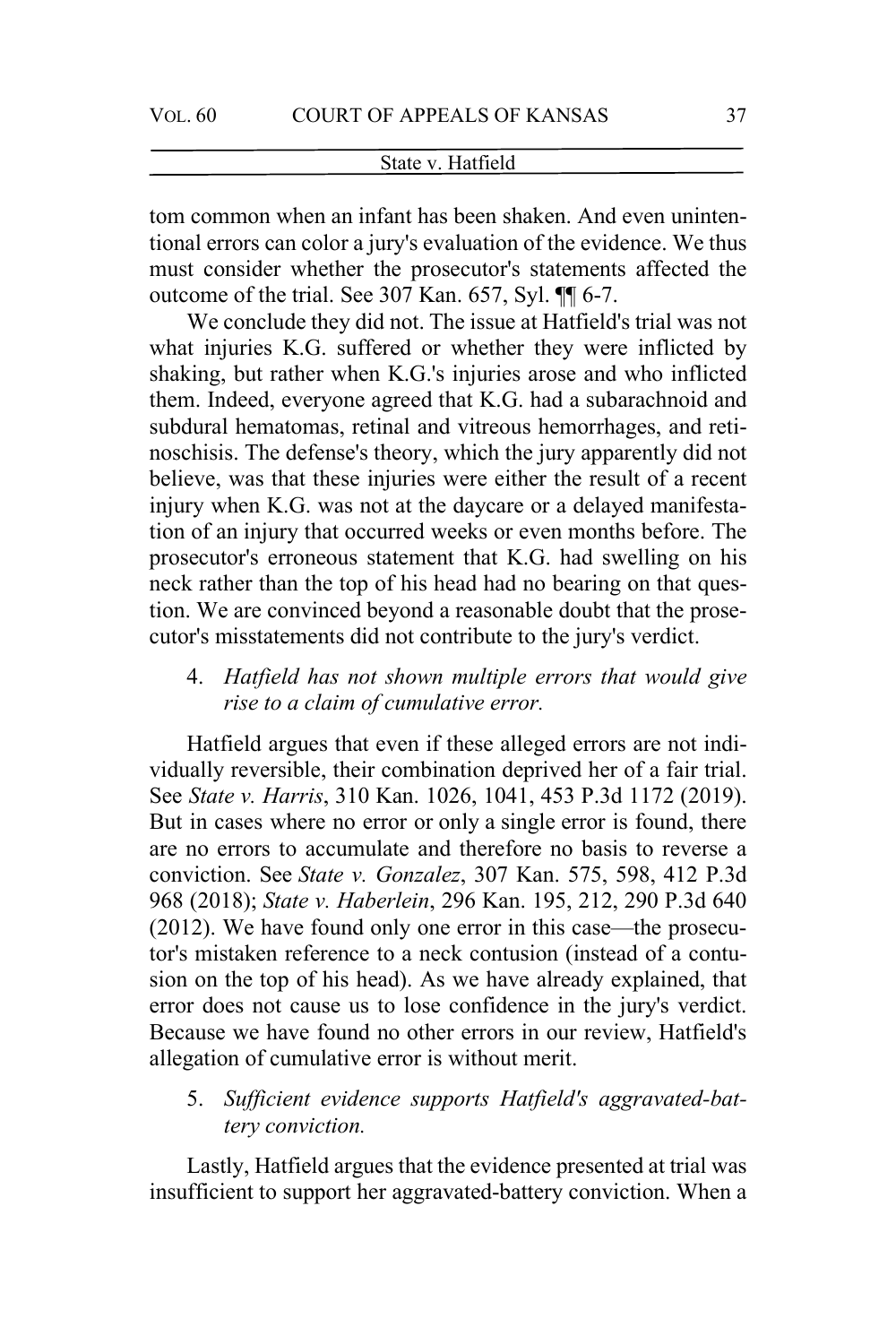tom common when an infant has been shaken. And even unintentional errors can color a jury's evaluation of the evidence. We thus must consider whether the prosecutor's statements affected the outcome of the trial. See 307 Kan. 657, Syl. ¶¶ 6-7.

We conclude they did not. The issue at Hatfield's trial was not what injuries K.G. suffered or whether they were inflicted by shaking, but rather when K.G.'s injuries arose and who inflicted them. Indeed, everyone agreed that K.G. had a subarachnoid and subdural hematomas, retinal and vitreous hemorrhages, and retinoschisis. The defense's theory, which the jury apparently did not believe, was that these injuries were either the result of a recent injury when K.G. was not at the daycare or a delayed manifestation of an injury that occurred weeks or even months before. The prosecutor's erroneous statement that K.G. had swelling on his neck rather than the top of his head had no bearing on that question. We are convinced beyond a reasonable doubt that the prosecutor's misstatements did not contribute to the jury's verdict.

4. *Hatfield has not shown multiple errors that would give rise to a claim of cumulative error.* 

Hatfield argues that even if these alleged errors are not individually reversible, their combination deprived her of a fair trial. See *State v. Harris*, 310 Kan. 1026, 1041, 453 P.3d 1172 (2019). But in cases where no error or only a single error is found, there are no errors to accumulate and therefore no basis to reverse a conviction. See *State v. Gonzalez*, 307 Kan. 575, 598, 412 P.3d 968 (2018); *State v. Haberlein*, 296 Kan. 195, 212, 290 P.3d 640 (2012). We have found only one error in this case—the prosecutor's mistaken reference to a neck contusion (instead of a contusion on the top of his head). As we have already explained, that error does not cause us to lose confidence in the jury's verdict. Because we have found no other errors in our review, Hatfield's allegation of cumulative error is without merit.

5. *Sufficient evidence supports Hatfield's aggravated-battery conviction.*

Lastly, Hatfield argues that the evidence presented at trial was insufficient to support her aggravated-battery conviction. When a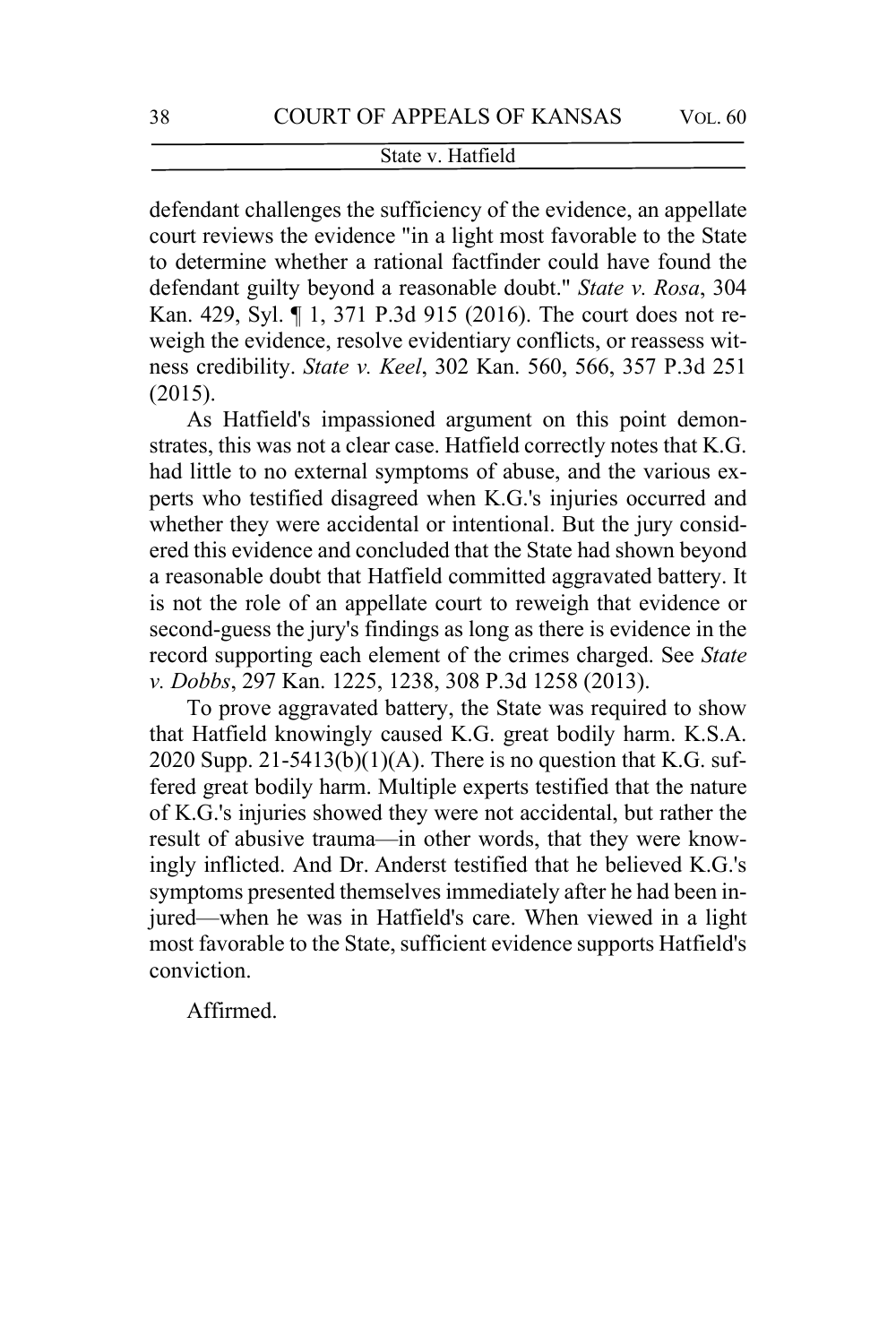defendant challenges the sufficiency of the evidence, an appellate court reviews the evidence "in a light most favorable to the State to determine whether a rational factfinder could have found the defendant guilty beyond a reasonable doubt." *State v. Rosa*, 304 Kan. 429, Syl. ¶ 1, 371 P.3d 915 (2016). The court does not reweigh the evidence, resolve evidentiary conflicts, or reassess witness credibility. *State v. Keel*, 302 Kan. 560, 566, 357 P.3d 251 (2015).

As Hatfield's impassioned argument on this point demonstrates, this was not a clear case. Hatfield correctly notes that K.G. had little to no external symptoms of abuse, and the various experts who testified disagreed when K.G.'s injuries occurred and whether they were accidental or intentional. But the jury considered this evidence and concluded that the State had shown beyond a reasonable doubt that Hatfield committed aggravated battery. It is not the role of an appellate court to reweigh that evidence or second-guess the jury's findings as long as there is evidence in the record supporting each element of the crimes charged. See *State v. Dobbs*, 297 Kan. 1225, 1238, 308 P.3d 1258 (2013).

To prove aggravated battery, the State was required to show that Hatfield knowingly caused K.G. great bodily harm. K.S.A. 2020 Supp. 21-5413(b)(1)(A). There is no question that K.G. suffered great bodily harm. Multiple experts testified that the nature of K.G.'s injuries showed they were not accidental, but rather the result of abusive trauma—in other words, that they were knowingly inflicted. And Dr. Anderst testified that he believed K.G.'s symptoms presented themselves immediately after he had been injured—when he was in Hatfield's care. When viewed in a light most favorable to the State, sufficient evidence supports Hatfield's conviction.

Affirmed.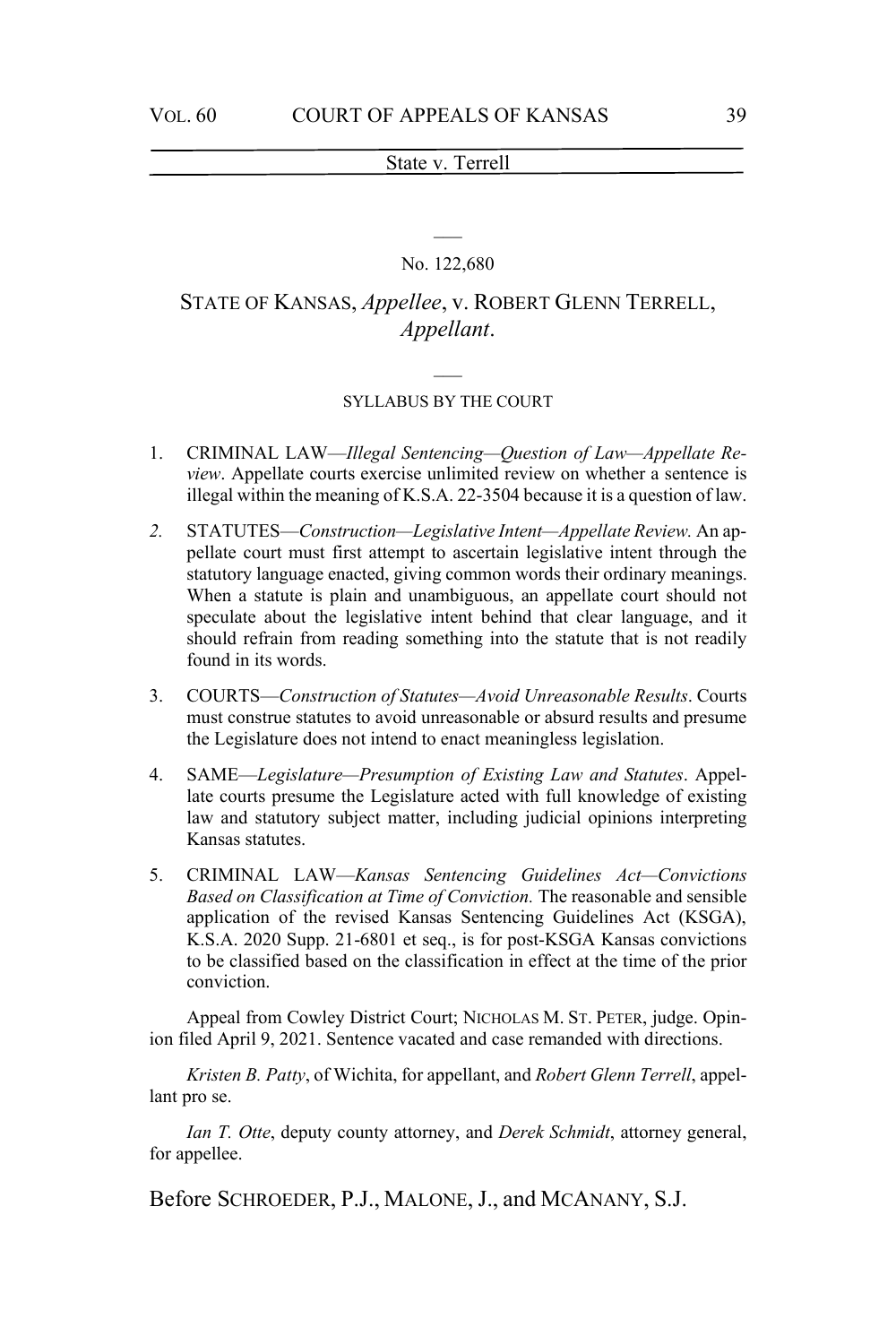# $\overline{\phantom{a}}$ No. 122,680

# STATE OF KANSAS, *Appellee*, v. ROBERT GLENN TERRELL, *Appellant*.

#### SYLLABUS BY THE COURT

- 1. CRIMINAL LAW—*Illegal Sentencing—Question of Law—Appellate Review*. Appellate courts exercise unlimited review on whether a sentence is illegal within the meaning of K.S.A. 22-3504 because it is a question of law.
- *2.* STATUTES—*Construction—Legislative Intent—Appellate Review.* An appellate court must first attempt to ascertain legislative intent through the statutory language enacted, giving common words their ordinary meanings. When a statute is plain and unambiguous, an appellate court should not speculate about the legislative intent behind that clear language, and it should refrain from reading something into the statute that is not readily found in its words.
- 3. COURTS—*Construction of Statutes—Avoid Unreasonable Results*. Courts must construe statutes to avoid unreasonable or absurd results and presume the Legislature does not intend to enact meaningless legislation.
- 4. SAME—*Legislature—Presumption of Existing Law and Statutes*. Appellate courts presume the Legislature acted with full knowledge of existing law and statutory subject matter, including judicial opinions interpreting Kansas statutes.
- 5. CRIMINAL LAW—*Kansas Sentencing Guidelines Act—Convictions Based on Classification at Time of Conviction.* The reasonable and sensible application of the revised Kansas Sentencing Guidelines Act (KSGA), K.S.A. 2020 Supp. 21-6801 et seq., is for post-KSGA Kansas convictions to be classified based on the classification in effect at the time of the prior conviction.

Appeal from Cowley District Court; NICHOLAS M. ST. PETER, judge. Opinion filed April 9, 2021. Sentence vacated and case remanded with directions.

*Kristen B. Patty*, of Wichita, for appellant, and *Robert Glenn Terrell*, appellant pro se.

*Ian T. Otte*, deputy county attorney, and *Derek Schmidt*, attorney general, for appellee.

Before SCHROEDER, P.J., MALONE, J., and MCANANY, S.J.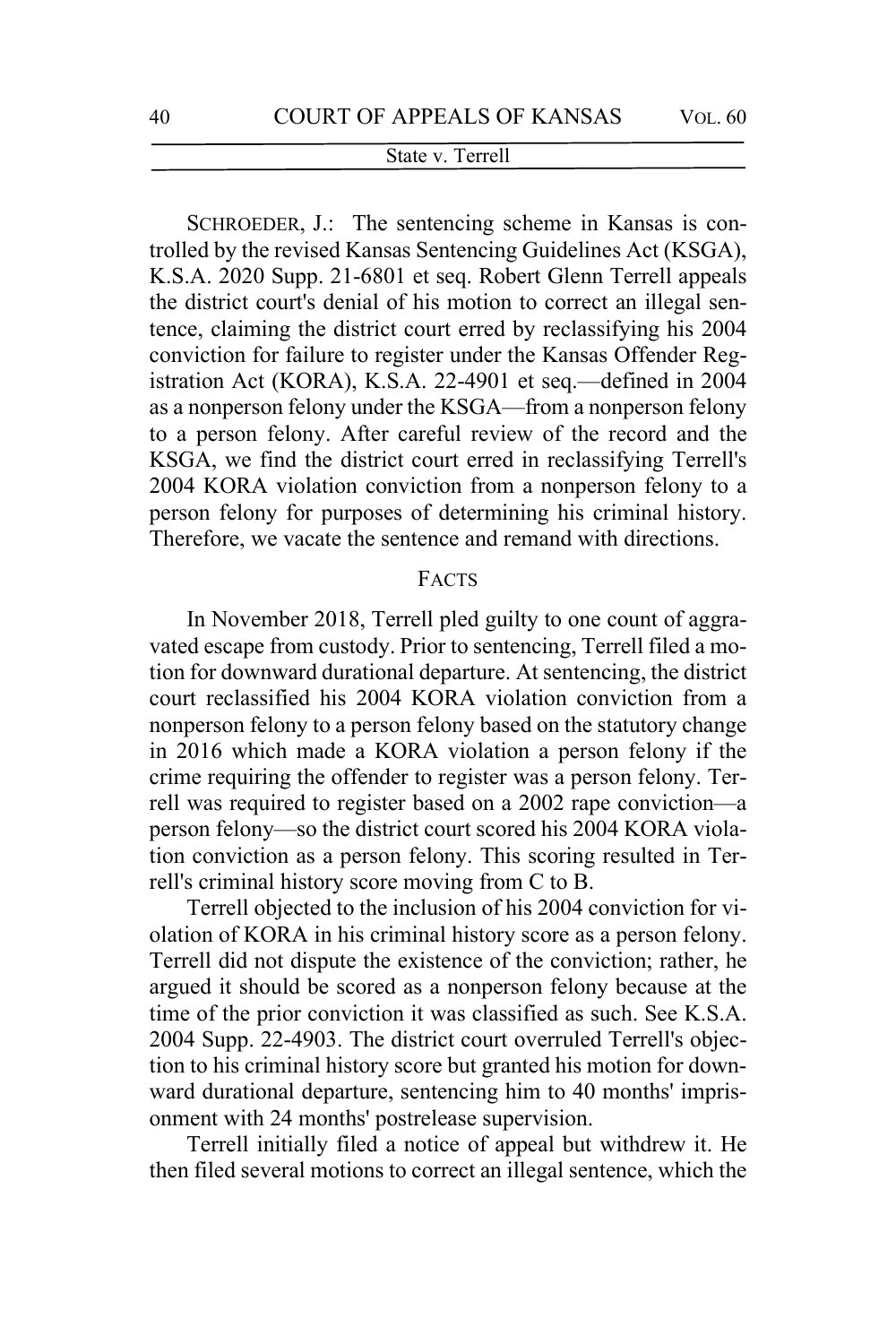SCHROEDER, J.: The sentencing scheme in Kansas is controlled by the revised Kansas Sentencing Guidelines Act (KSGA), K.S.A. 2020 Supp. 21-6801 et seq. Robert Glenn Terrell appeals the district court's denial of his motion to correct an illegal sentence, claiming the district court erred by reclassifying his 2004 conviction for failure to register under the Kansas Offender Registration Act (KORA), K.S.A. 22-4901 et seq.—defined in 2004 as a nonperson felony under the KSGA—from a nonperson felony to a person felony. After careful review of the record and the KSGA, we find the district court erred in reclassifying Terrell's 2004 KORA violation conviction from a nonperson felony to a person felony for purposes of determining his criminal history. Therefore, we vacate the sentence and remand with directions.

### FACTS

In November 2018, Terrell pled guilty to one count of aggravated escape from custody. Prior to sentencing, Terrell filed a motion for downward durational departure. At sentencing, the district court reclassified his 2004 KORA violation conviction from a nonperson felony to a person felony based on the statutory change in 2016 which made a KORA violation a person felony if the crime requiring the offender to register was a person felony. Terrell was required to register based on a 2002 rape conviction—a person felony—so the district court scored his 2004 KORA violation conviction as a person felony. This scoring resulted in Terrell's criminal history score moving from C to B.

Terrell objected to the inclusion of his 2004 conviction for violation of KORA in his criminal history score as a person felony. Terrell did not dispute the existence of the conviction; rather, he argued it should be scored as a nonperson felony because at the time of the prior conviction it was classified as such. See K.S.A. 2004 Supp. 22-4903. The district court overruled Terrell's objection to his criminal history score but granted his motion for downward durational departure, sentencing him to 40 months' imprisonment with 24 months' postrelease supervision.

Terrell initially filed a notice of appeal but withdrew it. He then filed several motions to correct an illegal sentence, which the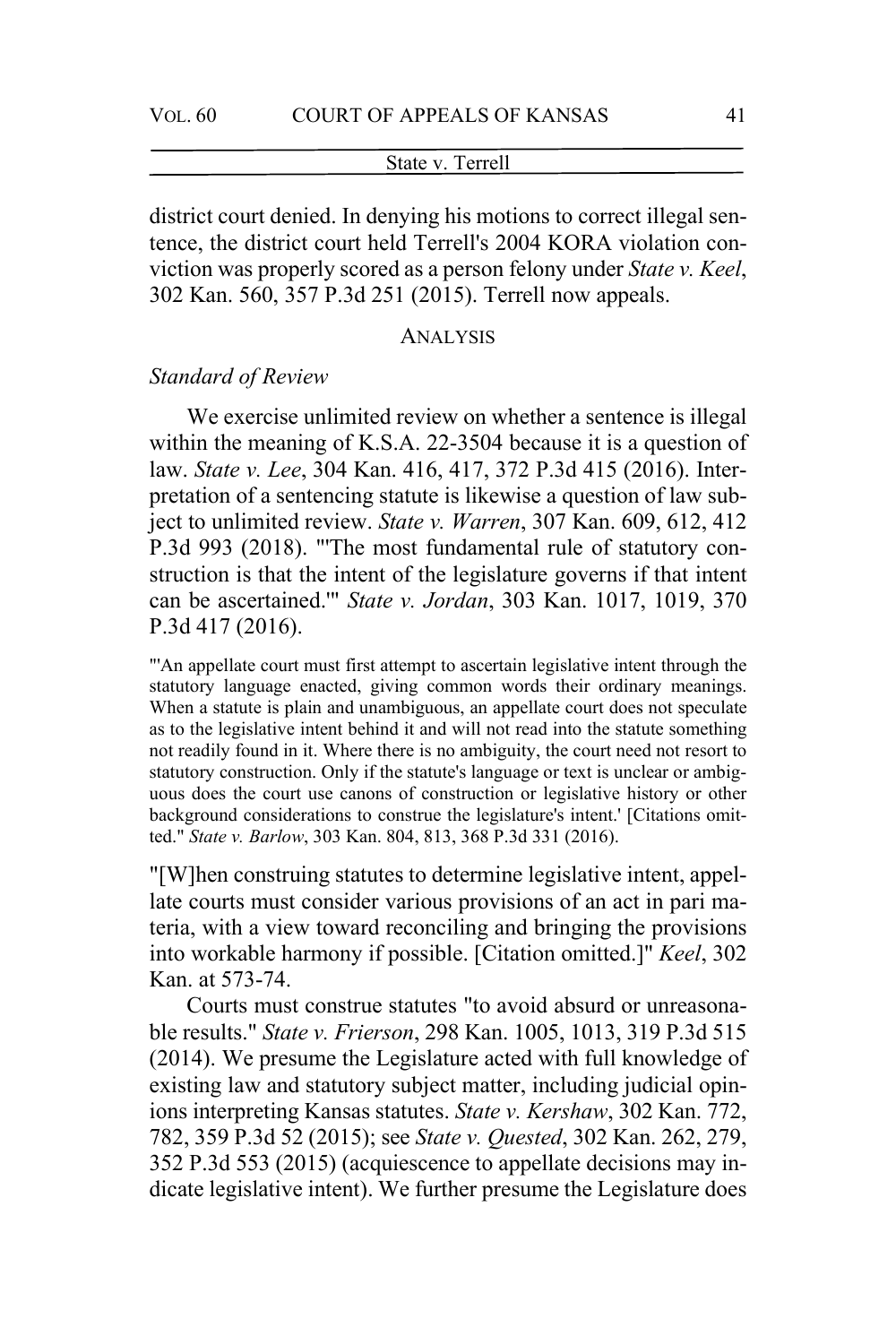district court denied. In denying his motions to correct illegal sentence, the district court held Terrell's 2004 KORA violation conviction was properly scored as a person felony under *State v. Keel*, 302 Kan. 560, 357 P.3d 251 (2015). Terrell now appeals.

#### ANALYSIS

# *Standard of Review*

We exercise unlimited review on whether a sentence is illegal within the meaning of K.S.A. 22-3504 because it is a question of law. *State v. Lee*, 304 Kan. 416, 417, 372 P.3d 415 (2016). Interpretation of a sentencing statute is likewise a question of law subject to unlimited review. *State v. Warren*, 307 Kan. 609, 612, 412 P.3d 993 (2018). "'The most fundamental rule of statutory construction is that the intent of the legislature governs if that intent can be ascertained.'" *State v. Jordan*, 303 Kan. 1017, 1019, 370 P.3d 417 (2016).

"'An appellate court must first attempt to ascertain legislative intent through the statutory language enacted, giving common words their ordinary meanings. When a statute is plain and unambiguous, an appellate court does not speculate as to the legislative intent behind it and will not read into the statute something not readily found in it. Where there is no ambiguity, the court need not resort to statutory construction. Only if the statute's language or text is unclear or ambiguous does the court use canons of construction or legislative history or other background considerations to construe the legislature's intent.' [Citations omitted." *State v. Barlow*, 303 Kan. 804, 813, 368 P.3d 331 (2016).

"[W]hen construing statutes to determine legislative intent, appellate courts must consider various provisions of an act in pari materia, with a view toward reconciling and bringing the provisions into workable harmony if possible. [Citation omitted.]" *Keel*, 302 Kan. at 573-74.

Courts must construe statutes "to avoid absurd or unreasonable results." *State v. Frierson*, 298 Kan. 1005, 1013, 319 P.3d 515 (2014). We presume the Legislature acted with full knowledge of existing law and statutory subject matter, including judicial opinions interpreting Kansas statutes. *State v. Kershaw*, 302 Kan. 772, 782, 359 P.3d 52 (2015); see *State v. Quested*, 302 Kan. 262, 279, 352 P.3d 553 (2015) (acquiescence to appellate decisions may indicate legislative intent). We further presume the Legislature does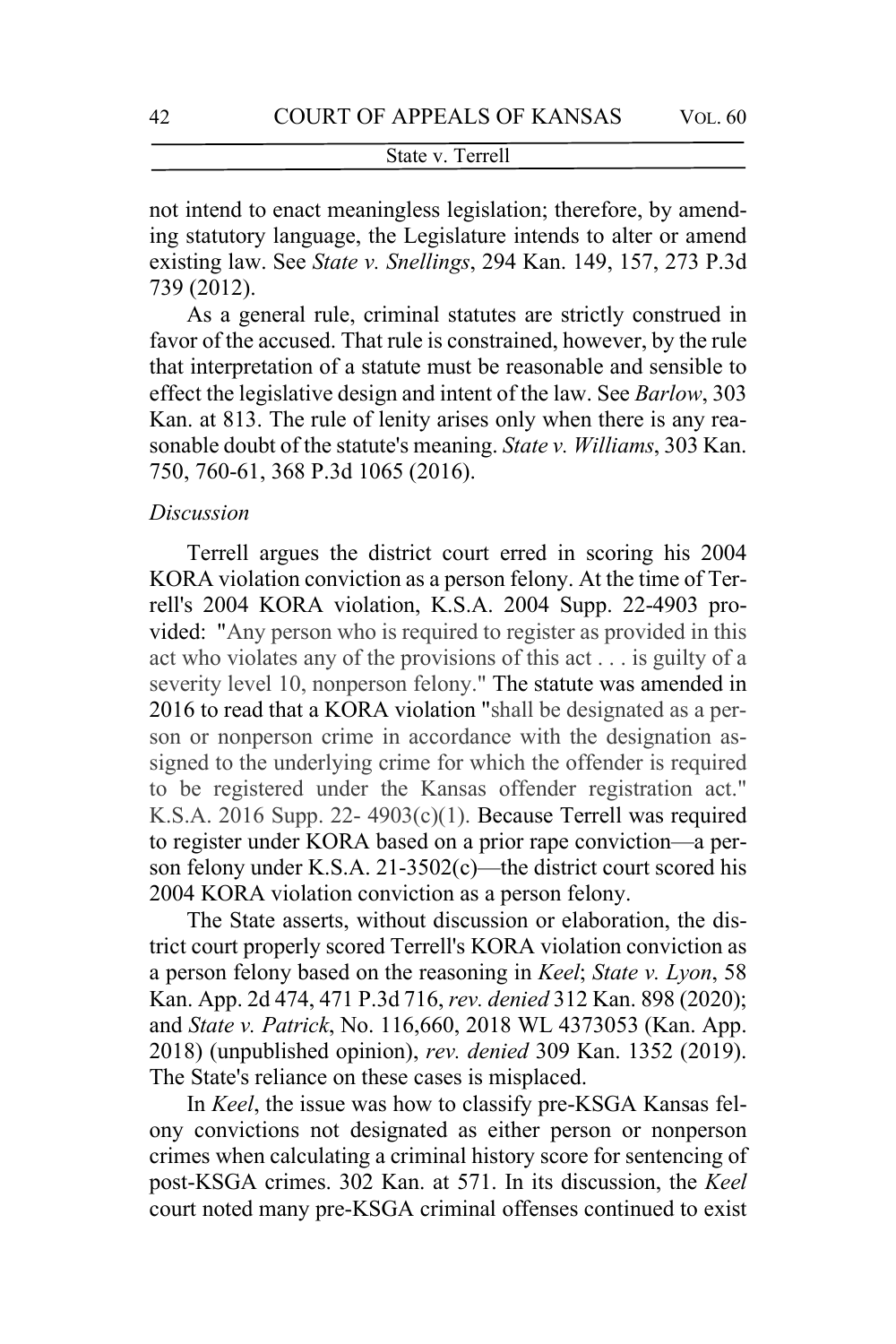not intend to enact meaningless legislation; therefore, by amending statutory language, the Legislature intends to alter or amend existing law. See *State v. Snellings*, 294 Kan. 149, 157, 273 P.3d 739 (2012).

As a general rule, criminal statutes are strictly construed in favor of the accused. That rule is constrained, however, by the rule that interpretation of a statute must be reasonable and sensible to effect the legislative design and intent of the law. See *Barlow*, 303 Kan. at 813. The rule of lenity arises only when there is any reasonable doubt of the statute's meaning. *State v. Williams*, 303 Kan. 750, 760-61, 368 P.3d 1065 (2016).

#### *Discussion*

Terrell argues the district court erred in scoring his 2004 KORA violation conviction as a person felony. At the time of Terrell's 2004 KORA violation, K.S.A. 2004 Supp. 22-4903 provided: "Any person who is required to register as provided in this act who violates any of the provisions of this act . . . is guilty of a severity level 10, nonperson felony." The statute was amended in 2016 to read that a KORA violation "shall be designated as a person or nonperson crime in accordance with the designation assigned to the underlying crime for which the offender is required to be registered under the Kansas offender registration act." K.S.A. 2016 Supp. 22- 4903(c)(1). Because Terrell was required to register under KORA based on a prior rape conviction—a person felony under K.S.A. 21-3502(c)—the district court scored his 2004 KORA violation conviction as a person felony.

The State asserts, without discussion or elaboration, the district court properly scored Terrell's KORA violation conviction as a person felony based on the reasoning in *Keel*; *State v. Lyon*, 58 Kan. App. 2d 474, 471 P.3d 716, *rev. denied* 312 Kan. 898 (2020); and *State v. Patrick*, No. 116,660, 2018 WL 4373053 (Kan. App. 2018) (unpublished opinion), *rev. denied* 309 Kan. 1352 (2019). The State's reliance on these cases is misplaced.

In *Keel*, the issue was how to classify pre-KSGA Kansas felony convictions not designated as either person or nonperson crimes when calculating a criminal history score for sentencing of post-KSGA crimes. 302 Kan. at 571. In its discussion, the *Keel* court noted many pre-KSGA criminal offenses continued to exist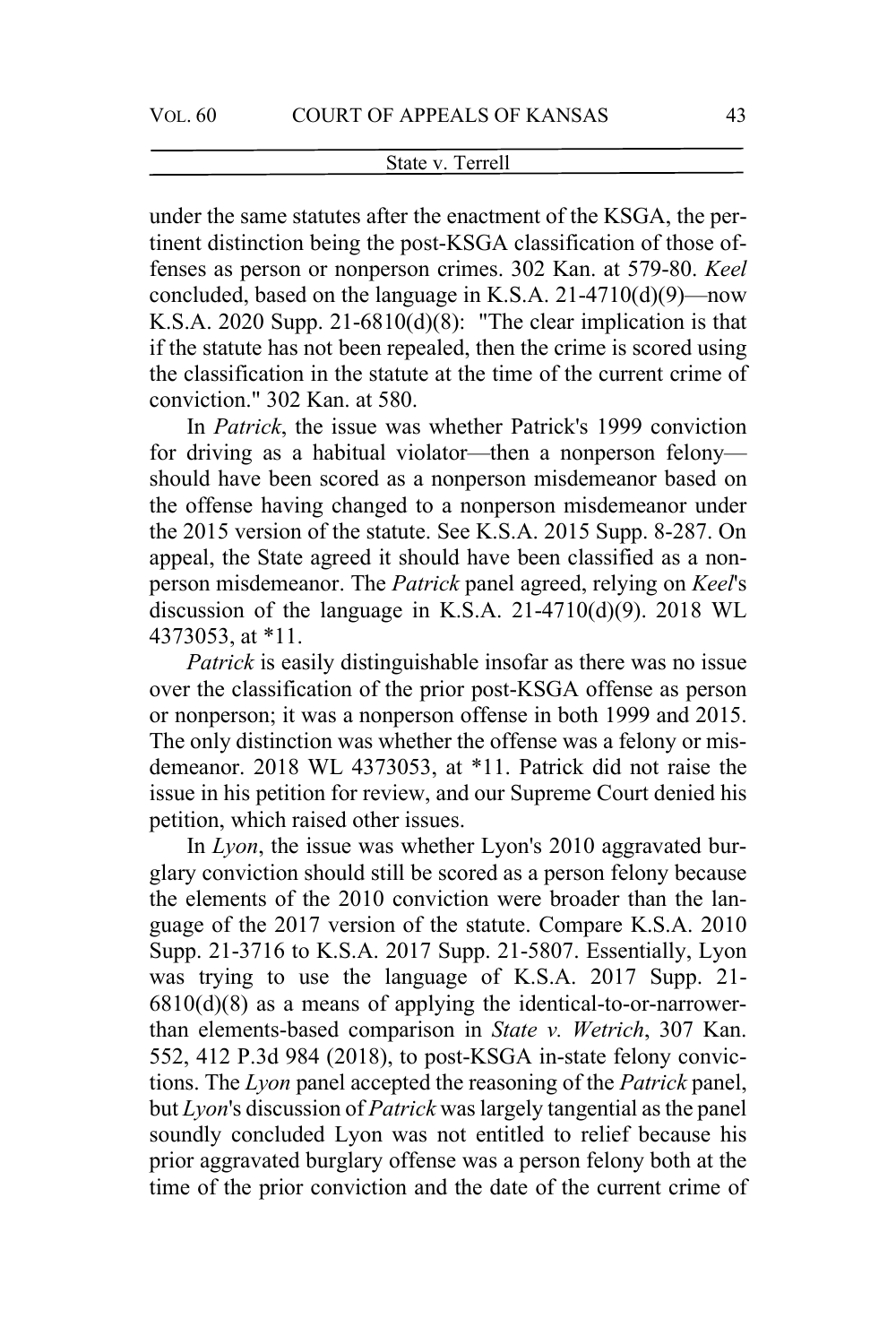under the same statutes after the enactment of the KSGA, the pertinent distinction being the post-KSGA classification of those offenses as person or nonperson crimes. 302 Kan. at 579-80. *Keel* concluded, based on the language in K.S.A. 21-4710(d)(9)—now K.S.A. 2020 Supp.  $21-6810(d)(8)$ : "The clear implication is that if the statute has not been repealed, then the crime is scored using the classification in the statute at the time of the current crime of conviction." 302 Kan. at 580.

In *Patrick*, the issue was whether Patrick's 1999 conviction for driving as a habitual violator—then a nonperson felony should have been scored as a nonperson misdemeanor based on the offense having changed to a nonperson misdemeanor under the 2015 version of the statute. See K.S.A. 2015 Supp. 8-287. On appeal, the State agreed it should have been classified as a nonperson misdemeanor. The *Patrick* panel agreed, relying on *Keel*'s discussion of the language in K.S.A.  $21-4710(d)(9)$ .  $2018$  WL 4373053, at \*11.

*Patrick* is easily distinguishable insofar as there was no issue over the classification of the prior post-KSGA offense as person or nonperson; it was a nonperson offense in both 1999 and 2015. The only distinction was whether the offense was a felony or misdemeanor. 2018 WL 4373053, at \*11. Patrick did not raise the issue in his petition for review, and our Supreme Court denied his petition, which raised other issues.

In *Lyon*, the issue was whether Lyon's 2010 aggravated burglary conviction should still be scored as a person felony because the elements of the 2010 conviction were broader than the language of the 2017 version of the statute. Compare K.S.A. 2010 Supp. 21-3716 to K.S.A. 2017 Supp. 21-5807. Essentially, Lyon was trying to use the language of K.S.A. 2017 Supp. 21-  $6810(d)(8)$  as a means of applying the identical-to-or-narrowerthan elements-based comparison in *State v. Wetrich*, 307 Kan. 552, 412 P.3d 984 (2018), to post-KSGA in-state felony convictions. The *Lyon* panel accepted the reasoning of the *Patrick* panel, but *Lyon*'s discussion of *Patrick* was largely tangential as the panel soundly concluded Lyon was not entitled to relief because his prior aggravated burglary offense was a person felony both at the time of the prior conviction and the date of the current crime of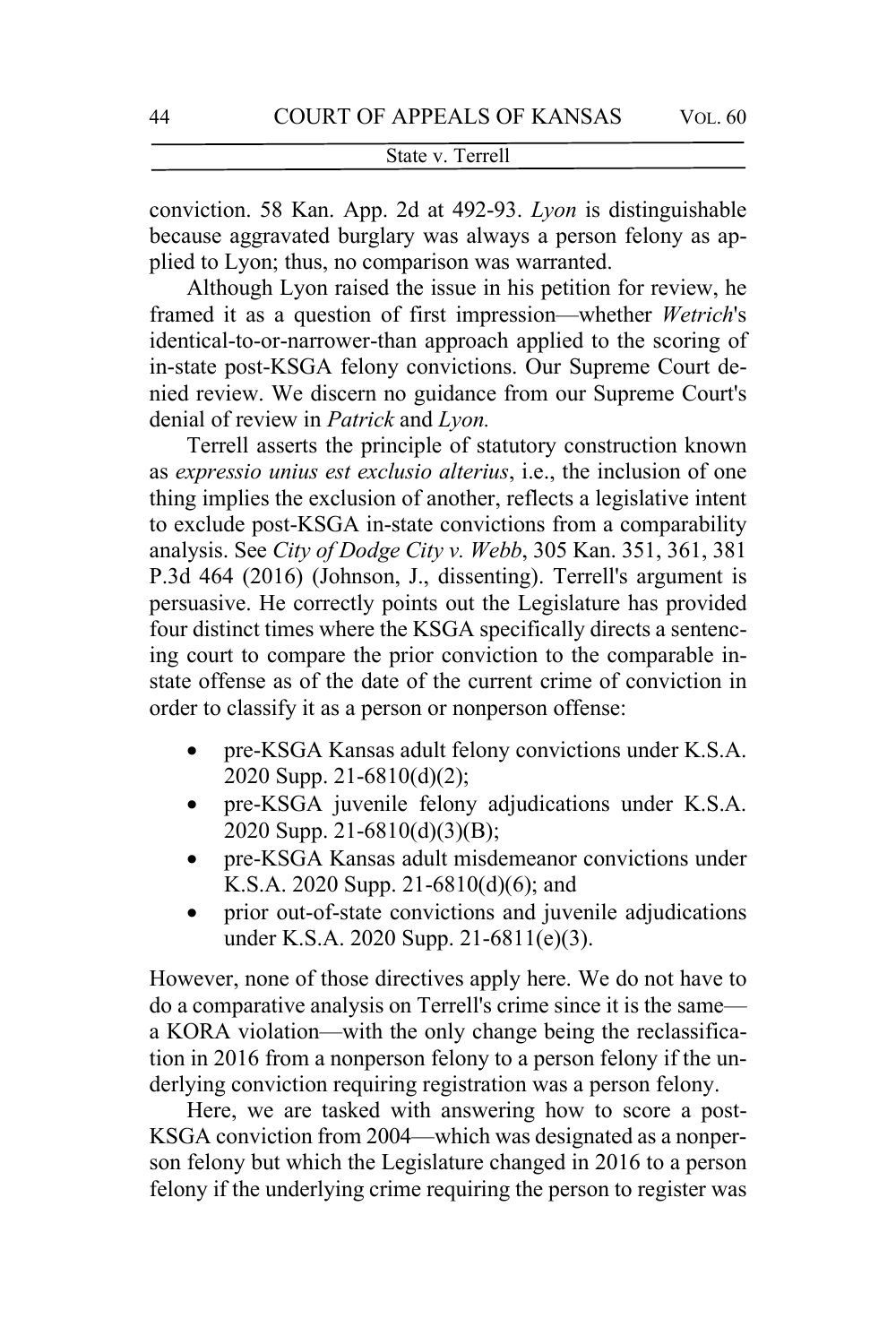conviction. 58 Kan. App. 2d at 492-93. *Lyon* is distinguishable because aggravated burglary was always a person felony as applied to Lyon; thus, no comparison was warranted.

Although Lyon raised the issue in his petition for review, he framed it as a question of first impression—whether *Wetrich*'s identical-to-or-narrower-than approach applied to the scoring of in-state post-KSGA felony convictions. Our Supreme Court denied review. We discern no guidance from our Supreme Court's denial of review in *Patrick* and *Lyon.*

Terrell asserts the principle of statutory construction known as *expressio unius est exclusio alterius*, i.e., the inclusion of one thing implies the exclusion of another, reflects a legislative intent to exclude post-KSGA in-state convictions from a comparability analysis. See *City of Dodge City v. Webb*, 305 Kan. 351, 361, 381 P.3d 464 (2016) (Johnson, J., dissenting). Terrell's argument is persuasive. He correctly points out the Legislature has provided four distinct times where the KSGA specifically directs a sentencing court to compare the prior conviction to the comparable instate offense as of the date of the current crime of conviction in order to classify it as a person or nonperson offense:

- pre-KSGA Kansas adult felony convictions under K.S.A. 2020 Supp. 21-6810(d)(2);
- pre-KSGA juvenile felony adjudications under K.S.A. 2020 Supp. 21-6810(d)(3)(B);
- pre-KSGA Kansas adult misdemeanor convictions under K.S.A. 2020 Supp. 21-6810(d)(6); and
- prior out-of-state convictions and juvenile adjudications under K.S.A. 2020 Supp. 21-6811(e)(3).

However, none of those directives apply here. We do not have to do a comparative analysis on Terrell's crime since it is the same a KORA violation—with the only change being the reclassification in 2016 from a nonperson felony to a person felony if the underlying conviction requiring registration was a person felony.

Here, we are tasked with answering how to score a post-KSGA conviction from 2004—which was designated as a nonperson felony but which the Legislature changed in 2016 to a person felony if the underlying crime requiring the person to register was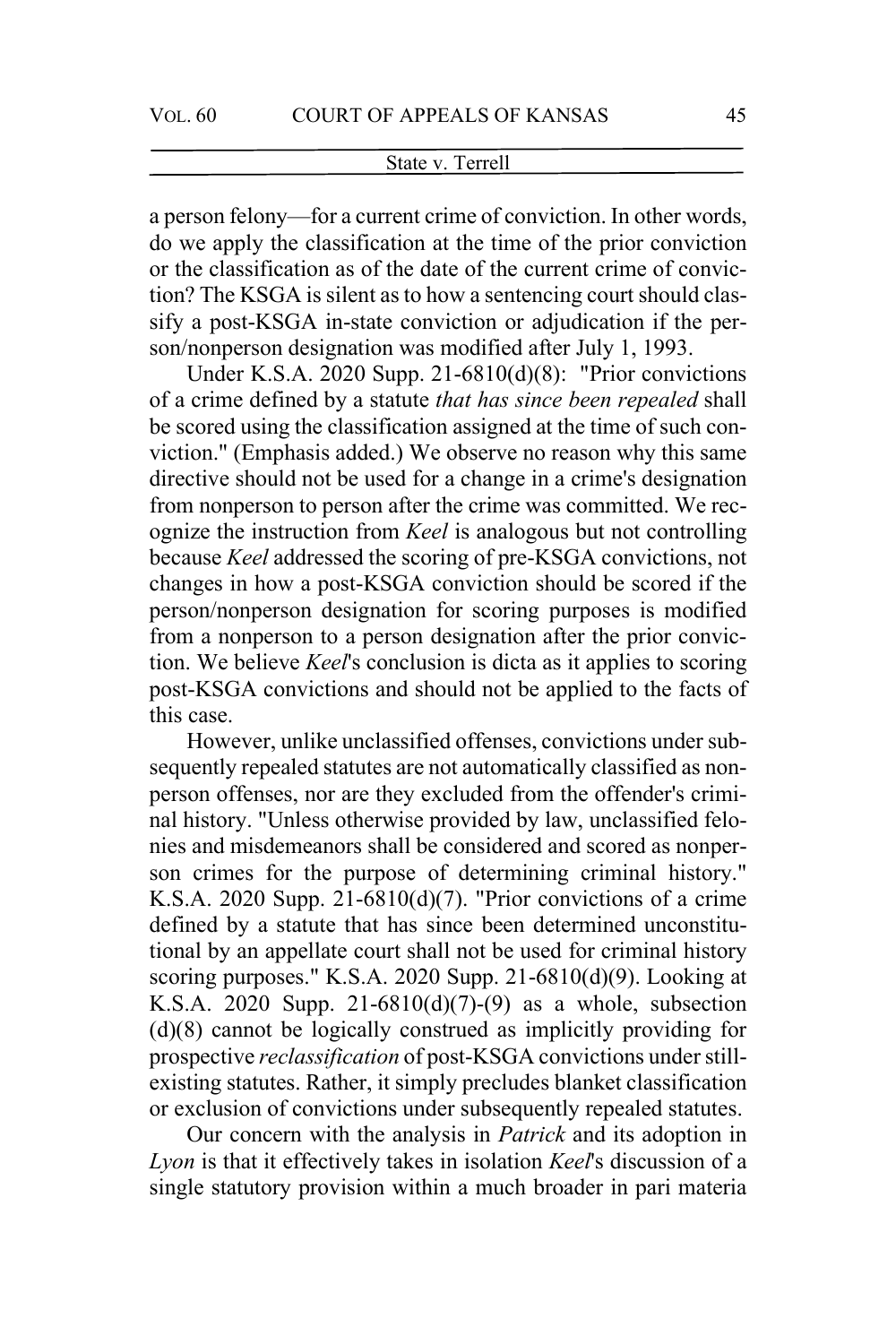a person felony—for a current crime of conviction. In other words, do we apply the classification at the time of the prior conviction or the classification as of the date of the current crime of conviction? The KSGA is silent as to how a sentencing court should classify a post-KSGA in-state conviction or adjudication if the person/nonperson designation was modified after July 1, 1993.

Under K.S.A. 2020 Supp. 21-6810(d)(8): "Prior convictions of a crime defined by a statute *that has since been repealed* shall be scored using the classification assigned at the time of such conviction." (Emphasis added.) We observe no reason why this same directive should not be used for a change in a crime's designation from nonperson to person after the crime was committed. We recognize the instruction from *Keel* is analogous but not controlling because *Keel* addressed the scoring of pre-KSGA convictions, not changes in how a post-KSGA conviction should be scored if the person/nonperson designation for scoring purposes is modified from a nonperson to a person designation after the prior conviction. We believe *Keel*'s conclusion is dicta as it applies to scoring post-KSGA convictions and should not be applied to the facts of this case.

However, unlike unclassified offenses, convictions under subsequently repealed statutes are not automatically classified as nonperson offenses, nor are they excluded from the offender's criminal history. "Unless otherwise provided by law, unclassified felonies and misdemeanors shall be considered and scored as nonperson crimes for the purpose of determining criminal history." K.S.A. 2020 Supp. 21-6810(d)(7). "Prior convictions of a crime defined by a statute that has since been determined unconstitutional by an appellate court shall not be used for criminal history scoring purposes." K.S.A. 2020 Supp. 21-6810(d)(9). Looking at K.S.A. 2020 Supp. 21-6810(d)(7)-(9) as a whole, subsection (d)(8) cannot be logically construed as implicitly providing for prospective *reclassification* of post-KSGA convictions under stillexisting statutes. Rather, it simply precludes blanket classification or exclusion of convictions under subsequently repealed statutes.

Our concern with the analysis in *Patrick* and its adoption in *Lyon* is that it effectively takes in isolation *Keel*'s discussion of a single statutory provision within a much broader in pari materia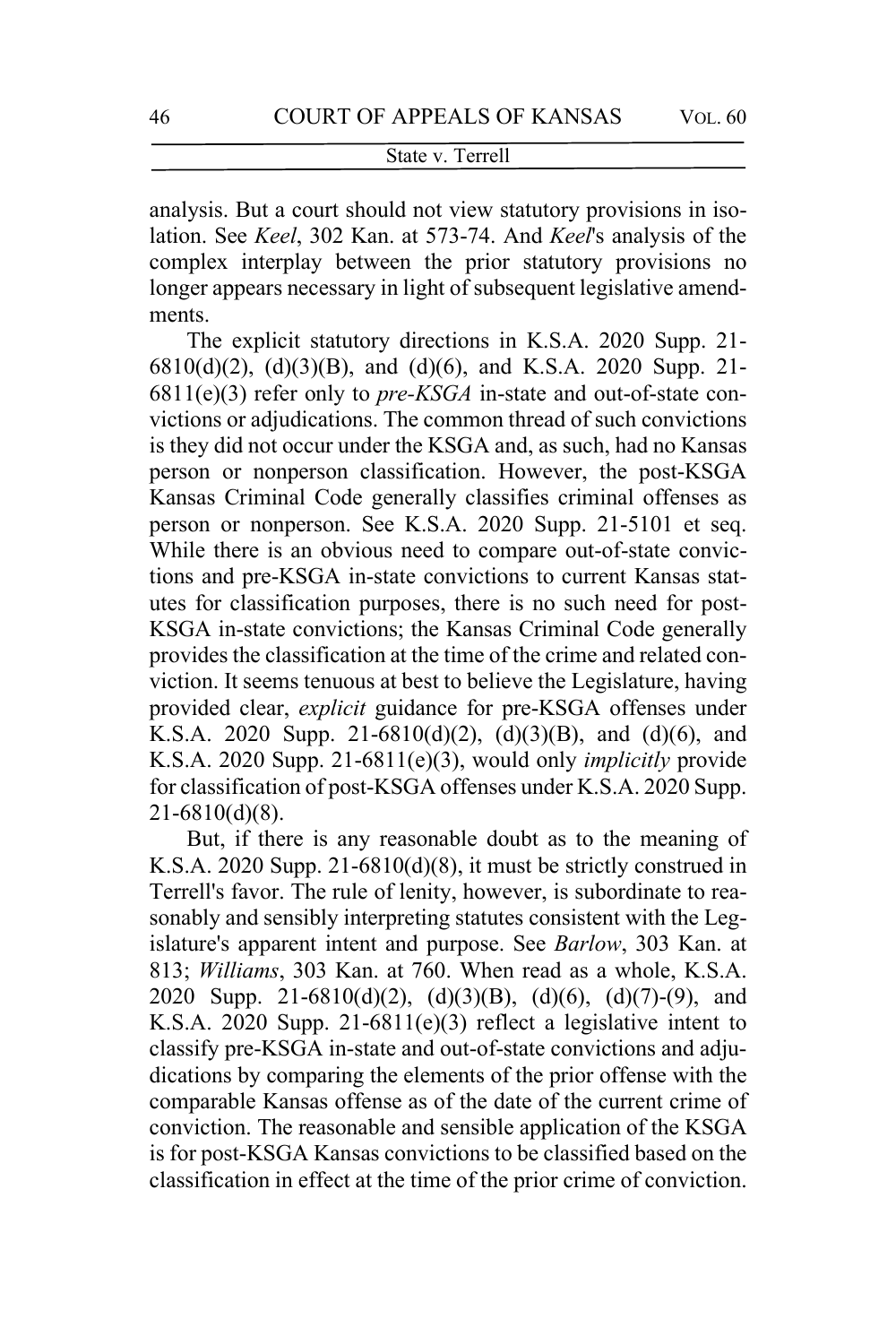analysis. But a court should not view statutory provisions in isolation. See *Keel*, 302 Kan. at 573-74. And *Keel*'s analysis of the complex interplay between the prior statutory provisions no longer appears necessary in light of subsequent legislative amendments.

The explicit statutory directions in K.S.A. 2020 Supp. 21- 6810(d)(2), (d)(3)(B), and (d)(6), and K.S.A. 2020 Supp. 21- 6811(e)(3) refer only to *pre-KSGA* in-state and out-of-state convictions or adjudications. The common thread of such convictions is they did not occur under the KSGA and, as such, had no Kansas person or nonperson classification. However, the post-KSGA Kansas Criminal Code generally classifies criminal offenses as person or nonperson. See K.S.A. 2020 Supp. 21-5101 et seq. While there is an obvious need to compare out-of-state convictions and pre-KSGA in-state convictions to current Kansas statutes for classification purposes, there is no such need for post-KSGA in-state convictions; the Kansas Criminal Code generally provides the classification at the time of the crime and related conviction. It seems tenuous at best to believe the Legislature, having provided clear, *explicit* guidance for pre-KSGA offenses under K.S.A. 2020 Supp. 21-6810(d)(2), (d)(3)(B), and (d)(6), and K.S.A. 2020 Supp. 21-6811(e)(3), would only *implicitly* provide for classification of post-KSGA offenses under K.S.A. 2020 Supp. 21-6810(d)(8).

But, if there is any reasonable doubt as to the meaning of K.S.A. 2020 Supp. 21-6810(d)(8), it must be strictly construed in Terrell's favor. The rule of lenity, however, is subordinate to reasonably and sensibly interpreting statutes consistent with the Legislature's apparent intent and purpose. See *Barlow*, 303 Kan. at 813; *Williams*, 303 Kan. at 760. When read as a whole, K.S.A. 2020 Supp. 21-6810(d)(2), (d)(3)(B), (d)(6), (d)(7)-(9), and K.S.A. 2020 Supp. 21-6811(e)(3) reflect a legislative intent to classify pre-KSGA in-state and out-of-state convictions and adjudications by comparing the elements of the prior offense with the comparable Kansas offense as of the date of the current crime of conviction. The reasonable and sensible application of the KSGA is for post-KSGA Kansas convictions to be classified based on the classification in effect at the time of the prior crime of conviction.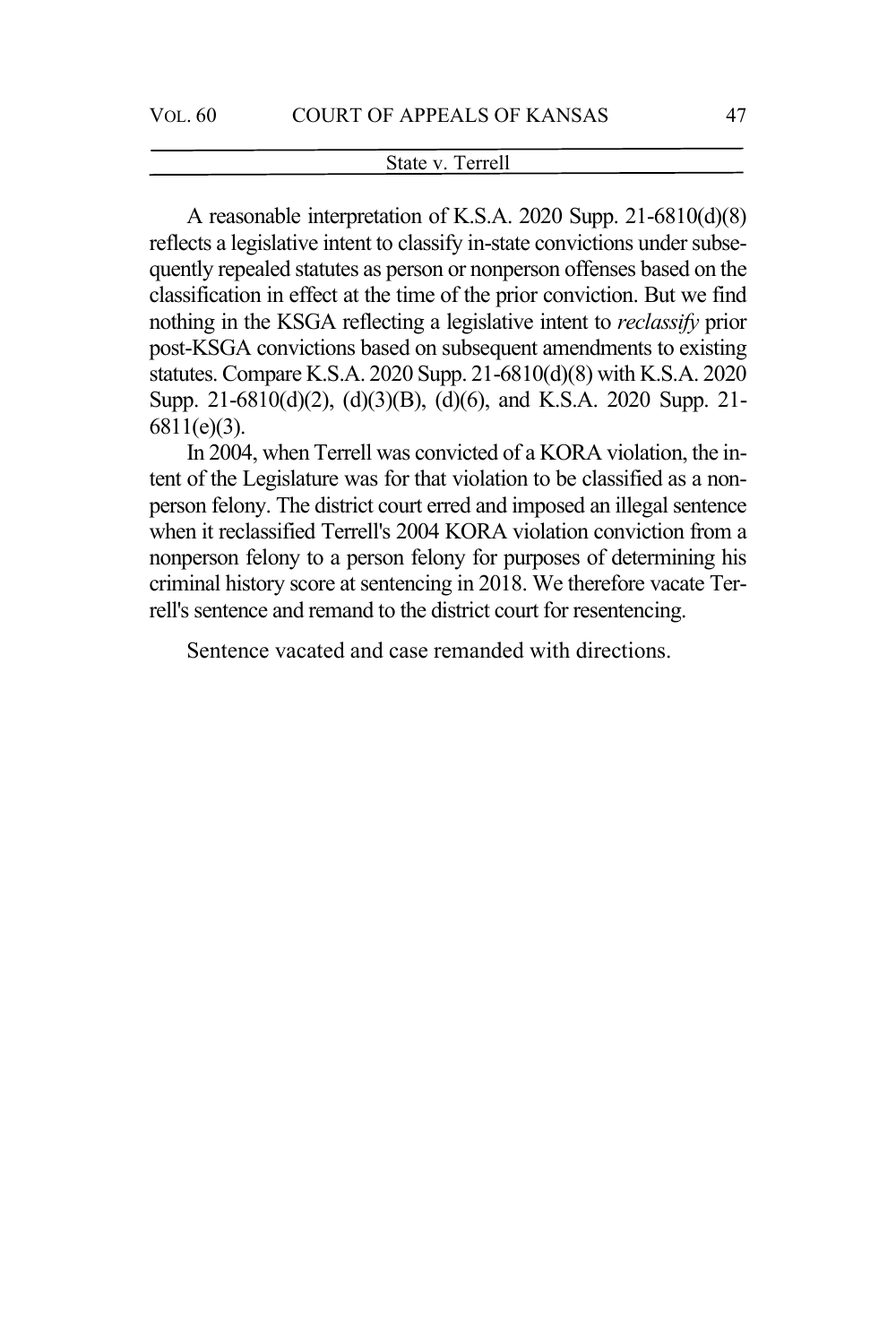A reasonable interpretation of K.S.A. 2020 Supp. 21-6810(d)(8) reflects a legislative intent to classify in-state convictions under subsequently repealed statutes as person or nonperson offenses based on the classification in effect at the time of the prior conviction. But we find nothing in the KSGA reflecting a legislative intent to *reclassify* prior post-KSGA convictions based on subsequent amendments to existing statutes. Compare K.S.A. 2020 Supp. 21-6810(d)(8) with K.S.A. 2020 Supp. 21-6810(d)(2), (d)(3)(B), (d)(6), and K.S.A. 2020 Supp. 21- 6811(e)(3).

In 2004, when Terrell was convicted of a KORA violation, the intent of the Legislature was for that violation to be classified as a nonperson felony. The district court erred and imposed an illegal sentence when it reclassified Terrell's 2004 KORA violation conviction from a nonperson felony to a person felony for purposes of determining his criminal history score at sentencing in 2018. We therefore vacate Terrell's sentence and remand to the district court for resentencing.

Sentence vacated and case remanded with directions.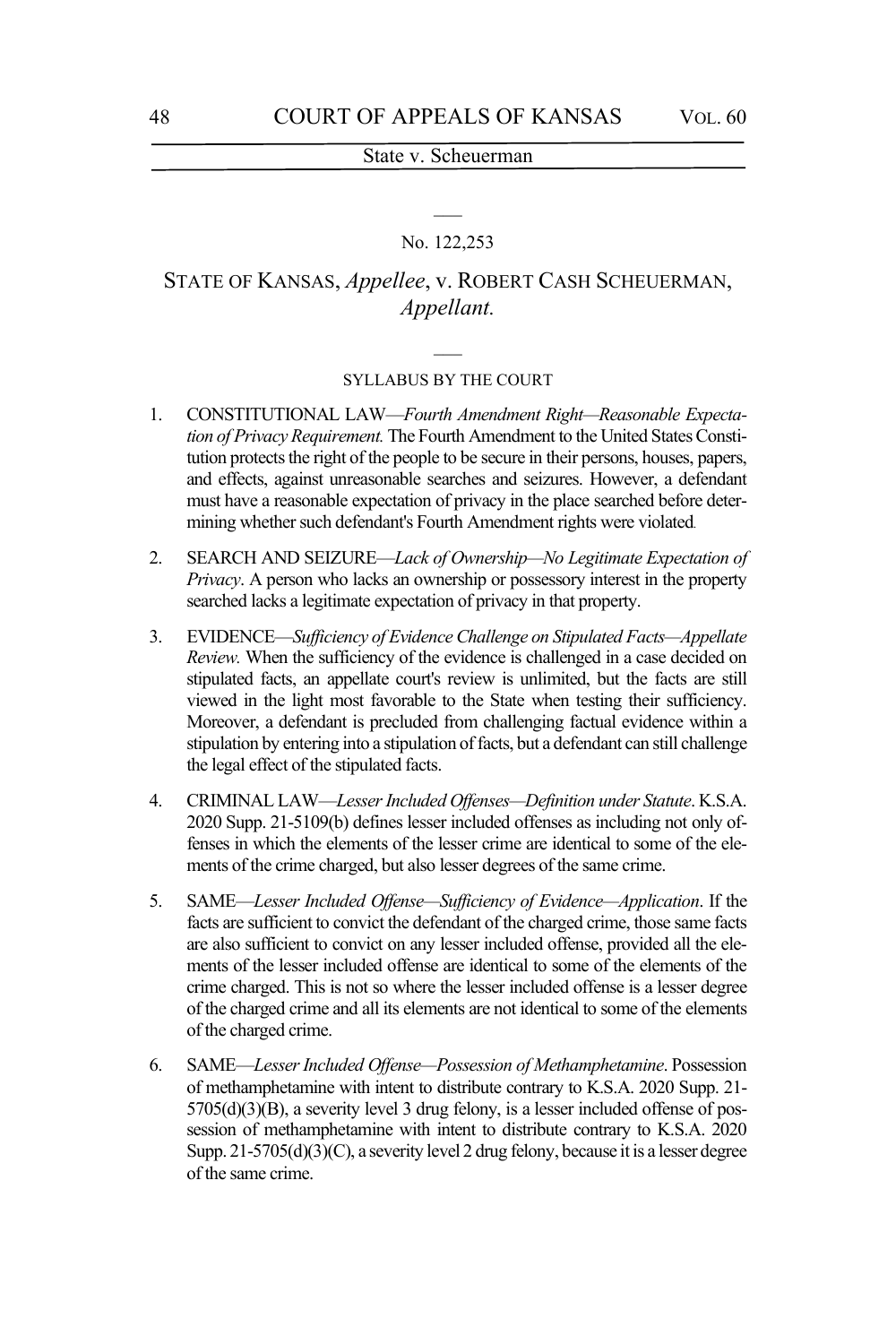# $\overline{\phantom{a}}$ No. 122,253

# STATE OF KANSAS, *Appellee*, v. ROBERT CASH SCHEUERMAN, *Appellant.*

# $\overline{\phantom{a}}$ SYLLABUS BY THE COURT

- 1. CONSTITUTIONAL LAW—*Fourth Amendment Right—Reasonable Expectation of Privacy Requirement.* The Fourth Amendment to the United States Constitution protects the right of the people to be secure in their persons, houses, papers, and effects, against unreasonable searches and seizures. However, a defendant must have a reasonable expectation of privacy in the place searched before determining whether such defendant's Fourth Amendment rights were violated.
- 2. SEARCH AND SEIZURE—*Lack of Ownership—No Legitimate Expectation of Privacy*. A person who lacks an ownership or possessory interest in the property searched lacks a legitimate expectation of privacy in that property.
- 3. EVIDENCE—*Sufficiency of Evidence Challenge on Stipulated Facts—Appellate Review.* When the sufficiency of the evidence is challenged in a case decided on stipulated facts, an appellate court's review is unlimited, but the facts are still viewed in the light most favorable to the State when testing their sufficiency. Moreover, a defendant is precluded from challenging factual evidence within a stipulation by entering into a stipulation of facts, but a defendant can still challenge the legal effect of the stipulated facts.
- 4. CRIMINAL LAW—*Lesser Included Offenses—Definition under Statute*. K.S.A. 2020 Supp. 21-5109(b) defines lesser included offenses as including not only offenses in which the elements of the lesser crime are identical to some of the elements of the crime charged, but also lesser degrees of the same crime.
- 5. SAME—*Lesser Included Offense—Sufficiency of Evidence—Application*. If the facts are sufficient to convict the defendant of the charged crime, those same facts are also sufficient to convict on any lesser included offense, provided all the elements of the lesser included offense are identical to some of the elements of the crime charged. This is not so where the lesser included offense is a lesser degree of the charged crime and all its elements are not identical to some of the elements of the charged crime.
- 6. SAME—*Lesser Included Offense—Possession of Methamphetamine*. Possession of methamphetamine with intent to distribute contrary to K.S.A. 2020 Supp. 21- 5705(d)(3)(B), a severity level 3 drug felony, is a lesser included offense of possession of methamphetamine with intent to distribute contrary to K.S.A. 2020 Supp. 21-5705(d)(3)(C), a severity level 2 drug felony, because it is a lesser degree of the same crime.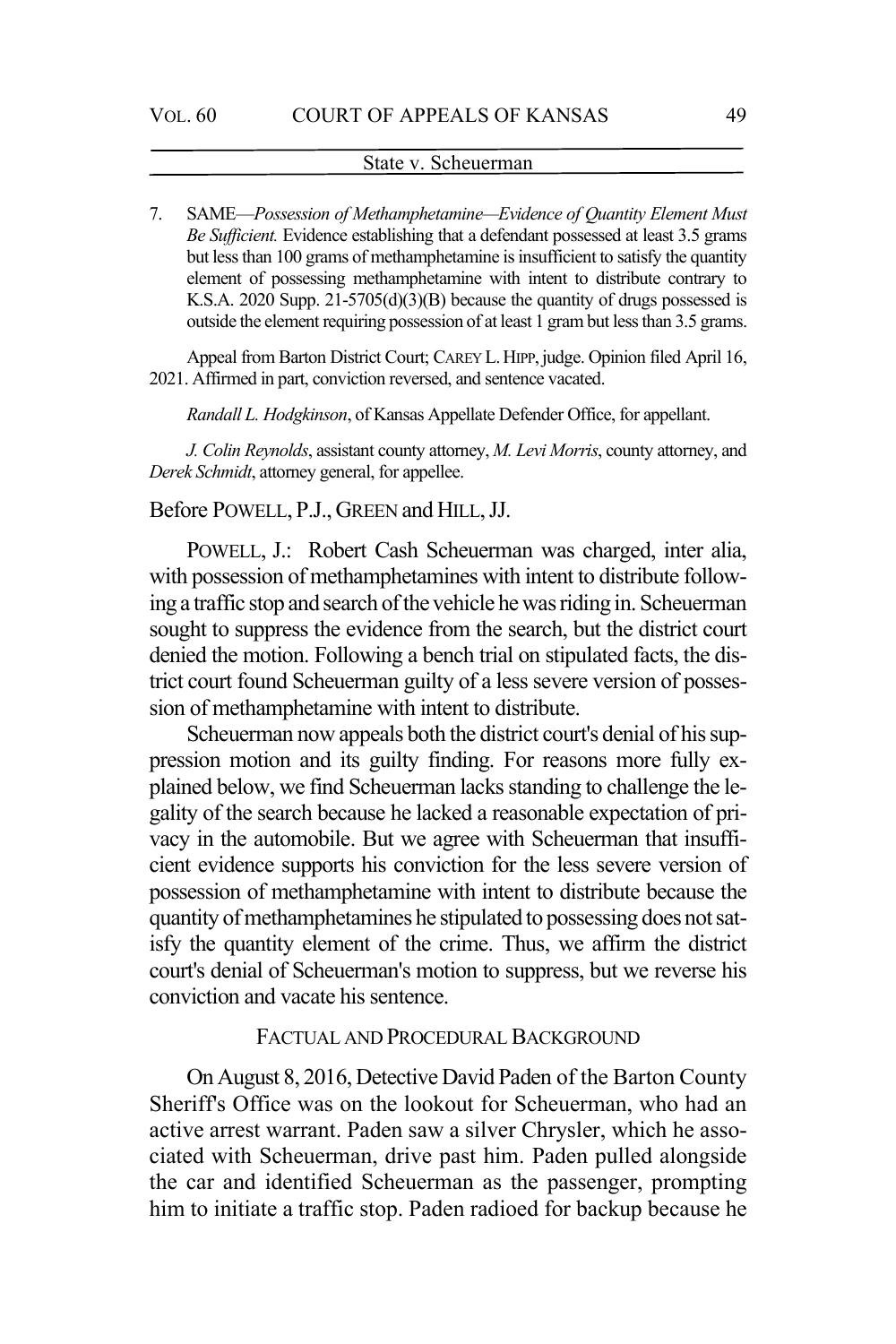7. SAME—*Possession of Methamphetamine—Evidence of Quantity Element Must Be Sufficient.* Evidence establishing that a defendant possessed at least 3.5 grams but less than 100 grams of methamphetamine is insufficient to satisfy the quantity element of possessing methamphetamine with intent to distribute contrary to K.S.A. 2020 Supp. 21-5705(d)(3)(B) because the quantity of drugs possessed is outside the element requiring possession of at least 1 gram but less than 3.5 grams.

Appeal from Barton District Court; CAREY L. HIPP, judge. Opinion filed April 16, 2021. Affirmed in part, conviction reversed, and sentence vacated.

*Randall L. Hodgkinson*, of Kansas Appellate Defender Office, for appellant.

*J. Colin Reynolds*, assistant county attorney, *M. Levi Morris*, county attorney, and *Derek Schmidt*, attorney general, for appellee.

#### Before POWELL, P.J., GREEN and HILL, JJ.

POWELL, J.: Robert Cash Scheuerman was charged, inter alia, with possession of methamphetamines with intent to distribute following a traffic stop and search of the vehicle he was riding in. Scheuerman sought to suppress the evidence from the search, but the district court denied the motion. Following a bench trial on stipulated facts, the district court found Scheuerman guilty of a less severe version of possession of methamphetamine with intent to distribute.

Scheuerman now appeals both the district court's denial of his suppression motion and its guilty finding. For reasons more fully explained below, we find Scheuerman lacks standing to challenge the legality of the search because he lacked a reasonable expectation of privacy in the automobile. But we agree with Scheuerman that insufficient evidence supports his conviction for the less severe version of possession of methamphetamine with intent to distribute because the quantity of methamphetamines he stipulated to possessing does not satisfy the quantity element of the crime. Thus, we affirm the district court's denial of Scheuerman's motion to suppress, but we reverse his conviction and vacate his sentence.

### FACTUAL AND PROCEDURAL BACKGROUND

On August 8, 2016, Detective David Paden of the Barton County Sheriff's Office was on the lookout for Scheuerman, who had an active arrest warrant. Paden saw a silver Chrysler, which he associated with Scheuerman, drive past him. Paden pulled alongside the car and identified Scheuerman as the passenger, prompting him to initiate a traffic stop. Paden radioed for backup because he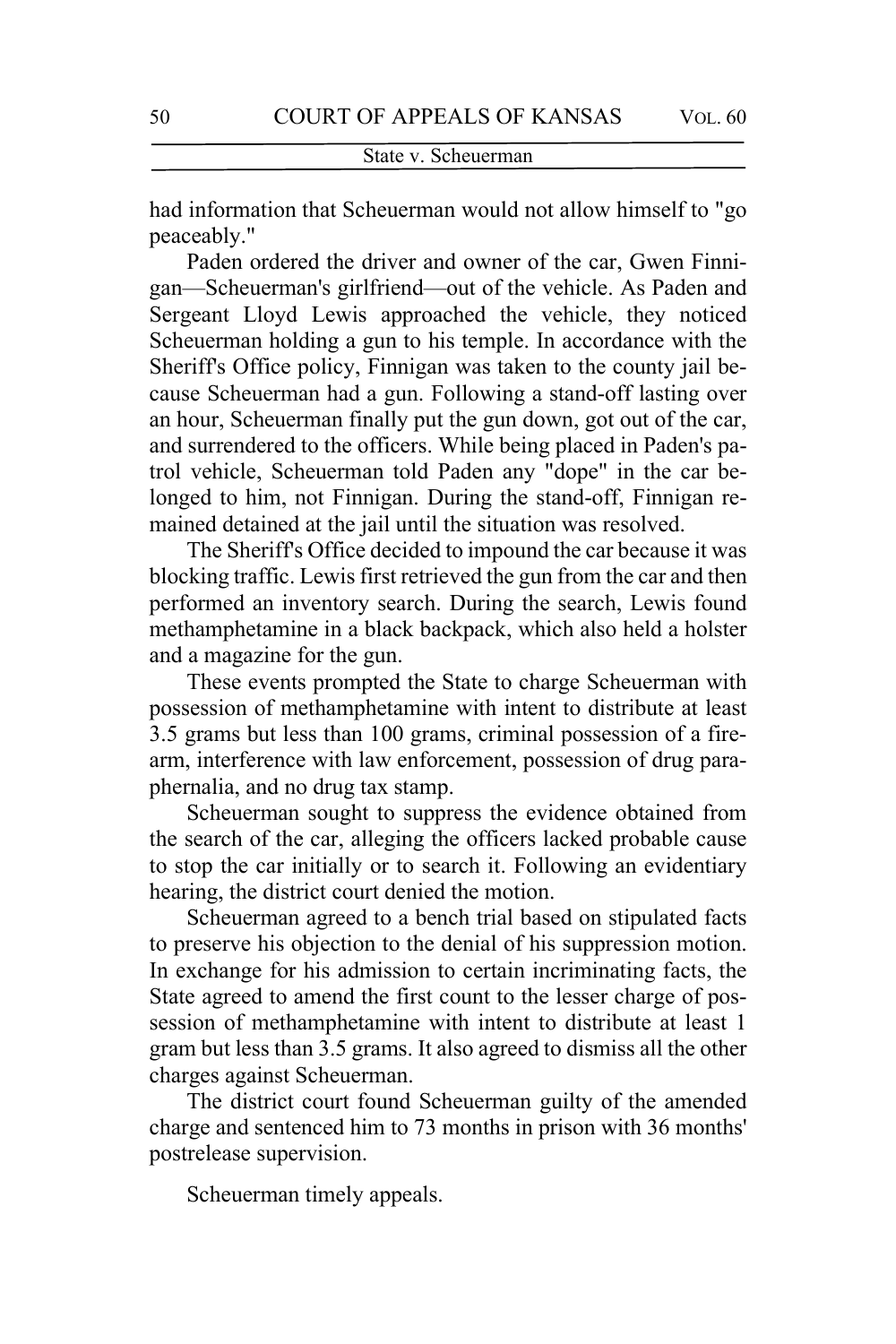had information that Scheuerman would not allow himself to "go peaceably."

Paden ordered the driver and owner of the car, Gwen Finnigan—Scheuerman's girlfriend—out of the vehicle. As Paden and Sergeant Lloyd Lewis approached the vehicle, they noticed Scheuerman holding a gun to his temple. In accordance with the Sheriff's Office policy, Finnigan was taken to the county jail because Scheuerman had a gun. Following a stand-off lasting over an hour, Scheuerman finally put the gun down, got out of the car, and surrendered to the officers. While being placed in Paden's patrol vehicle, Scheuerman told Paden any "dope" in the car belonged to him, not Finnigan. During the stand-off, Finnigan remained detained at the jail until the situation was resolved.

The Sheriff's Office decided to impound the car because it was blocking traffic. Lewis first retrieved the gun from the car and then performed an inventory search. During the search, Lewis found methamphetamine in a black backpack, which also held a holster and a magazine for the gun.

These events prompted the State to charge Scheuerman with possession of methamphetamine with intent to distribute at least 3.5 grams but less than 100 grams, criminal possession of a firearm, interference with law enforcement, possession of drug paraphernalia, and no drug tax stamp.

Scheuerman sought to suppress the evidence obtained from the search of the car, alleging the officers lacked probable cause to stop the car initially or to search it. Following an evidentiary hearing, the district court denied the motion.

Scheuerman agreed to a bench trial based on stipulated facts to preserve his objection to the denial of his suppression motion. In exchange for his admission to certain incriminating facts, the State agreed to amend the first count to the lesser charge of possession of methamphetamine with intent to distribute at least 1 gram but less than 3.5 grams. It also agreed to dismiss all the other charges against Scheuerman.

The district court found Scheuerman guilty of the amended charge and sentenced him to 73 months in prison with 36 months' postrelease supervision.

Scheuerman timely appeals.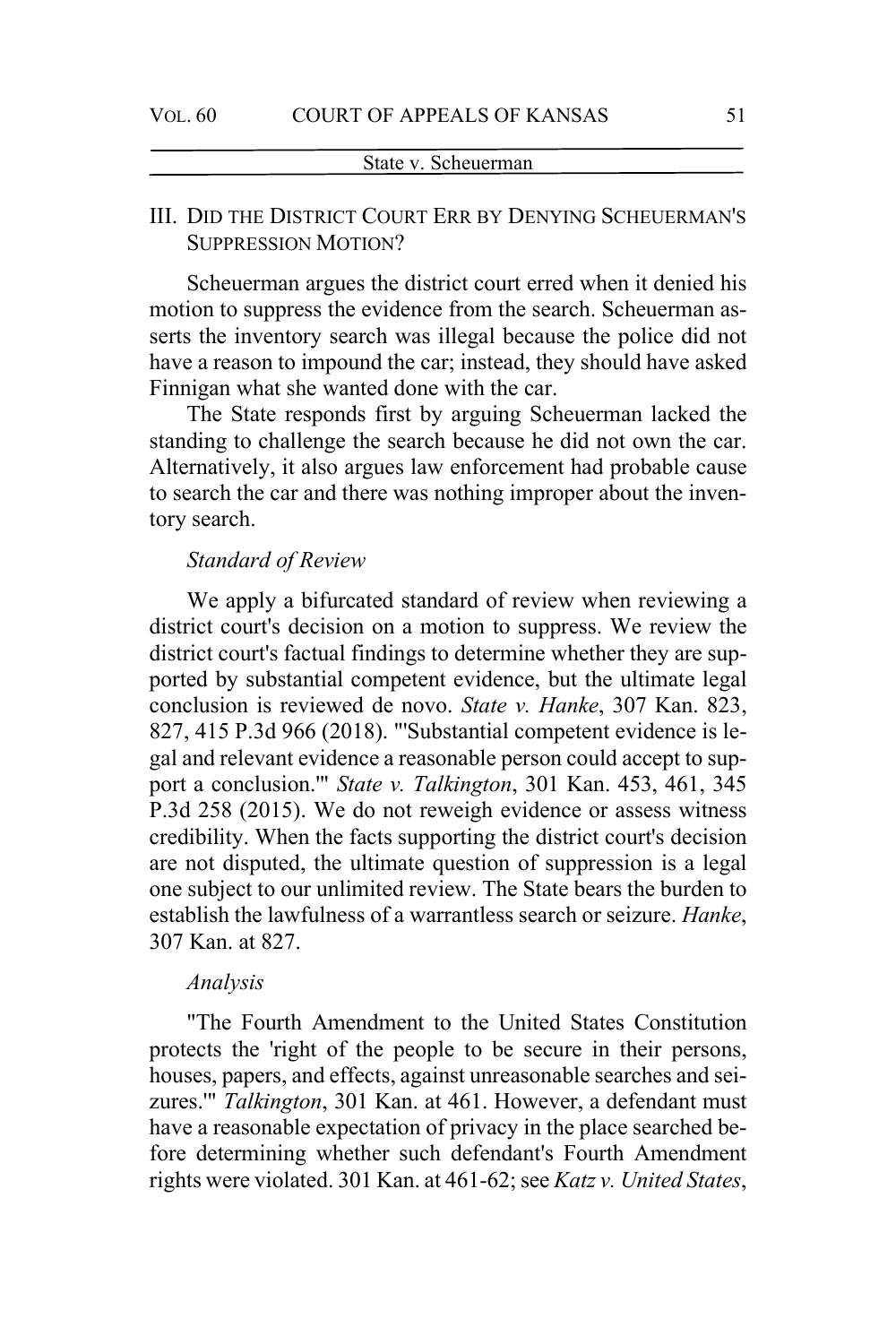# III. DID THE DISTRICT COURT ERR BY DENYING SCHEUERMAN'S SUPPRESSION MOTION?

Scheuerman argues the district court erred when it denied his motion to suppress the evidence from the search. Scheuerman asserts the inventory search was illegal because the police did not have a reason to impound the car; instead, they should have asked Finnigan what she wanted done with the car.

The State responds first by arguing Scheuerman lacked the standing to challenge the search because he did not own the car. Alternatively, it also argues law enforcement had probable cause to search the car and there was nothing improper about the inventory search.

### *Standard of Review*

We apply a bifurcated standard of review when reviewing a district court's decision on a motion to suppress. We review the district court's factual findings to determine whether they are supported by substantial competent evidence, but the ultimate legal conclusion is reviewed de novo. *State v. Hanke*, 307 Kan. 823, 827, 415 P.3d 966 (2018). "'Substantial competent evidence is legal and relevant evidence a reasonable person could accept to support a conclusion.'" *State v. Talkington*, 301 Kan. 453, 461, 345 P.3d 258 (2015). We do not reweigh evidence or assess witness credibility. When the facts supporting the district court's decision are not disputed, the ultimate question of suppression is a legal one subject to our unlimited review. The State bears the burden to establish the lawfulness of a warrantless search or seizure. *Hanke*, 307 Kan. at 827.

### *Analysis*

"The Fourth Amendment to the United States Constitution protects the 'right of the people to be secure in their persons, houses, papers, and effects, against unreasonable searches and seizures.'" *Talkington*, 301 Kan. at 461. However, a defendant must have a reasonable expectation of privacy in the place searched before determining whether such defendant's Fourth Amendment rights were violated. 301 Kan. at 461-62; see *Katz v. United States*,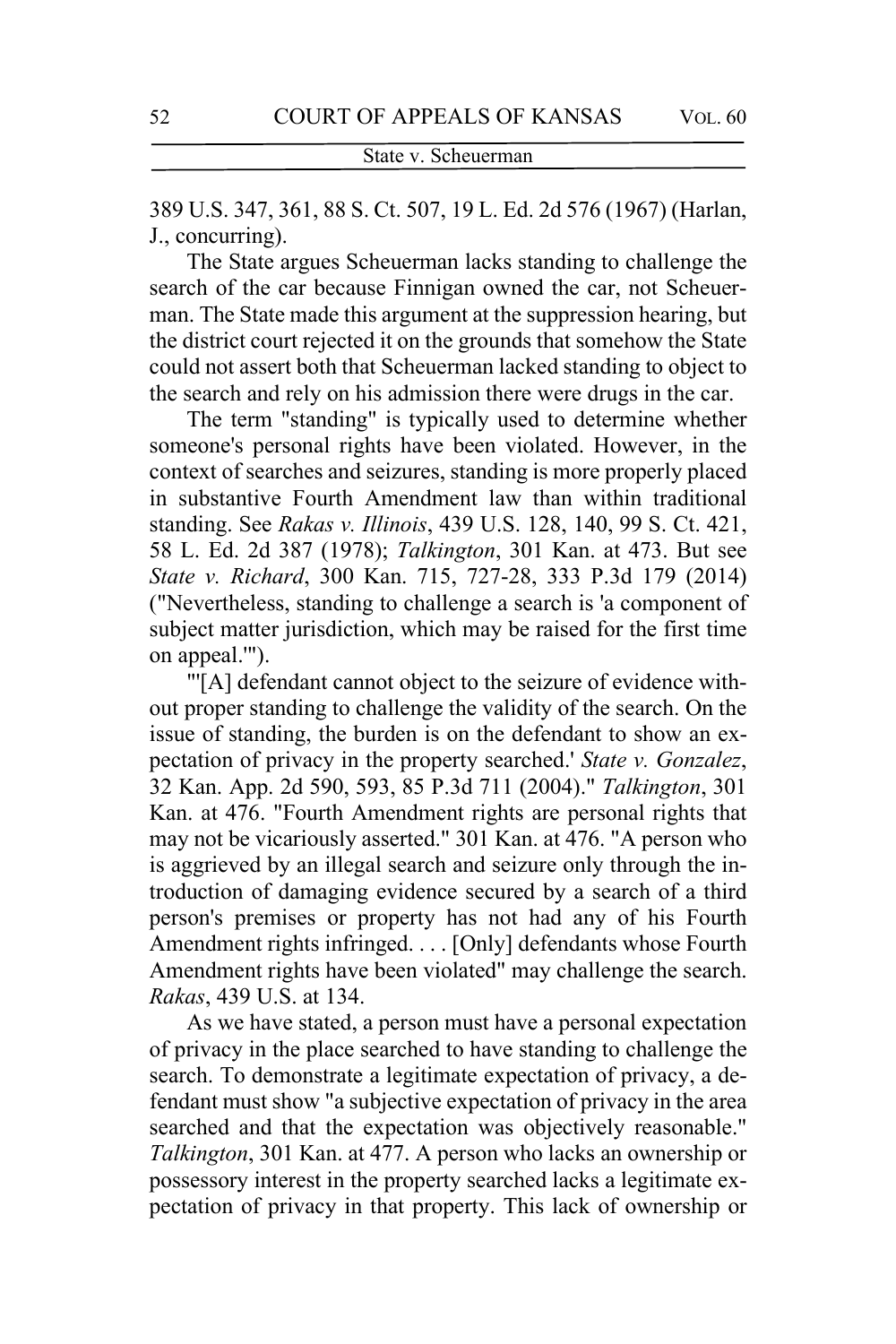389 U.S. 347, 361, 88 S. Ct. 507, 19 L. Ed. 2d 576 (1967) (Harlan, J., concurring).

The State argues Scheuerman lacks standing to challenge the search of the car because Finnigan owned the car, not Scheuerman. The State made this argument at the suppression hearing, but the district court rejected it on the grounds that somehow the State could not assert both that Scheuerman lacked standing to object to the search and rely on his admission there were drugs in the car.

The term "standing" is typically used to determine whether someone's personal rights have been violated. However, in the context of searches and seizures, standing is more properly placed in substantive Fourth Amendment law than within traditional standing. See *Rakas v. Illinois*, 439 U.S. 128, 140, 99 S. Ct. 421, 58 L. Ed. 2d 387 (1978); *Talkington*, 301 Kan. at 473. But see *State v. Richard*, 300 Kan. 715, 727-28, 333 P.3d 179 (2014) ("Nevertheless, standing to challenge a search is 'a component of subject matter jurisdiction, which may be raised for the first time on appeal.'").

"'[A] defendant cannot object to the seizure of evidence without proper standing to challenge the validity of the search. On the issue of standing, the burden is on the defendant to show an expectation of privacy in the property searched.' *State v. Gonzalez*, 32 Kan. App. 2d 590, 593, 85 P.3d 711 (2004)." *Talkington*, 301 Kan. at 476. "Fourth Amendment rights are personal rights that may not be vicariously asserted." 301 Kan. at 476. "A person who is aggrieved by an illegal search and seizure only through the introduction of damaging evidence secured by a search of a third person's premises or property has not had any of his Fourth Amendment rights infringed. . . . [Only] defendants whose Fourth Amendment rights have been violated" may challenge the search. *Rakas*, 439 U.S. at 134.

As we have stated, a person must have a personal expectation of privacy in the place searched to have standing to challenge the search. To demonstrate a legitimate expectation of privacy, a defendant must show "a subjective expectation of privacy in the area searched and that the expectation was objectively reasonable." *Talkington*, 301 Kan. at 477. A person who lacks an ownership or possessory interest in the property searched lacks a legitimate expectation of privacy in that property. This lack of ownership or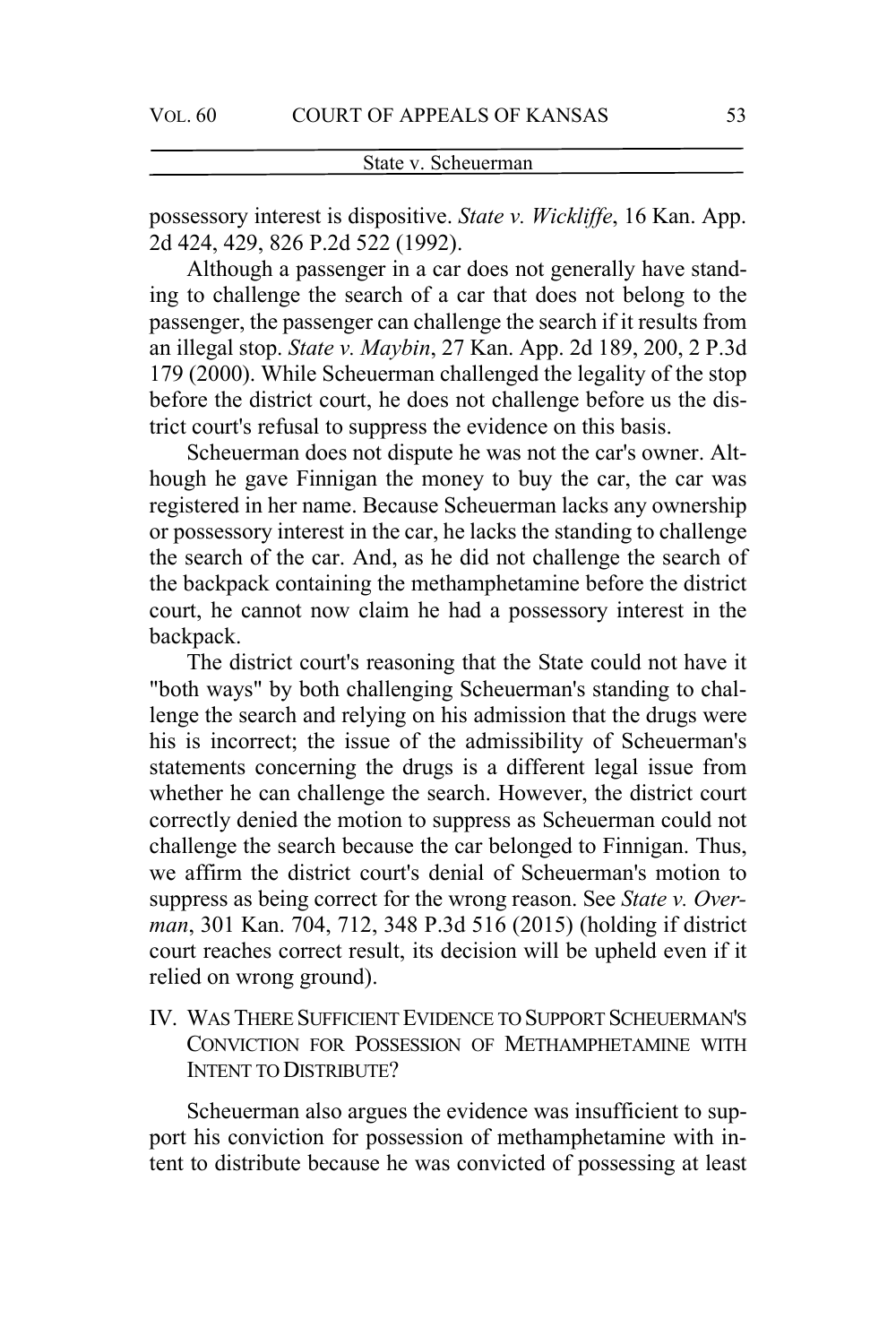possessory interest is dispositive. *State v. Wickliffe*, 16 Kan. App. 2d 424, 429, 826 P.2d 522 (1992).

Although a passenger in a car does not generally have standing to challenge the search of a car that does not belong to the passenger, the passenger can challenge the search if it results from an illegal stop. *State v. Maybin*, 27 Kan. App. 2d 189, 200, 2 P.3d 179 (2000). While Scheuerman challenged the legality of the stop before the district court, he does not challenge before us the district court's refusal to suppress the evidence on this basis.

Scheuerman does not dispute he was not the car's owner. Although he gave Finnigan the money to buy the car, the car was registered in her name. Because Scheuerman lacks any ownership or possessory interest in the car, he lacks the standing to challenge the search of the car. And, as he did not challenge the search of the backpack containing the methamphetamine before the district court, he cannot now claim he had a possessory interest in the backpack.

The district court's reasoning that the State could not have it "both ways" by both challenging Scheuerman's standing to challenge the search and relying on his admission that the drugs were his is incorrect; the issue of the admissibility of Scheuerman's statements concerning the drugs is a different legal issue from whether he can challenge the search. However, the district court correctly denied the motion to suppress as Scheuerman could not challenge the search because the car belonged to Finnigan. Thus, we affirm the district court's denial of Scheuerman's motion to suppress as being correct for the wrong reason. See *State v. Overman*, 301 Kan. 704, 712, 348 P.3d 516 (2015) (holding if district court reaches correct result, its decision will be upheld even if it relied on wrong ground).

IV. WAS THERE SUFFICIENT EVIDENCE TO SUPPORT SCHEUERMAN'S CONVICTION FOR POSSESSION OF METHAMPHETAMINE WITH INTENT TO DISTRIBUTE?

Scheuerman also argues the evidence was insufficient to support his conviction for possession of methamphetamine with intent to distribute because he was convicted of possessing at least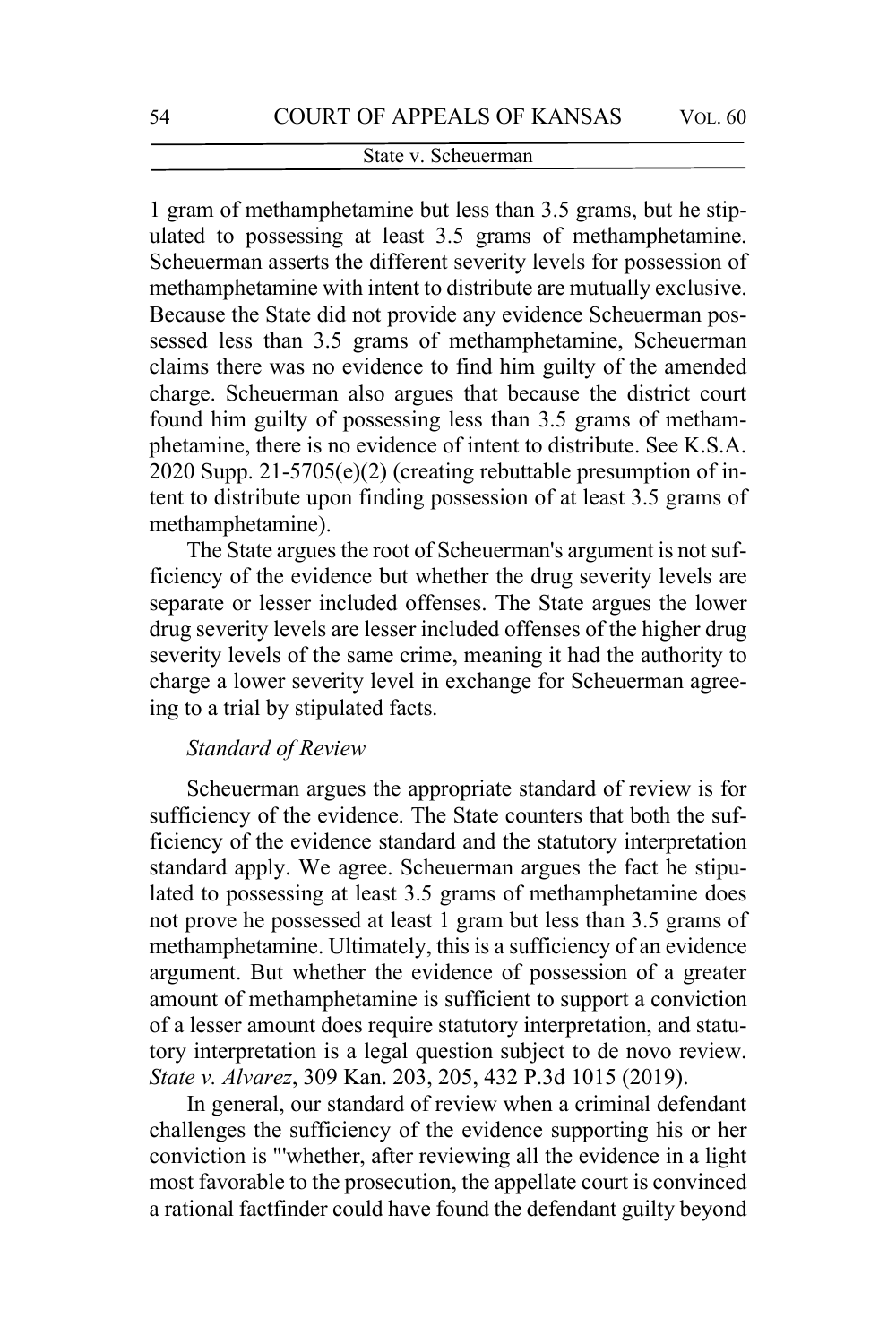1 gram of methamphetamine but less than 3.5 grams, but he stipulated to possessing at least 3.5 grams of methamphetamine. Scheuerman asserts the different severity levels for possession of methamphetamine with intent to distribute are mutually exclusive. Because the State did not provide any evidence Scheuerman possessed less than 3.5 grams of methamphetamine, Scheuerman claims there was no evidence to find him guilty of the amended charge. Scheuerman also argues that because the district court found him guilty of possessing less than 3.5 grams of methamphetamine, there is no evidence of intent to distribute. See K.S.A. 2020 Supp. 21-5705(e)(2) (creating rebuttable presumption of intent to distribute upon finding possession of at least 3.5 grams of methamphetamine).

The State argues the root of Scheuerman's argument is not sufficiency of the evidence but whether the drug severity levels are separate or lesser included offenses. The State argues the lower drug severity levels are lesser included offenses of the higher drug severity levels of the same crime, meaning it had the authority to charge a lower severity level in exchange for Scheuerman agreeing to a trial by stipulated facts.

## *Standard of Review*

Scheuerman argues the appropriate standard of review is for sufficiency of the evidence. The State counters that both the sufficiency of the evidence standard and the statutory interpretation standard apply. We agree. Scheuerman argues the fact he stipulated to possessing at least 3.5 grams of methamphetamine does not prove he possessed at least 1 gram but less than 3.5 grams of methamphetamine. Ultimately, this is a sufficiency of an evidence argument. But whether the evidence of possession of a greater amount of methamphetamine is sufficient to support a conviction of a lesser amount does require statutory interpretation, and statutory interpretation is a legal question subject to de novo review. *State v. Alvarez*, 309 Kan. 203, 205, 432 P.3d 1015 (2019).

In general, our standard of review when a criminal defendant challenges the sufficiency of the evidence supporting his or her conviction is "'whether, after reviewing all the evidence in a light most favorable to the prosecution, the appellate court is convinced a rational factfinder could have found the defendant guilty beyond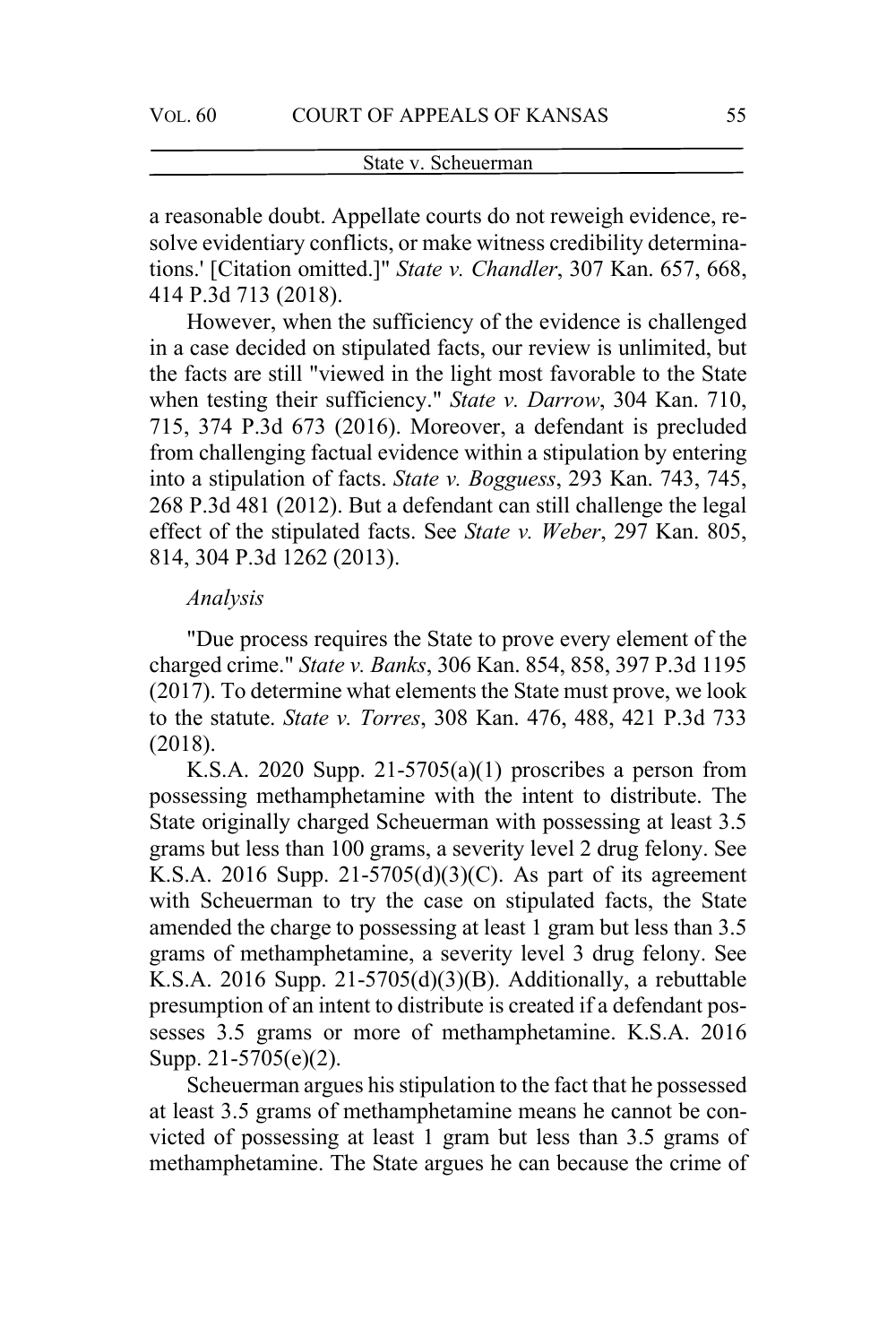a reasonable doubt. Appellate courts do not reweigh evidence, resolve evidentiary conflicts, or make witness credibility determinations.' [Citation omitted.]" *State v. Chandler*, 307 Kan. 657, 668, 414 P.3d 713 (2018).

However, when the sufficiency of the evidence is challenged in a case decided on stipulated facts, our review is unlimited, but the facts are still "viewed in the light most favorable to the State when testing their sufficiency." *State v. Darrow*, 304 Kan. 710, 715, 374 P.3d 673 (2016). Moreover, a defendant is precluded from challenging factual evidence within a stipulation by entering into a stipulation of facts. *State v. Bogguess*, 293 Kan. 743, 745, 268 P.3d 481 (2012). But a defendant can still challenge the legal effect of the stipulated facts. See *State v. Weber*, 297 Kan. 805, 814, 304 P.3d 1262 (2013).

#### *Analysis*

"Due process requires the State to prove every element of the charged crime." *State v. Banks*, 306 Kan. 854, 858, 397 P.3d 1195 (2017). To determine what elements the State must prove, we look to the statute. *State v. Torres*, 308 Kan. 476, 488, 421 P.3d 733 (2018).

K.S.A. 2020 Supp. 21-5705(a)(1) proscribes a person from possessing methamphetamine with the intent to distribute. The State originally charged Scheuerman with possessing at least 3.5 grams but less than 100 grams, a severity level 2 drug felony. See K.S.A. 2016 Supp. 21-5705 $(d)(3)(C)$ . As part of its agreement with Scheuerman to try the case on stipulated facts, the State amended the charge to possessing at least 1 gram but less than 3.5 grams of methamphetamine, a severity level 3 drug felony. See K.S.A. 2016 Supp.  $21-5705(d)(3)(B)$ . Additionally, a rebuttable presumption of an intent to distribute is created if a defendant possesses 3.5 grams or more of methamphetamine. K.S.A. 2016 Supp. 21-5705(e)(2).

Scheuerman argues his stipulation to the fact that he possessed at least 3.5 grams of methamphetamine means he cannot be convicted of possessing at least 1 gram but less than 3.5 grams of methamphetamine. The State argues he can because the crime of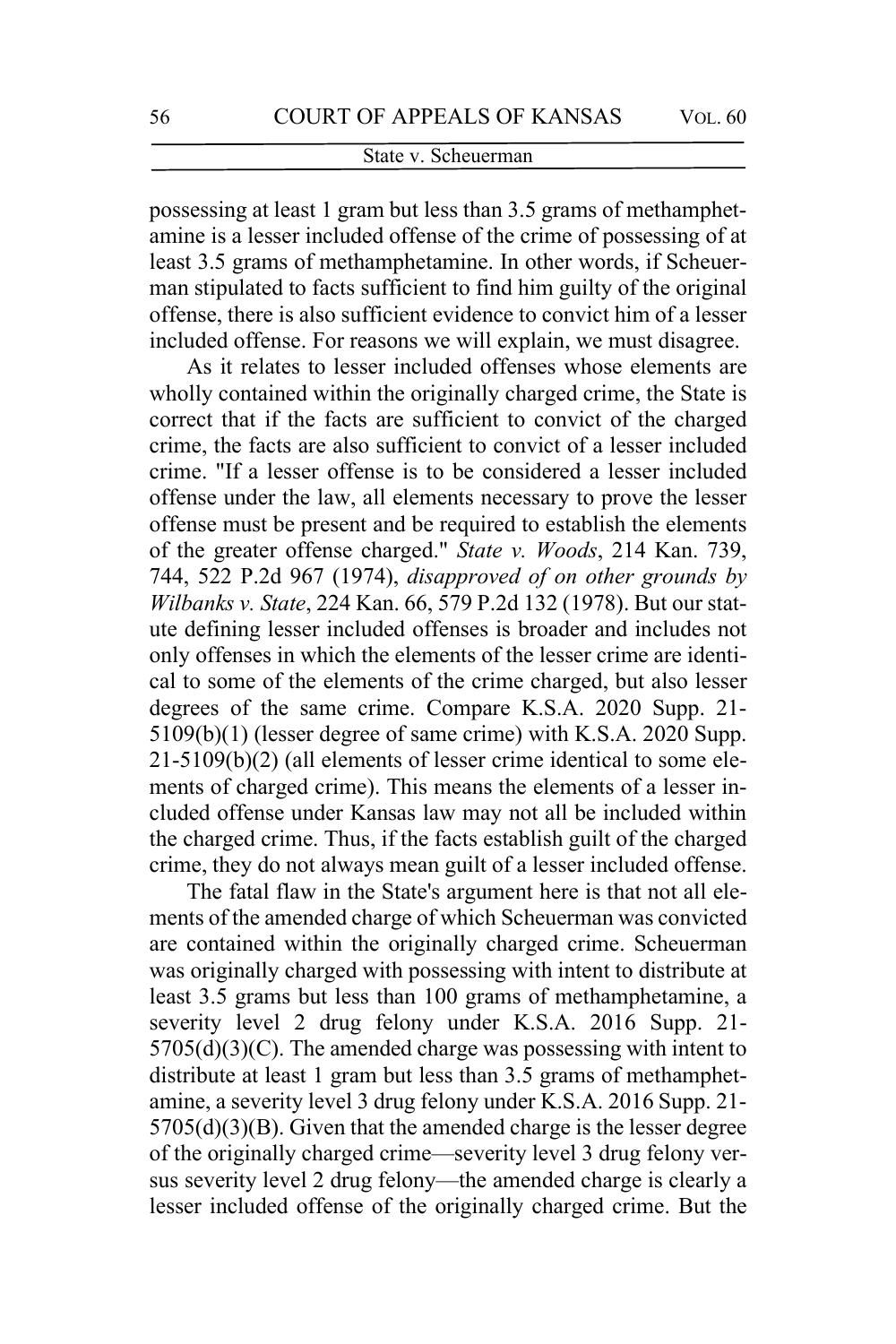possessing at least 1 gram but less than 3.5 grams of methamphetamine is a lesser included offense of the crime of possessing of at least 3.5 grams of methamphetamine. In other words, if Scheuerman stipulated to facts sufficient to find him guilty of the original offense, there is also sufficient evidence to convict him of a lesser included offense. For reasons we will explain, we must disagree.

As it relates to lesser included offenses whose elements are wholly contained within the originally charged crime, the State is correct that if the facts are sufficient to convict of the charged crime, the facts are also sufficient to convict of a lesser included crime. "If a lesser offense is to be considered a lesser included offense under the law, all elements necessary to prove the lesser offense must be present and be required to establish the elements of the greater offense charged." *State v. Woods*, 214 Kan. 739, 744, 522 P.2d 967 (1974), *disapproved of on other grounds by Wilbanks v. State*, 224 Kan. 66, 579 P.2d 132 (1978). But our statute defining lesser included offenses is broader and includes not only offenses in which the elements of the lesser crime are identical to some of the elements of the crime charged, but also lesser degrees of the same crime. Compare K.S.A. 2020 Supp. 21- 5109(b)(1) (lesser degree of same crime) with K.S.A. 2020 Supp. 21-5109(b)(2) (all elements of lesser crime identical to some elements of charged crime). This means the elements of a lesser included offense under Kansas law may not all be included within the charged crime. Thus, if the facts establish guilt of the charged crime, they do not always mean guilt of a lesser included offense.

The fatal flaw in the State's argument here is that not all elements of the amended charge of which Scheuerman was convicted are contained within the originally charged crime. Scheuerman was originally charged with possessing with intent to distribute at least 3.5 grams but less than 100 grams of methamphetamine, a severity level 2 drug felony under K.S.A. 2016 Supp. 21-  $5705(d)(3)(C)$ . The amended charge was possessing with intent to distribute at least 1 gram but less than 3.5 grams of methamphetamine, a severity level 3 drug felony under K.S.A. 2016 Supp. 21- 5705(d)(3)(B). Given that the amended charge is the lesser degree of the originally charged crime—severity level 3 drug felony versus severity level 2 drug felony—the amended charge is clearly a lesser included offense of the originally charged crime. But the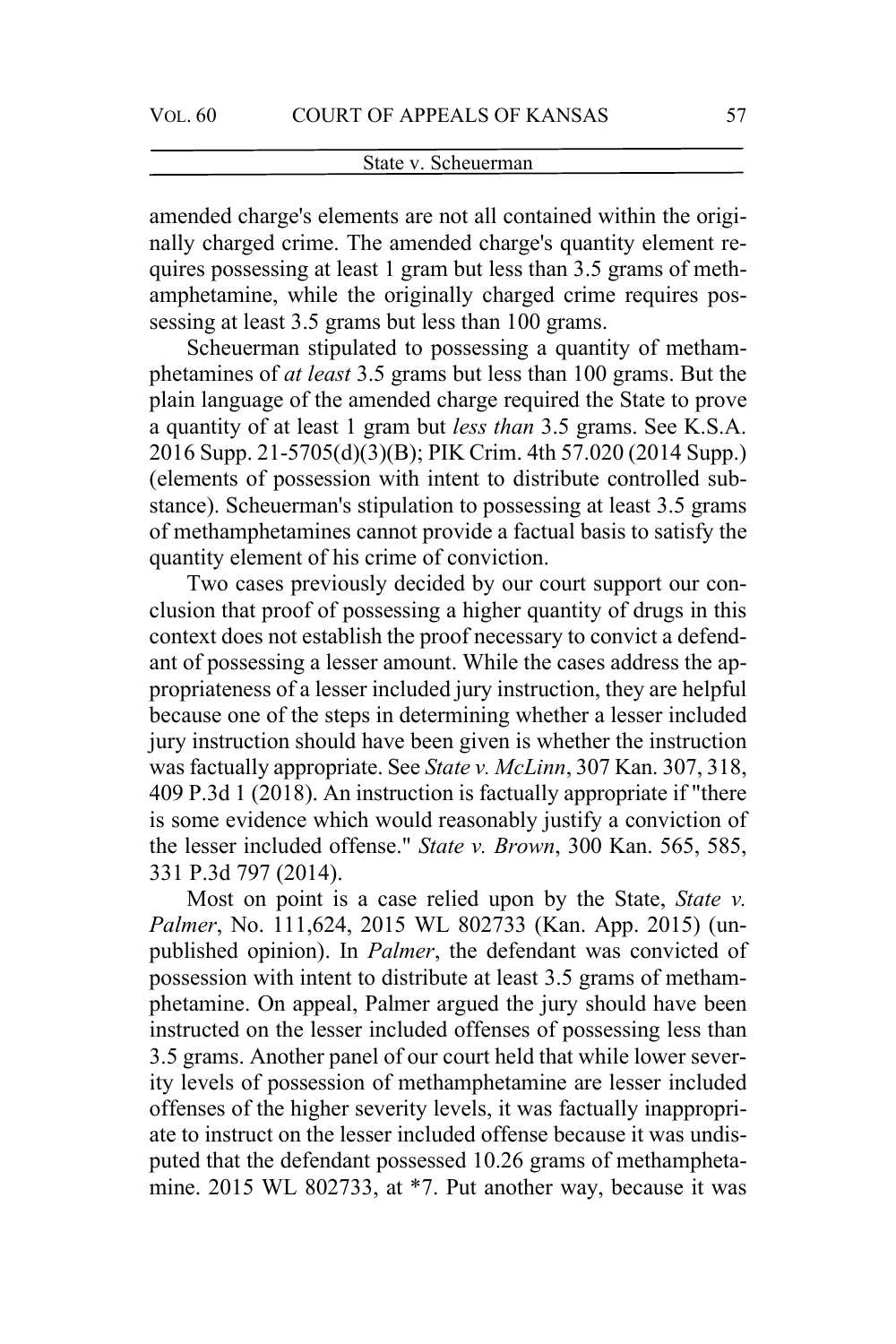amended charge's elements are not all contained within the originally charged crime. The amended charge's quantity element requires possessing at least 1 gram but less than 3.5 grams of methamphetamine, while the originally charged crime requires possessing at least 3.5 grams but less than 100 grams.

Scheuerman stipulated to possessing a quantity of methamphetamines of *at least* 3.5 grams but less than 100 grams. But the plain language of the amended charge required the State to prove a quantity of at least 1 gram but *less than* 3.5 grams. See K.S.A. 2016 Supp. 21-5705(d)(3)(B); PIK Crim. 4th 57.020 (2014 Supp.) (elements of possession with intent to distribute controlled substance). Scheuerman's stipulation to possessing at least 3.5 grams of methamphetamines cannot provide a factual basis to satisfy the quantity element of his crime of conviction.

Two cases previously decided by our court support our conclusion that proof of possessing a higher quantity of drugs in this context does not establish the proof necessary to convict a defendant of possessing a lesser amount. While the cases address the appropriateness of a lesser included jury instruction, they are helpful because one of the steps in determining whether a lesser included jury instruction should have been given is whether the instruction was factually appropriate. See *State v. McLinn*, 307 Kan. 307, 318, 409 P.3d 1 (2018). An instruction is factually appropriate if "there is some evidence which would reasonably justify a conviction of the lesser included offense." *State v. Brown*, 300 Kan. 565, 585, 331 P.3d 797 (2014).

Most on point is a case relied upon by the State, *State v. Palmer*, No. 111,624, 2015 WL 802733 (Kan. App. 2015) (unpublished opinion). In *Palmer*, the defendant was convicted of possession with intent to distribute at least 3.5 grams of methamphetamine. On appeal, Palmer argued the jury should have been instructed on the lesser included offenses of possessing less than 3.5 grams. Another panel of our court held that while lower severity levels of possession of methamphetamine are lesser included offenses of the higher severity levels, it was factually inappropriate to instruct on the lesser included offense because it was undisputed that the defendant possessed 10.26 grams of methamphetamine. 2015 WL 802733, at \*7. Put another way, because it was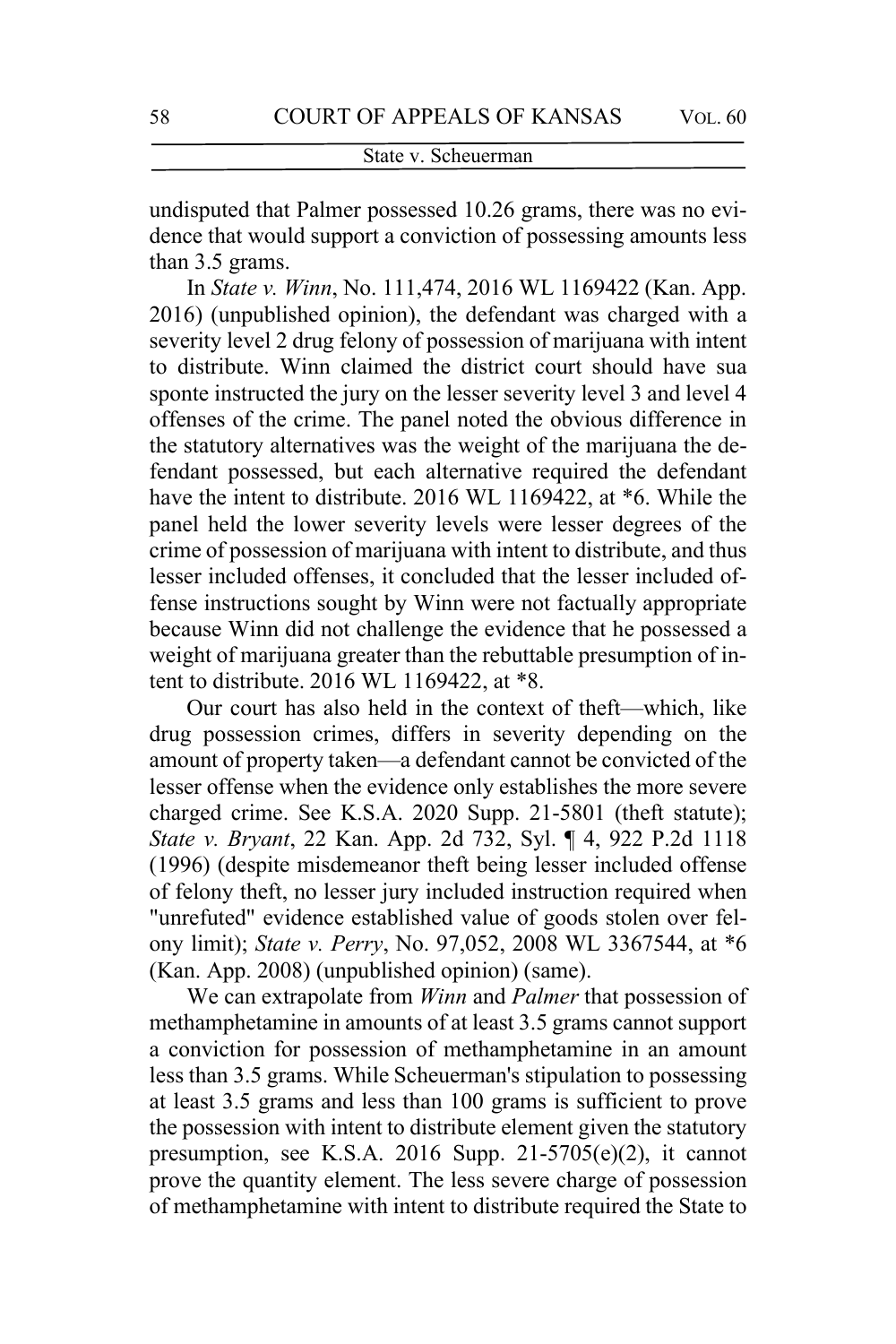undisputed that Palmer possessed 10.26 grams, there was no evidence that would support a conviction of possessing amounts less than 3.5 grams.

In *State v. Winn*, No. 111,474, 2016 WL 1169422 (Kan. App. 2016) (unpublished opinion), the defendant was charged with a severity level 2 drug felony of possession of marijuana with intent to distribute. Winn claimed the district court should have sua sponte instructed the jury on the lesser severity level 3 and level 4 offenses of the crime. The panel noted the obvious difference in the statutory alternatives was the weight of the marijuana the defendant possessed, but each alternative required the defendant have the intent to distribute. 2016 WL 1169422, at \*6. While the panel held the lower severity levels were lesser degrees of the crime of possession of marijuana with intent to distribute, and thus lesser included offenses, it concluded that the lesser included offense instructions sought by Winn were not factually appropriate because Winn did not challenge the evidence that he possessed a weight of marijuana greater than the rebuttable presumption of intent to distribute. 2016 WL 1169422, at \*8.

Our court has also held in the context of theft—which, like drug possession crimes, differs in severity depending on the amount of property taken—a defendant cannot be convicted of the lesser offense when the evidence only establishes the more severe charged crime. See K.S.A. 2020 Supp. 21-5801 (theft statute); *State v. Bryant*, 22 Kan. App. 2d 732, Syl. ¶ 4, 922 P.2d 1118 (1996) (despite misdemeanor theft being lesser included offense of felony theft, no lesser jury included instruction required when "unrefuted" evidence established value of goods stolen over felony limit); *State v. Perry*, No. 97,052, 2008 WL 3367544, at \*6 (Kan. App. 2008) (unpublished opinion) (same).

We can extrapolate from *Winn* and *Palmer* that possession of methamphetamine in amounts of at least 3.5 grams cannot support a conviction for possession of methamphetamine in an amount less than 3.5 grams. While Scheuerman's stipulation to possessing at least 3.5 grams and less than 100 grams is sufficient to prove the possession with intent to distribute element given the statutory presumption, see K.S.A. 2016 Supp. 21-5705(e)(2), it cannot prove the quantity element. The less severe charge of possession of methamphetamine with intent to distribute required the State to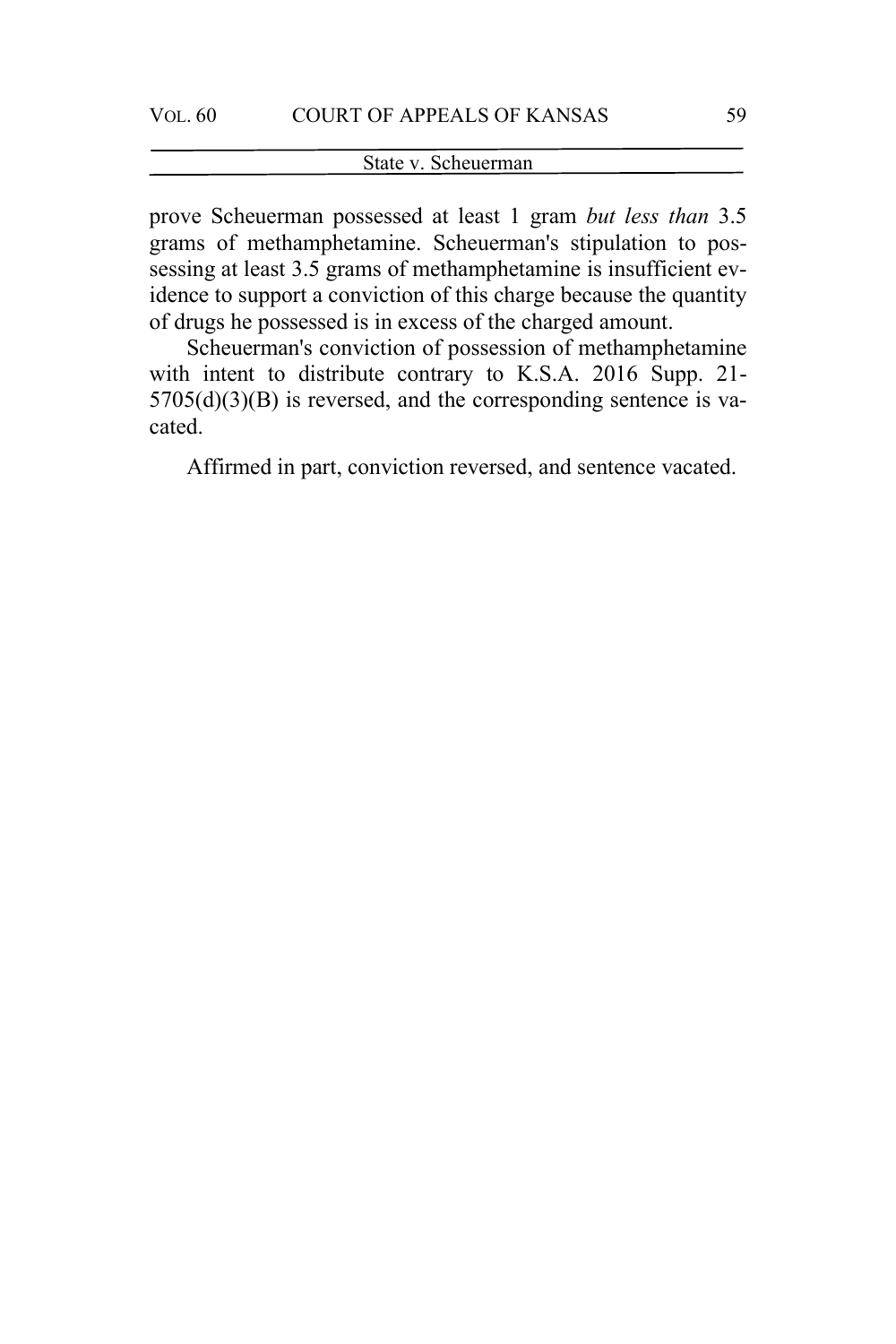### State v. Scheuerman

prove Scheuerman possessed at least 1 gram *but less than* 3.5 grams of methamphetamine. Scheuerman's stipulation to possessing at least 3.5 grams of methamphetamine is insufficient evidence to support a conviction of this charge because the quantity of drugs he possessed is in excess of the charged amount.

Scheuerman's conviction of possession of methamphetamine with intent to distribute contrary to K.S.A. 2016 Supp. 21-  $5705(d)(3)(B)$  is reversed, and the corresponding sentence is vacated.

Affirmed in part, conviction reversed, and sentence vacated.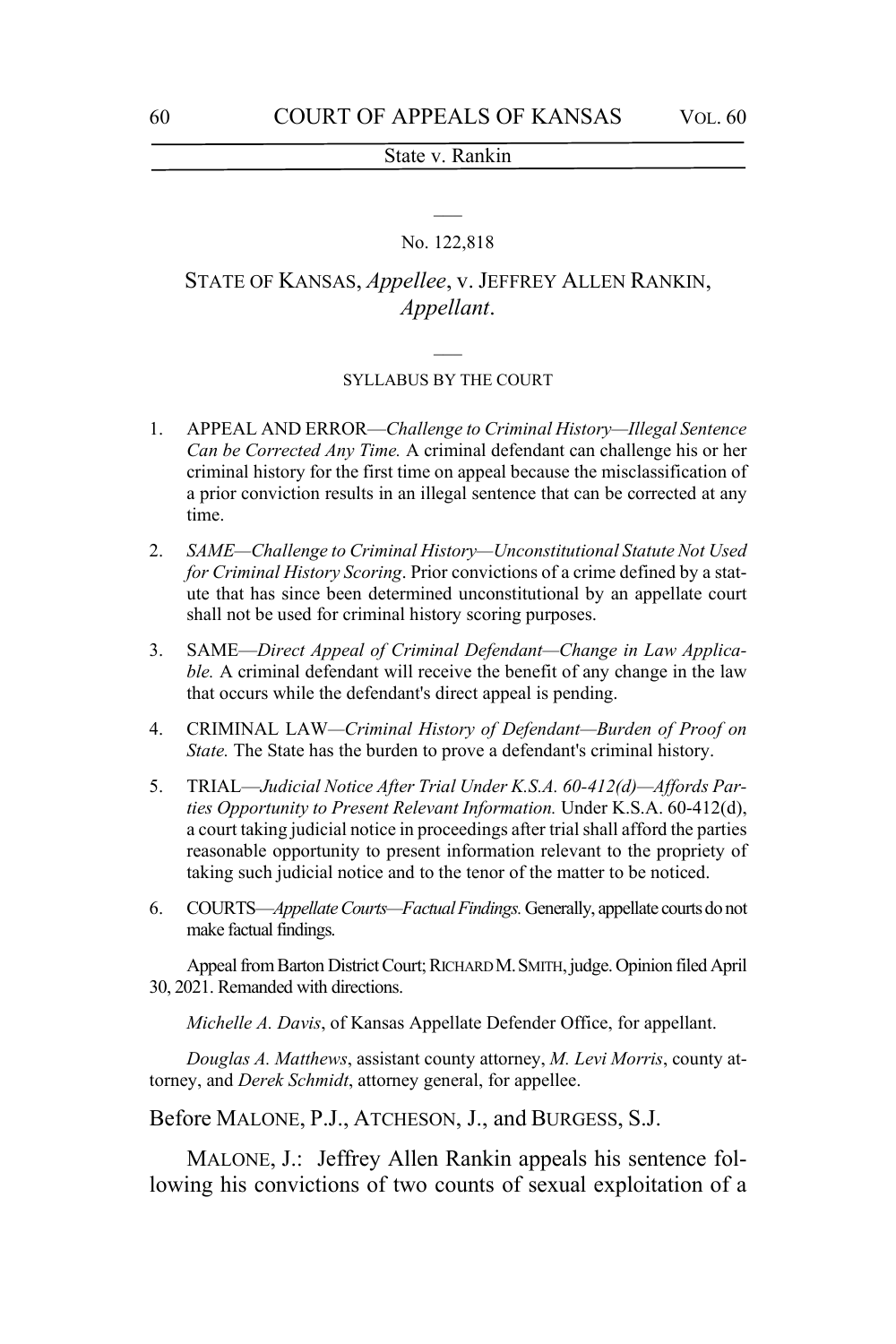# $\overline{\phantom{a}}$ No. 122,818

### STATE OF KANSAS, *Appellee*, v. JEFFREY ALLEN RANKIN, *Appellant*.

## $\overline{\phantom{a}}$ SYLLABUS BY THE COURT

- 1. APPEAL AND ERROR—*Challenge to Criminal History—Illegal Sentence Can be Corrected Any Time.* A criminal defendant can challenge his or her criminal history for the first time on appeal because the misclassification of a prior conviction results in an illegal sentence that can be corrected at any time.
- 2. *SAME—Challenge to Criminal History—Unconstitutional Statute Not Used for Criminal History Scoring*. Prior convictions of a crime defined by a statute that has since been determined unconstitutional by an appellate court shall not be used for criminal history scoring purposes.
- 3. SAME—*Direct Appeal of Criminal Defendant—Change in Law Applicable.* A criminal defendant will receive the benefit of any change in the law that occurs while the defendant's direct appeal is pending.
- 4. CRIMINAL LAW*—Criminal History of Defendant—Burden of Proof on State.* The State has the burden to prove a defendant's criminal history.
- 5. TRIAL—*Judicial Notice After Trial Under K.S.A. 60-412(d)—Affords Parties Opportunity to Present Relevant Information.* Under K.S.A. 60-412(d), a court taking judicial notice in proceedings after trial shall afford the parties reasonable opportunity to present information relevant to the propriety of taking such judicial notice and to the tenor of the matter to be noticed.
- 6. COURTS—*Appellate Courts—Factual Findings.* Generally, appellate courts do not make factual findings.

Appeal from Barton District Court; RICHARD M.SMITH, judge. Opinion filed April 30, 2021. Remanded with directions.

*Michelle A. Davis*, of Kansas Appellate Defender Office, for appellant.

*Douglas A. Matthews*, assistant county attorney, *M. Levi Morris*, county attorney, and *Derek Schmidt*, attorney general, for appellee.

Before MALONE, P.J., ATCHESON, J., and BURGESS, S.J.

MALONE, J.: Jeffrey Allen Rankin appeals his sentence following his convictions of two counts of sexual exploitation of a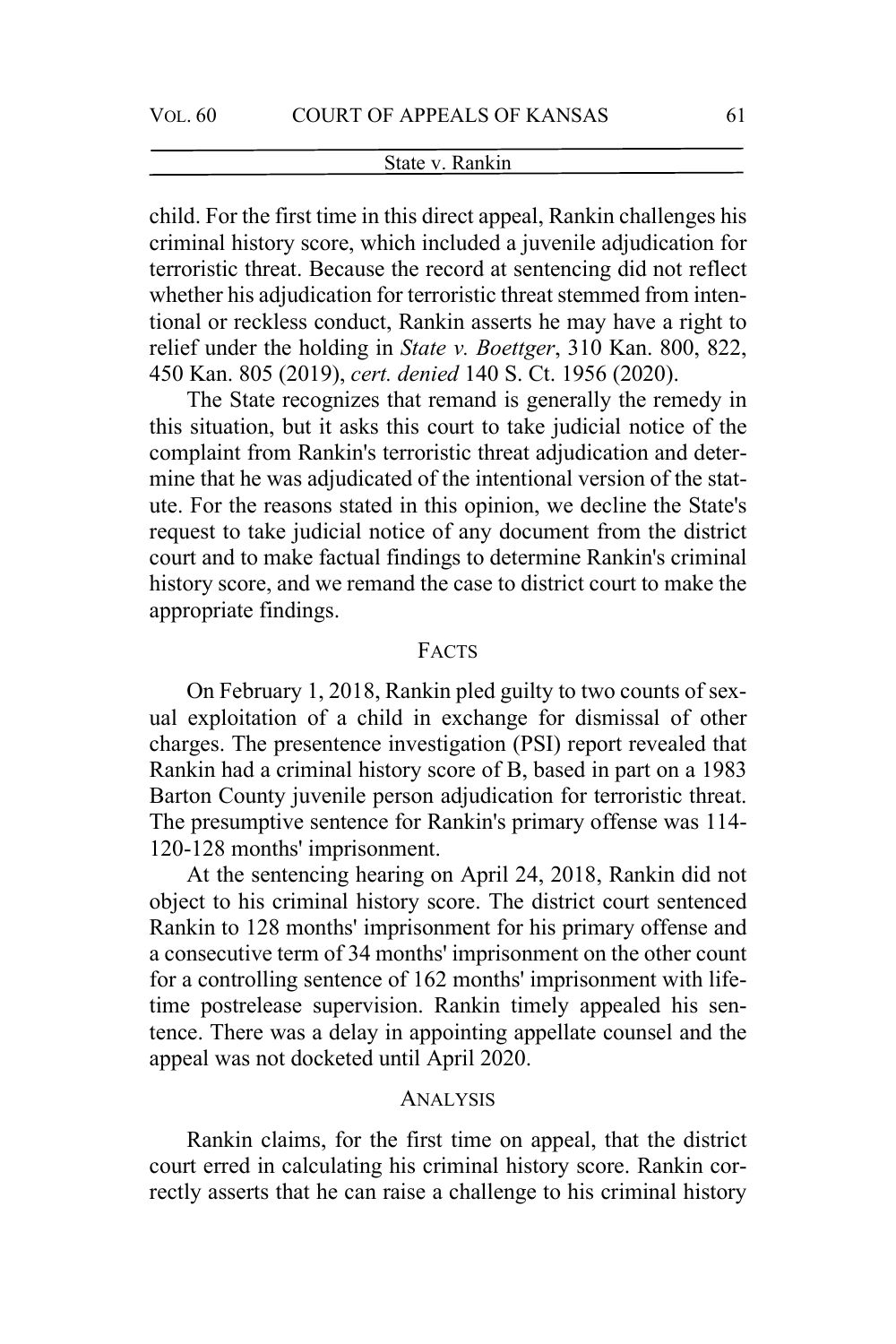child. For the first time in this direct appeal, Rankin challenges his criminal history score, which included a juvenile adjudication for terroristic threat. Because the record at sentencing did not reflect whether his adjudication for terroristic threat stemmed from intentional or reckless conduct, Rankin asserts he may have a right to relief under the holding in *State v. Boettger*, 310 Kan. 800, 822, 450 Kan. 805 (2019), *cert. denied* 140 S. Ct. 1956 (2020).

The State recognizes that remand is generally the remedy in this situation, but it asks this court to take judicial notice of the complaint from Rankin's terroristic threat adjudication and determine that he was adjudicated of the intentional version of the statute. For the reasons stated in this opinion, we decline the State's request to take judicial notice of any document from the district court and to make factual findings to determine Rankin's criminal history score, and we remand the case to district court to make the appropriate findings.

#### FACTS

On February 1, 2018, Rankin pled guilty to two counts of sexual exploitation of a child in exchange for dismissal of other charges. The presentence investigation (PSI) report revealed that Rankin had a criminal history score of B, based in part on a 1983 Barton County juvenile person adjudication for terroristic threat. The presumptive sentence for Rankin's primary offense was 114- 120-128 months' imprisonment.

At the sentencing hearing on April 24, 2018, Rankin did not object to his criminal history score. The district court sentenced Rankin to 128 months' imprisonment for his primary offense and a consecutive term of 34 months' imprisonment on the other count for a controlling sentence of 162 months' imprisonment with lifetime postrelease supervision. Rankin timely appealed his sentence. There was a delay in appointing appellate counsel and the appeal was not docketed until April 2020.

#### ANALYSIS

Rankin claims, for the first time on appeal, that the district court erred in calculating his criminal history score. Rankin correctly asserts that he can raise a challenge to his criminal history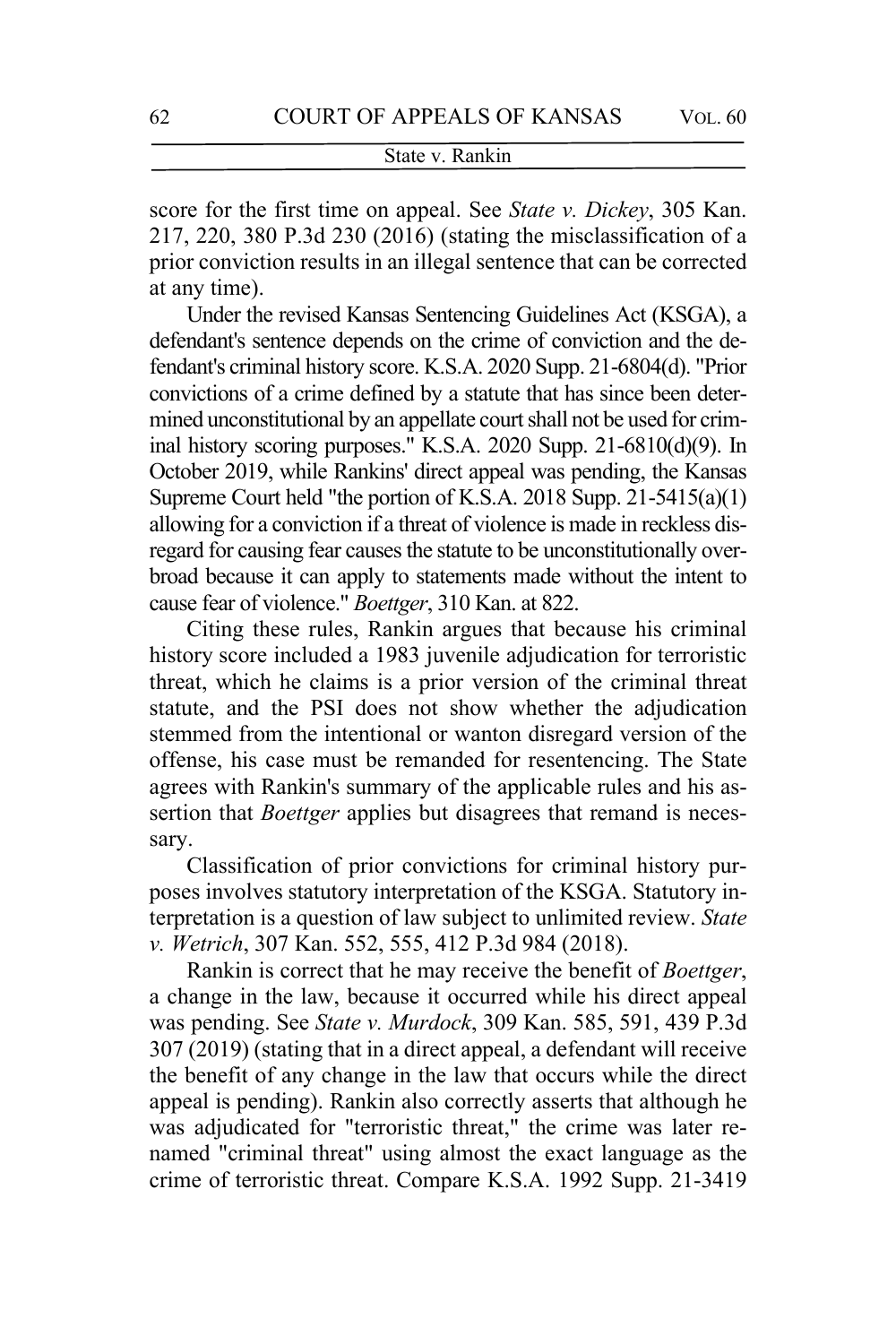score for the first time on appeal. See *State v. Dickey*, 305 Kan. 217, 220, 380 P.3d 230 (2016) (stating the misclassification of a prior conviction results in an illegal sentence that can be corrected at any time).

Under the revised Kansas Sentencing Guidelines Act (KSGA), a defendant's sentence depends on the crime of conviction and the defendant's criminal history score. K.S.A. 2020 Supp. 21-6804(d). "Prior convictions of a crime defined by a statute that has since been determined unconstitutional by an appellate court shall not be used for criminal history scoring purposes." K.S.A. 2020 Supp. 21-6810(d)(9). In October 2019, while Rankins' direct appeal was pending, the Kansas Supreme Court held "the portion of K.S.A. 2018 Supp. 21-5415(a)(1) allowing for a conviction if a threat of violence is made in reckless disregard for causing fear causes the statute to be unconstitutionally overbroad because it can apply to statements made without the intent to cause fear of violence." *Boettger*, 310 Kan. at 822.

Citing these rules, Rankin argues that because his criminal history score included a 1983 juvenile adjudication for terroristic threat, which he claims is a prior version of the criminal threat statute, and the PSI does not show whether the adjudication stemmed from the intentional or wanton disregard version of the offense, his case must be remanded for resentencing. The State agrees with Rankin's summary of the applicable rules and his assertion that *Boettger* applies but disagrees that remand is necessary.

Classification of prior convictions for criminal history purposes involves statutory interpretation of the KSGA. Statutory interpretation is a question of law subject to unlimited review. *State v. Wetrich*, 307 Kan. 552, 555, 412 P.3d 984 (2018).

Rankin is correct that he may receive the benefit of *Boettger*, a change in the law, because it occurred while his direct appeal was pending. See *State v. Murdock*, 309 Kan. 585, 591, 439 P.3d 307 (2019) (stating that in a direct appeal, a defendant will receive the benefit of any change in the law that occurs while the direct appeal is pending). Rankin also correctly asserts that although he was adjudicated for "terroristic threat," the crime was later renamed "criminal threat" using almost the exact language as the crime of terroristic threat. Compare K.S.A. 1992 Supp. 21-3419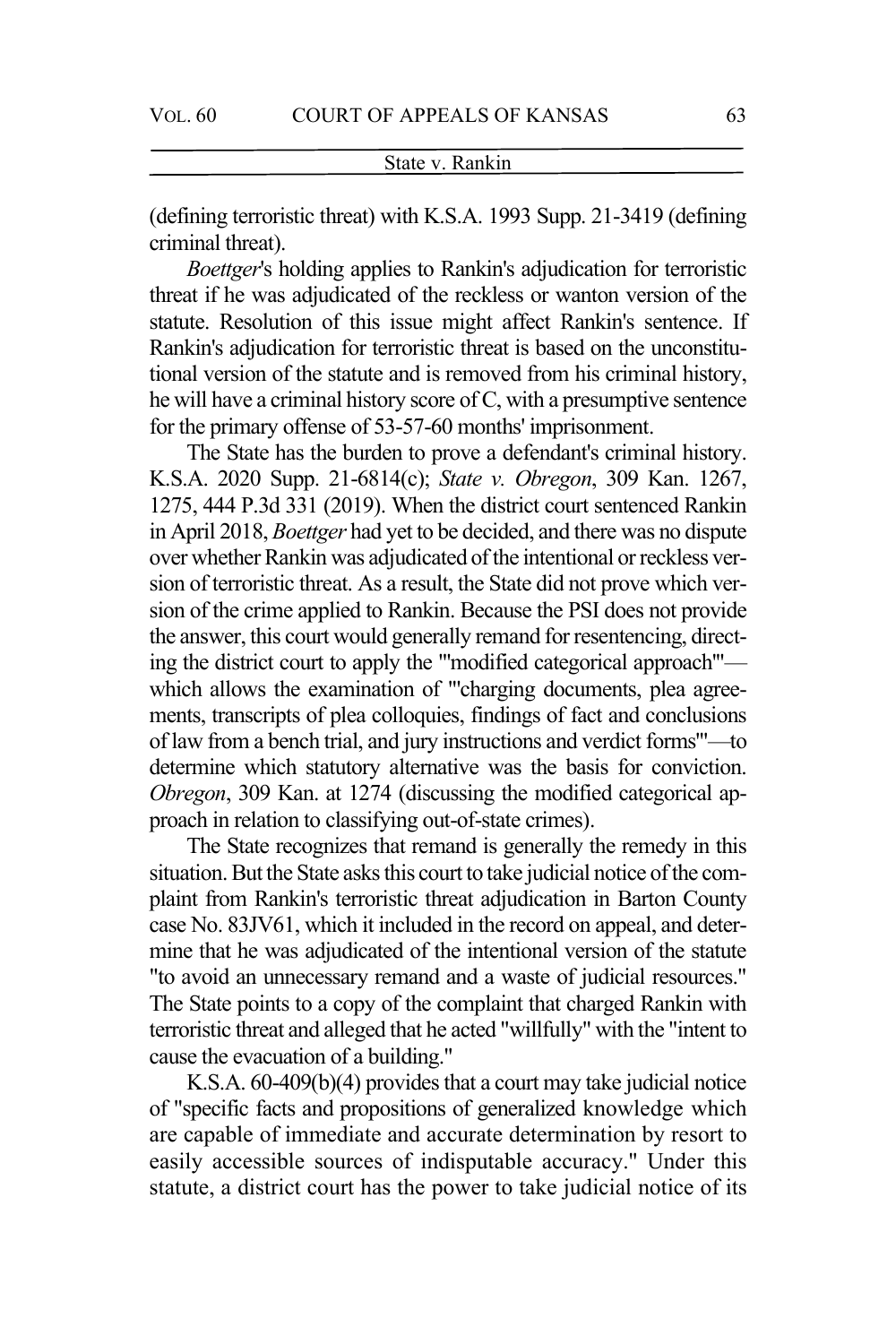(defining terroristic threat) with K.S.A. 1993 Supp. 21-3419 (defining criminal threat).

*Boettger*'s holding applies to Rankin's adjudication for terroristic threat if he was adjudicated of the reckless or wanton version of the statute. Resolution of this issue might affect Rankin's sentence. If Rankin's adjudication for terroristic threat is based on the unconstitutional version of the statute and is removed from his criminal history, he will have a criminal history score of C, with a presumptive sentence for the primary offense of 53-57-60 months' imprisonment.

The State has the burden to prove a defendant's criminal history. K.S.A. 2020 Supp. 21-6814(c); *State v. Obregon*, 309 Kan. 1267, 1275, 444 P.3d 331 (2019). When the district court sentenced Rankin in April 2018, *Boettger* had yet to be decided, and there was no dispute over whether Rankin was adjudicated of the intentional or reckless version of terroristic threat. As a result, the State did not prove which version of the crime applied to Rankin. Because the PSI does not provide the answer, this court would generally remand for resentencing, directing the district court to apply the "'modified categorical approach'" which allows the examination of "'charging documents, plea agreements, transcripts of plea colloquies, findings of fact and conclusions of law from a bench trial, and jury instructions and verdict forms'"—to determine which statutory alternative was the basis for conviction. *Obregon*, 309 Kan. at 1274 (discussing the modified categorical approach in relation to classifying out-of-state crimes).

The State recognizes that remand is generally the remedy in this situation. But the State asks this court to take judicial notice of the complaint from Rankin's terroristic threat adjudication in Barton County case No. 83JV61, which it included in the record on appeal, and determine that he was adjudicated of the intentional version of the statute "to avoid an unnecessary remand and a waste of judicial resources." The State points to a copy of the complaint that charged Rankin with terroristic threat and alleged that he acted "willfully" with the "intent to cause the evacuation of a building."

K.S.A. 60-409(b)(4) provides that a court may take judicial notice of "specific facts and propositions of generalized knowledge which are capable of immediate and accurate determination by resort to easily accessible sources of indisputable accuracy." Under this statute, a district court has the power to take judicial notice of its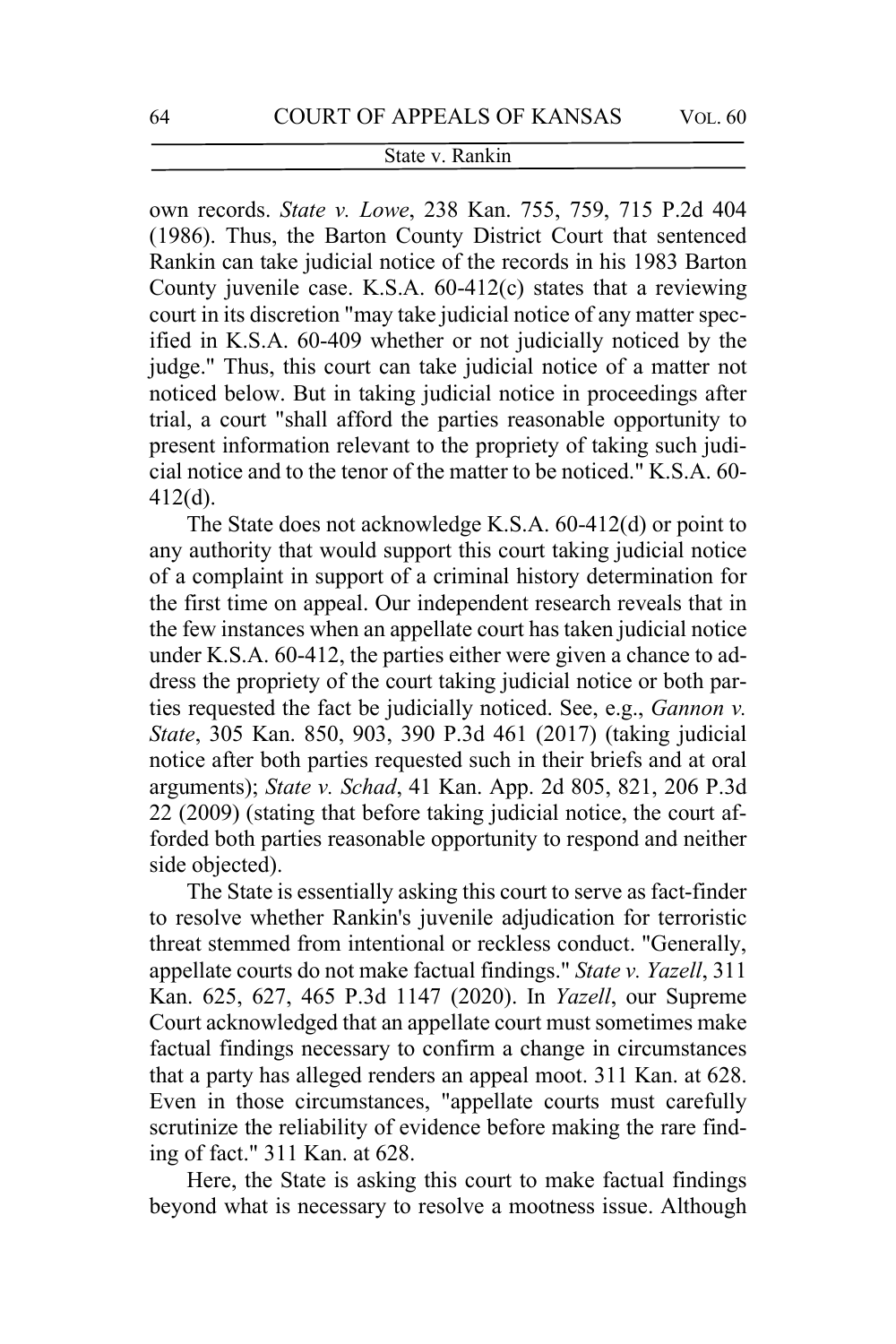own records. *State v. Lowe*, 238 Kan. 755, 759, 715 P.2d 404 (1986). Thus, the Barton County District Court that sentenced Rankin can take judicial notice of the records in his 1983 Barton County juvenile case. K.S.A. 60-412(c) states that a reviewing court in its discretion "may take judicial notice of any matter specified in K.S.A. 60-409 whether or not judicially noticed by the judge." Thus, this court can take judicial notice of a matter not noticed below. But in taking judicial notice in proceedings after trial, a court "shall afford the parties reasonable opportunity to present information relevant to the propriety of taking such judicial notice and to the tenor of the matter to be noticed." K.S.A. 60- 412(d).

The State does not acknowledge K.S.A. 60-412(d) or point to any authority that would support this court taking judicial notice of a complaint in support of a criminal history determination for the first time on appeal. Our independent research reveals that in the few instances when an appellate court has taken judicial notice under K.S.A. 60-412, the parties either were given a chance to address the propriety of the court taking judicial notice or both parties requested the fact be judicially noticed. See, e.g., *Gannon v. State*, 305 Kan. 850, 903, 390 P.3d 461 (2017) (taking judicial notice after both parties requested such in their briefs and at oral arguments); *State v. Schad*, 41 Kan. App. 2d 805, 821, 206 P.3d 22 (2009) (stating that before taking judicial notice, the court afforded both parties reasonable opportunity to respond and neither side objected).

The State is essentially asking this court to serve as fact-finder to resolve whether Rankin's juvenile adjudication for terroristic threat stemmed from intentional or reckless conduct. "Generally, appellate courts do not make factual findings." *State v. Yazell*, 311 Kan. 625, 627, 465 P.3d 1147 (2020). In *Yazell*, our Supreme Court acknowledged that an appellate court must sometimes make factual findings necessary to confirm a change in circumstances that a party has alleged renders an appeal moot. 311 Kan. at 628. Even in those circumstances, "appellate courts must carefully scrutinize the reliability of evidence before making the rare finding of fact." 311 Kan. at 628.

Here, the State is asking this court to make factual findings beyond what is necessary to resolve a mootness issue. Although